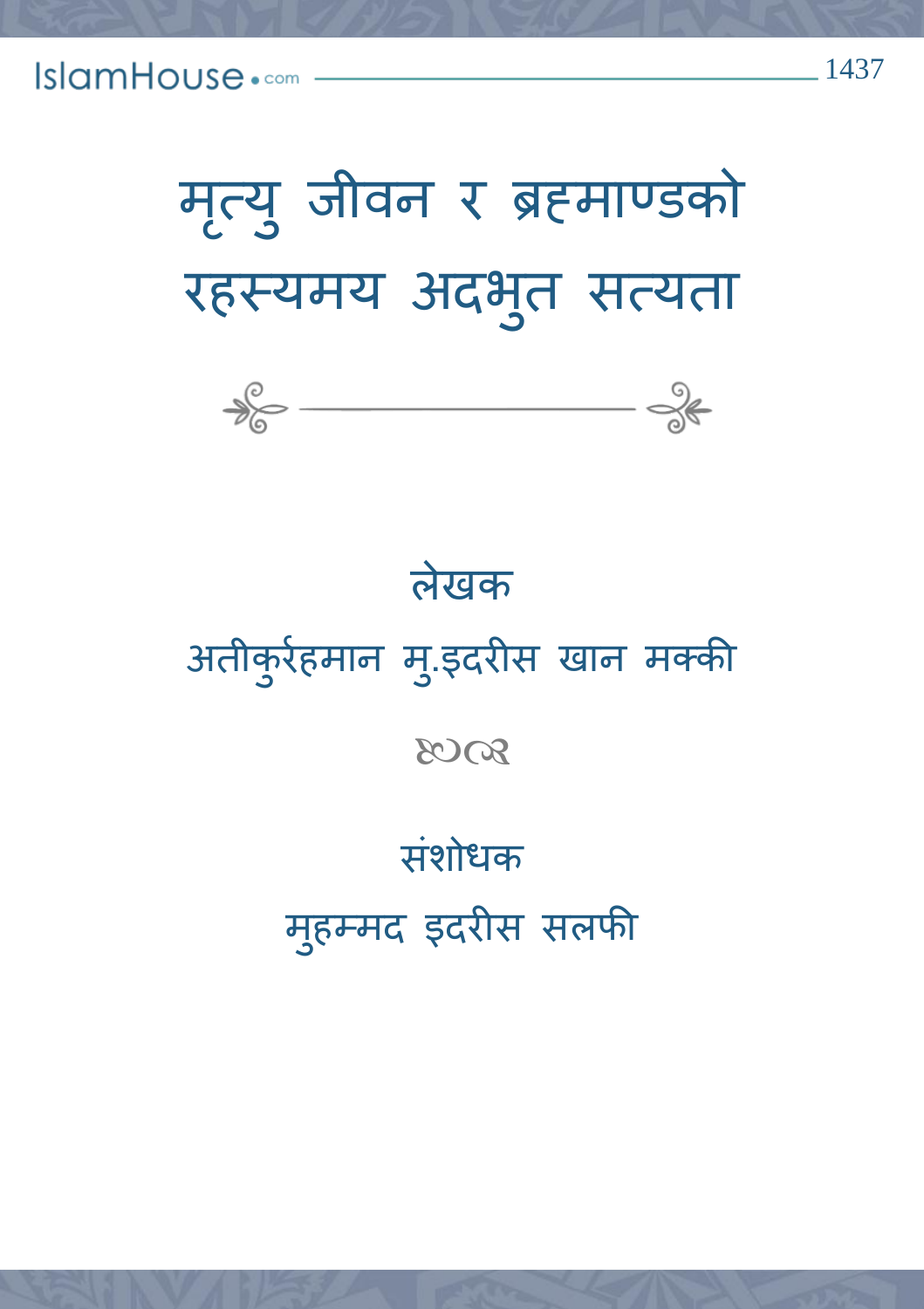मृत्यु जीवन र ब्रहमाण्डको रहस्यमय अदभ ुत सत्यता



## लेखक

अतीक ु ररहमान म.ुइदरीस खान मक्की

8008

# संशोधक

महु म्मद इदरीस सलफी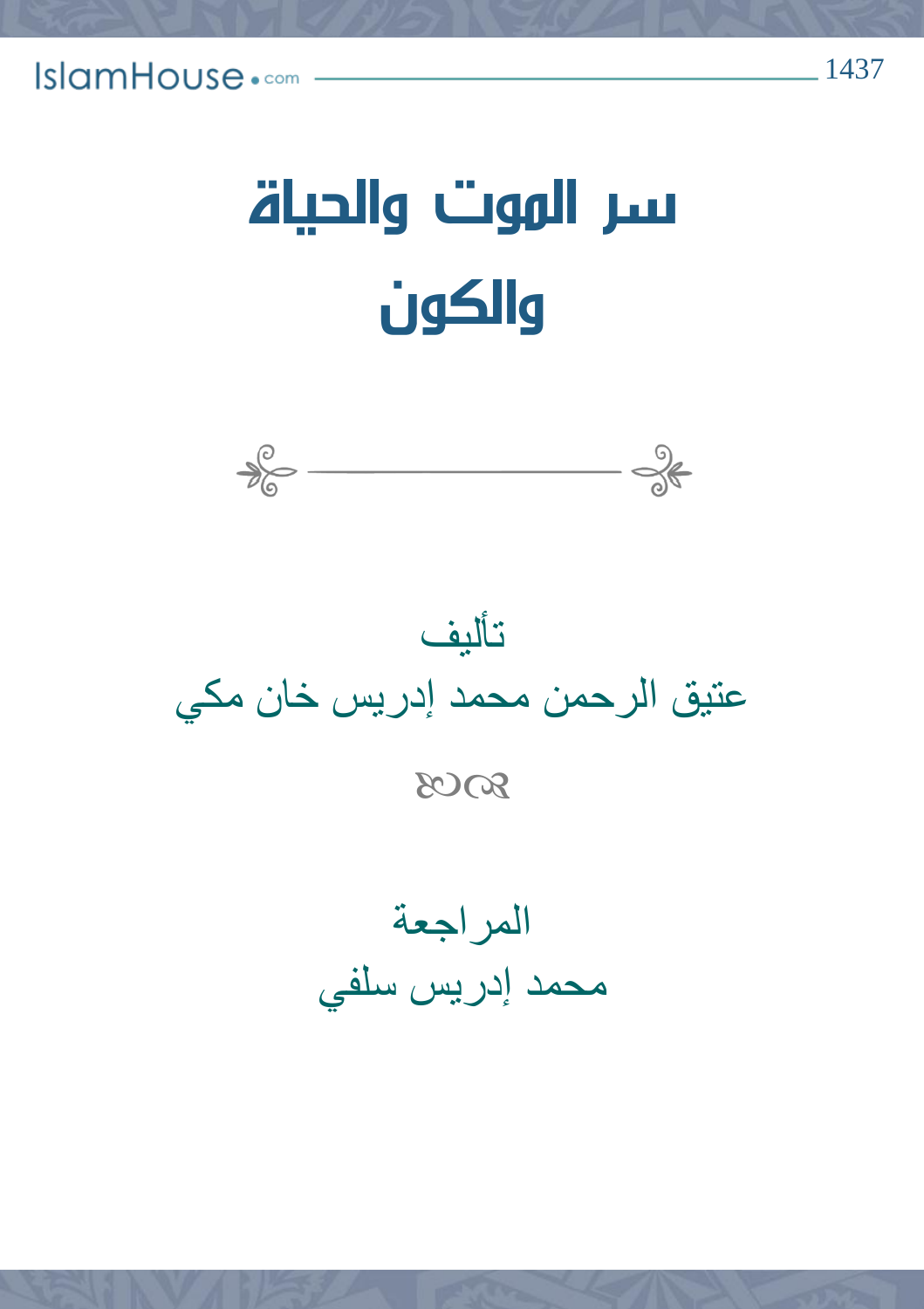# سر الموت والحياة والكون



تأليف عتيق الرحمن محمد إدريس خان مكي 8008

المراجعة محمد إدريس سلفي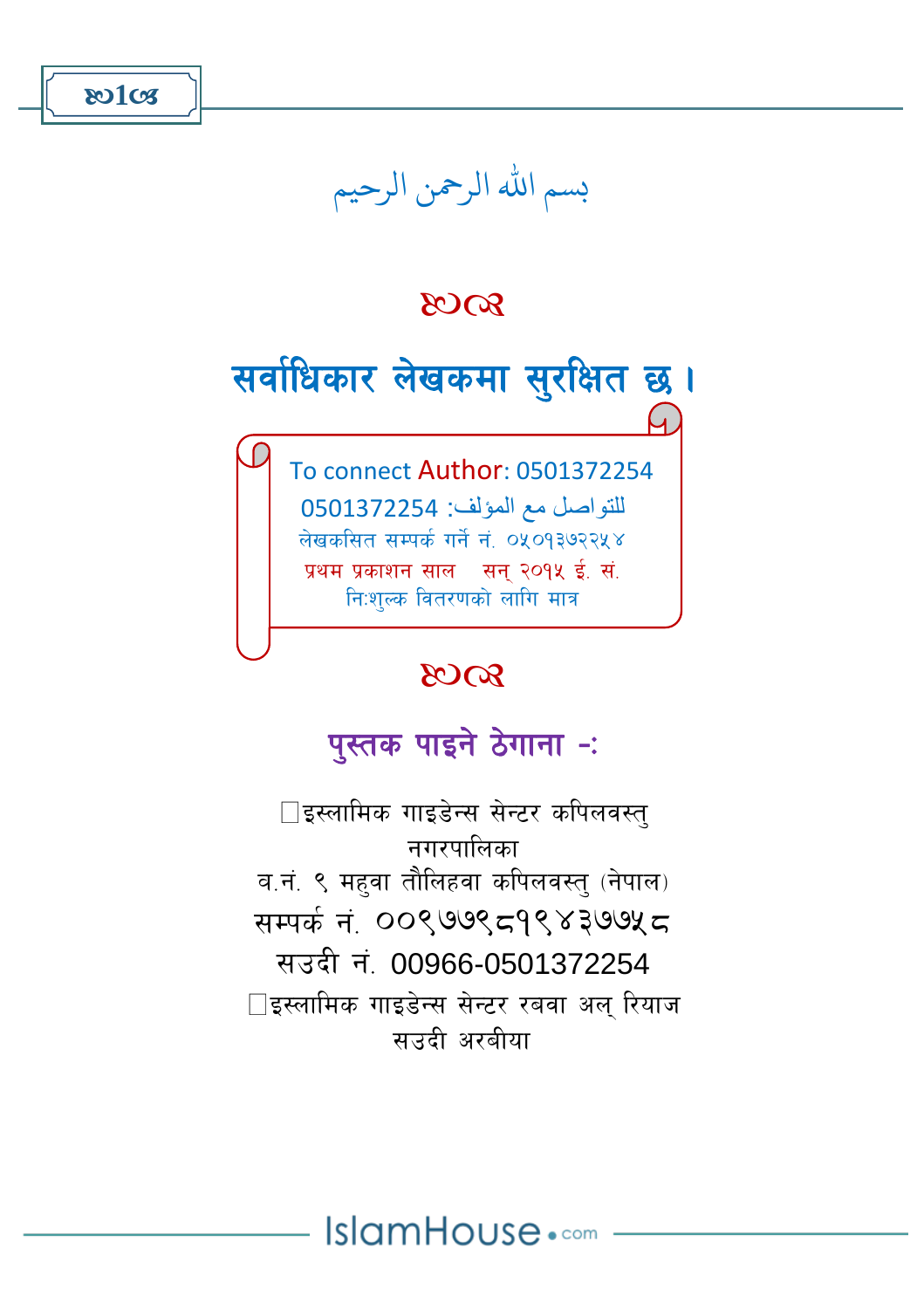

## بسم الله الرحمن الرحيم

#### $8003$

सर्वाधिकार लेखकमा सुरक्षित छ।  $\overline{a}$  To connect Author: 0501372254 للتواصل مع المؤلف: 0501372254 लेखकसित सम्पर्क गर्ने नं. ०५०१३७२२५४

> प्रथम प्रकाशन साल $\,$  सन २०१५ ई. सं. नि:शल्क वितरणको लागि मात्र

#### 8008

## पुस्तक पाइने ठेगाना –:

 $\Box$ इस्लामिक गाइडेन्स सेन्टर कपिलवस्त नगरपालिका व.नं. ९ महवा तौलिहवा कपिलवस्त् (नेपाल)  $\frac{1}{2}$ सम्पर्कनं 00९७७९ $\frac{1}{2}$ (8899) सउदी नं. 00966-0501372254  $\Box$ इस्लामिक गाइडेन्स सेन्टर रबवा अल रियाज साउदी अरबीया

IslamHouse.com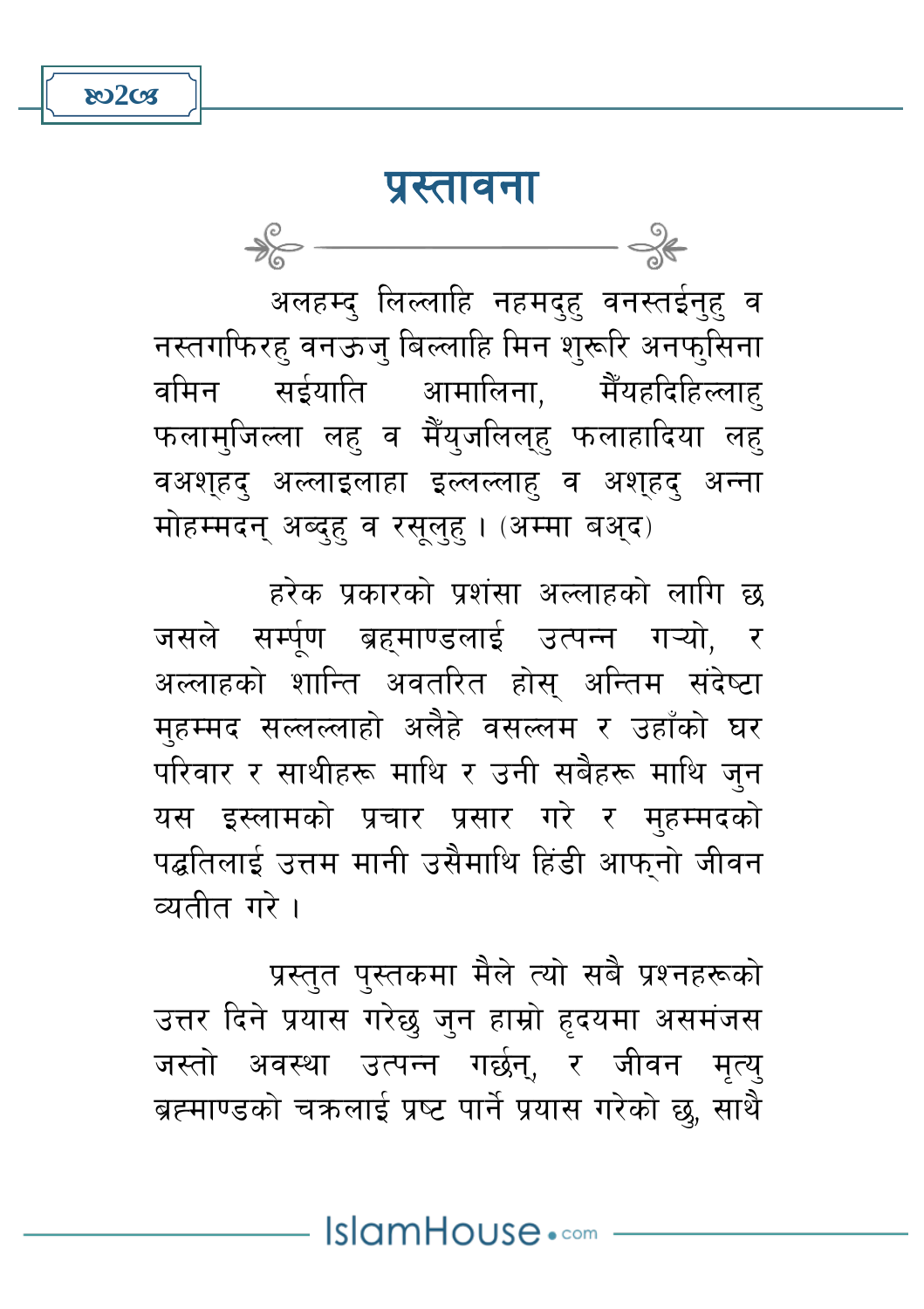$802C<sub>5</sub>$ 

 $\frac{1}{\sqrt{2}}$ 

#### प्रस्तावना

अलहम्द लिल्लाहि नहमद्ह वनस्तईन्ह व नस्तगफिरह वनऊज् बिल्लाहि मिन शुरूरि अनफ्सिना वमिन सईयाति आमालिना, मैँयहदिहिल्लाह् फलामुजिल्ला लहु व मैँयुजलिल्हु फलाहादिया लहु वअशहद अल्लाइलाहा इल्लल्लाह व अशहद अन्ना मोहम्मदन् अब्दह् व रसुलुह् । (अम्मा बअ़द)

हरेक प्रकारको प्रशंसा अल्लाहको लागि छ जसले सर्म्पूण ब्रहमाण्डलाई उत्पन्न गऱ्यो, र अल्लाहको शान्ति अवतरित होस अन्तिम संदेष्टा महम्मद सल्लल्लाहो अलैहे वसल्लम र उहाँको घर परिवार र साथीहरू माथि र उनी सबैहरू माथि जुन यस इस्लामको प्रचार प्रसार गरे र मुहम्मदको पद्धतिलाई उत्तम मानी उसैमाथि हिंडी आफ्नो जीवन व्यतीत गरे ।

प्रस्तुत पुस्तकमा मैले त्यो सबै प्रश्नहरूको उत्तर दिने प्रयास गरेछ जुन हाम्रो हृदयमा असमंजस जस्तो अवस्था उत्पन्न गर्छन्, र जीवन मृत्यु ब्रह्माण्डको चक्रलाई प्रष्ट पार्ने प्रयास गरेको छ, साथै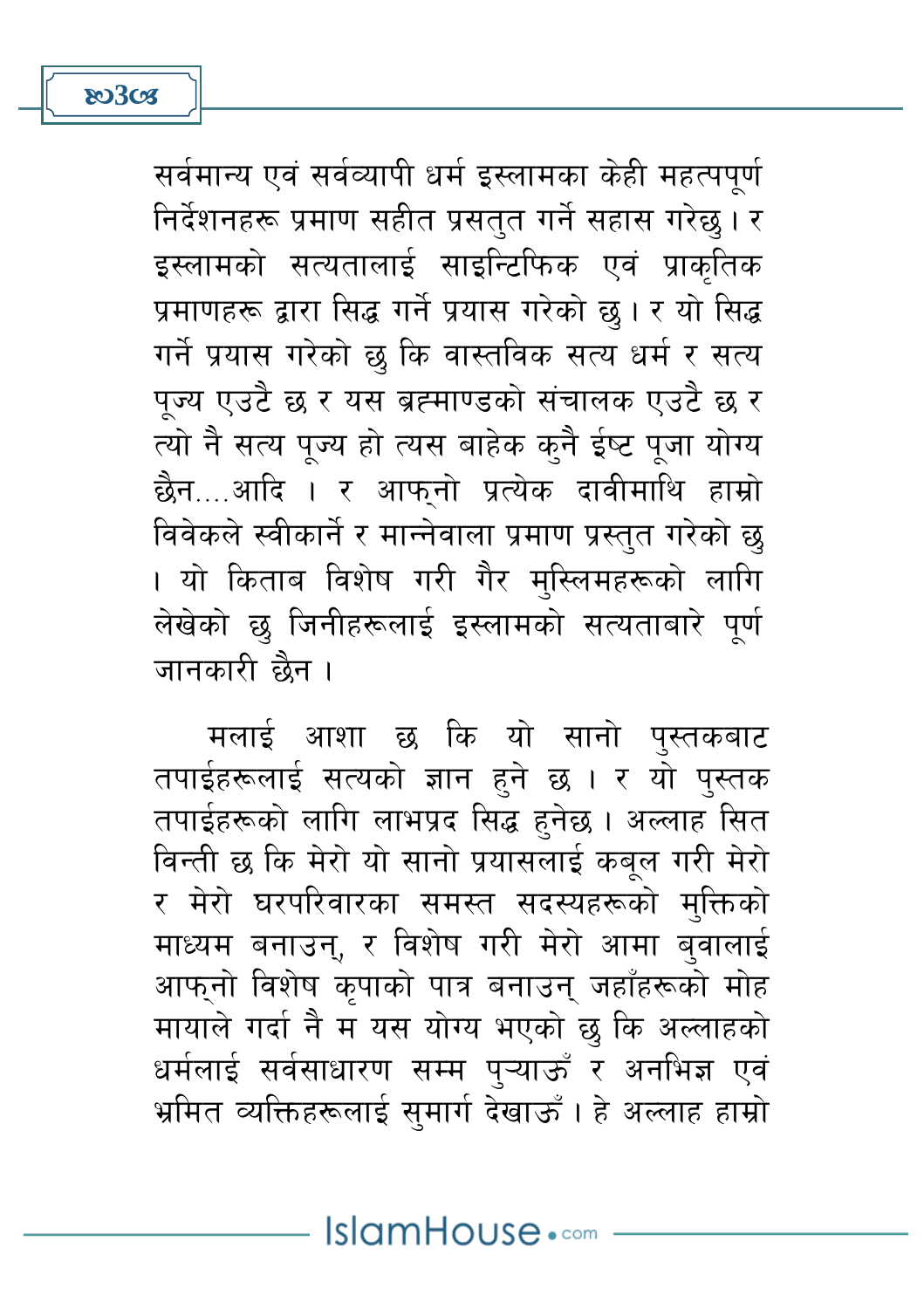सर्वमान्य एवं सर्वव्यापी धर्म इस्लामका केही महत्पपूर्ण निर्देशनहरू प्रमाण सहीत प्रसतुत गर्ने सहास गरेछु। र इस्लामको सत्यतालाई साइन्टिफिक एवं प्राकृतिक प्रमाणहरू द्वारा सिद्ध गर्ने प्रयास गरेको छ । र यो सिद्ध गर्ने प्रयास गरेको छ कि वास्तविक सत्य धर्म र सत्य पुज्य एउटै छ र यस ब्रह्माण्डको संचालक एउटै छ र त्यो नै सत्य पूज्य हो त्यस बाहेक कुनै ईष्ट पूजा योग्य छैन....आदि । र आफ्नो प्रत्येक दावीमाथि हाम्रो विवेकले स्वीकार्ने र मान्नेवाला प्रमाण प्रस्तुत गरेको छु । यो किताब विशेष गरी गैर मुस्लिमहरूको लागि लेखेको छ जिनीहरूलाई इस्लामको सत्यताबारे पूर्ण जानकारी छैन ।

मलाई आशा छ कि यो सानो पुस्तकबाट तपाईहरूलाई सत्यको ज्ञान हुने छ । र यो पुस्तक तपाईहरूको लागि लाभप्रद सिद्ध हुनेछ । अल्लाह सित विन्ती छ कि मेरो यो सानो प्रयासलाई कबूल गरी मेरो र मेरो घरपरिवारका समस्त सदस्यहरूको मुक्तिको माध्यम बनाउन्, र विशेष गरी मेरो आमा ब्वालाई आफ्नो विशेष कृपाको पात्र बनाउन् जहाँहरूको मोह मायाले गर्दा नै म यस योग्य भएको छु कि अल्लाहको धर्मलाई सर्वसाधारण सम्म पुऱ्याऊँ र अनभिज्ञ एवं भ्रमित व्यक्तिहरूलाई सुमार्ग देखाऊँ। हे अल्लाह हाम्रो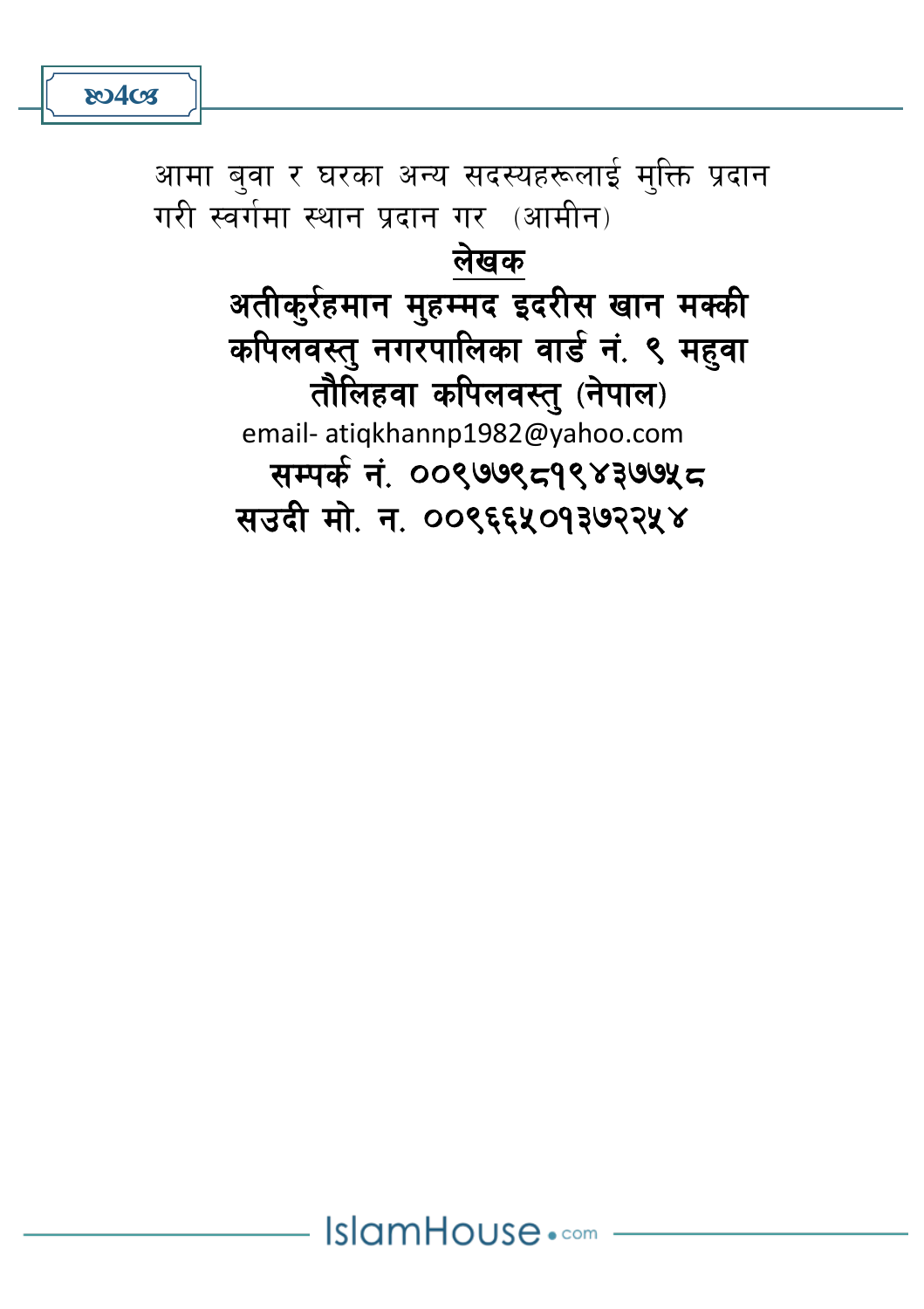IslamHouse.com

लेखक अतीक्र्रहमान मुहम्मद इदरीस खान मक्की कपिलवस्त् नगरपालिका वार्ड नं. ९ महवा तौलिहवा कपिलवस्तु (नेपाल) email- atiqkhannp1982@yahoo.com सम्पर्क नं. ००९७७९८१९४३७७५८ सउदी मो. न. ००९६६५०१३७२२५४

आमा बुवा र घरका अन्य सदस्यहरूलाई मुक्ति प्रदान गरी स्वर्गमा स्थान प्रदान गर (आमीन)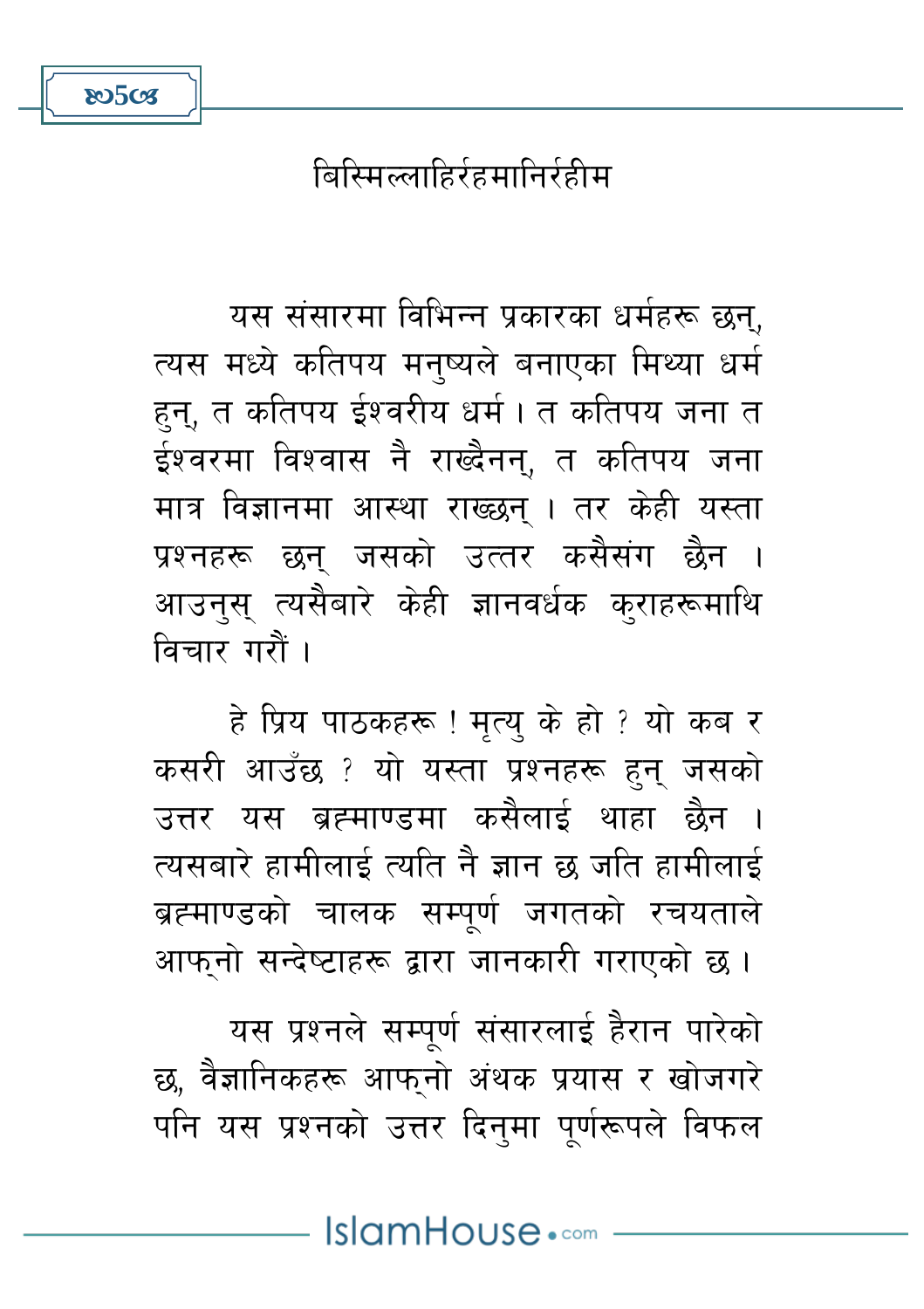बिस्मिल्लाहिर्रहमानिर्रहीम

**80508** 

यस संसारमा विभिन्न प्रकारका धर्महरू छन्, त्यस मध्ये कतिपय मनुष्यले बनाएका मिथ्या धर्म हुन्, त कतिपय ईश्वरीय धर्म । त कतिपय जना त ईश्वरमा विश्वास नै राख्दैनन्, त कतिपय जना मात्र विज्ञानमा आस्था राख्छन् । तर केही यस्ता प्रश्नहरू छन् जसको उत्तर कसैसंग छैन । आउनस् त्यसैबारे केही ज्ञानवर्धक क्राहरूमाथि विचार गरौं ।

हे प्रिय पाठकहरू ! मृत्यु के हो ? यो कब र कसरी आउँछ ? यो यस्ता प्रश्नहरू हुन् जसको उत्तर यस ब्रह्माण्डमा कसैलाई थाहा छैन । त्यसबारे हामीलाई त्यति नै ज्ञान छ जति हामीलाई ब्रह्माण्डको चालक सम्पर्ण जगतको रचयताले आफनो सन्देष्टाहरू द्वारा जानकारी गराएको छ।

यस प्रश्नले सम्पूर्ण संसारलाई हैरान पारेको छ, वैज्ञानिकहरू आफुनो अंथक प्रयास र खोजगरे पनि यस प्रश्नको उत्तर दिनुमा पुर्णरूपले विफल

IslamHouse.com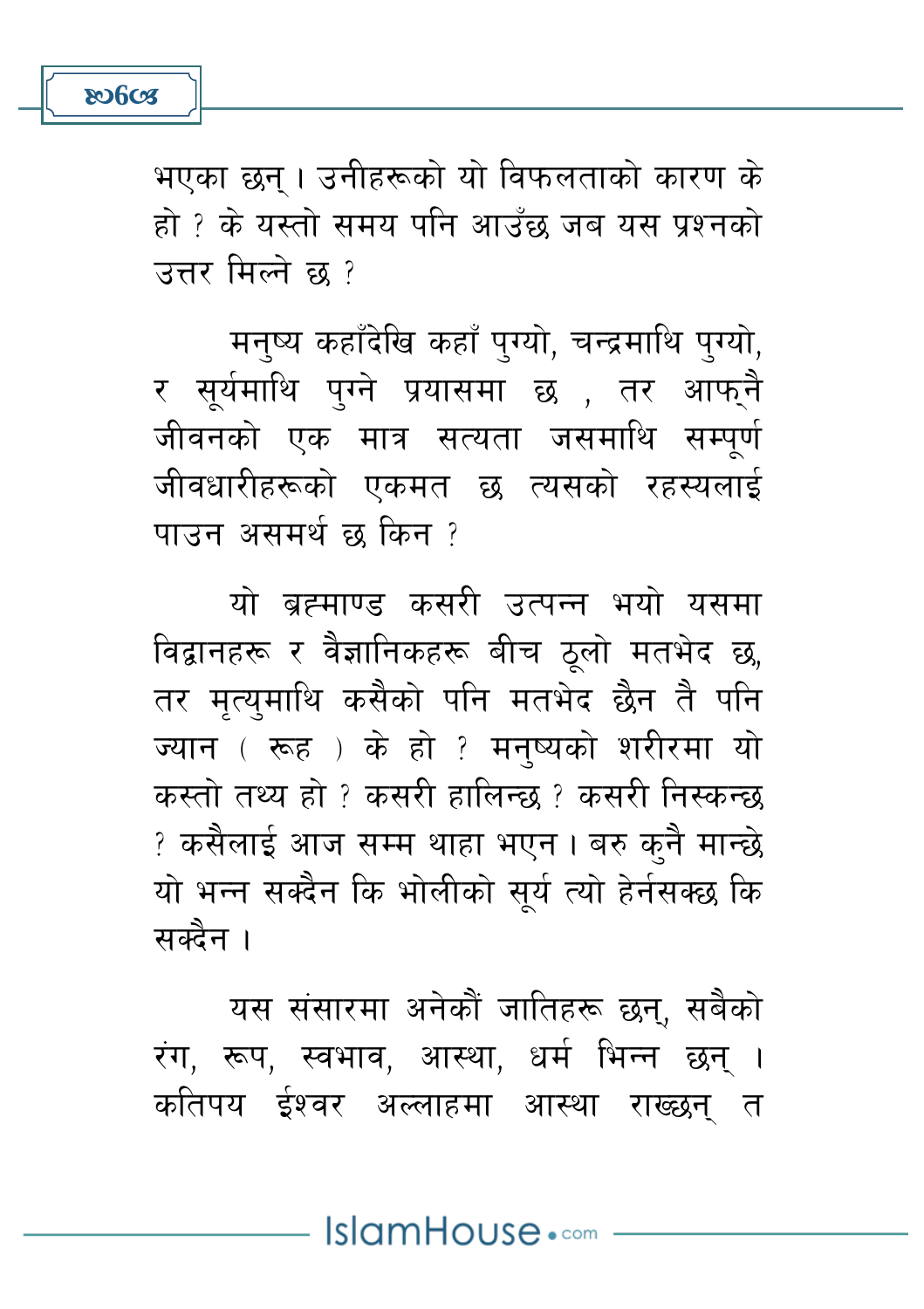

भएका छन्। उनीहरूको यो विफलताको कारण के हो ? के यस्तो समय पनि आउँछ जब यस प्रश्नको उत्तर मिल्ने छ १

मनष्य कहाँदेखि कहाँ पुग्यो, चन्द्रमाथि पुग्यो, र सुर्यमाथि पुग्ने प्रयासमा छ , तर आफुनै जीवनको एक मात्र सत्यता जसमाथि सम्पर्ण जीवधारीहरूको एकमत छ त्यसको रहस्यलाई पाउन असमर्थ छ किन ?

यो ब्रह्माण्ड कसरी उत्पन्न भयो यसमा विद्वानहरू र वैज्ञानिकहरू बीच ठुलो मतभेद छ, तर मत्यमाथि कसैको पनि मतभेद छैन तै पनि ज्यान (रूह) के हो ? मनष्यको शरीरमा यो कस्तो तथ्य हो १ कसरी हालिन्छ १ कसरी निस्कन्छ ? कसैलाई आज सम्म थाहा भएन। बरु कुनै मान्छे यो भन्न सक्दैन कि भोलीको सूर्य त्यो हेर्नसक्छ कि सक्दैन ।

यस संसारमा अनेकौं जातिहरू छन्, सबैको रंग, रूप, स्वभाव, आस्था, धर्म भिन्न छन् । कतिपय ईश्वर अल्लाहमा आस्था राख्छन् त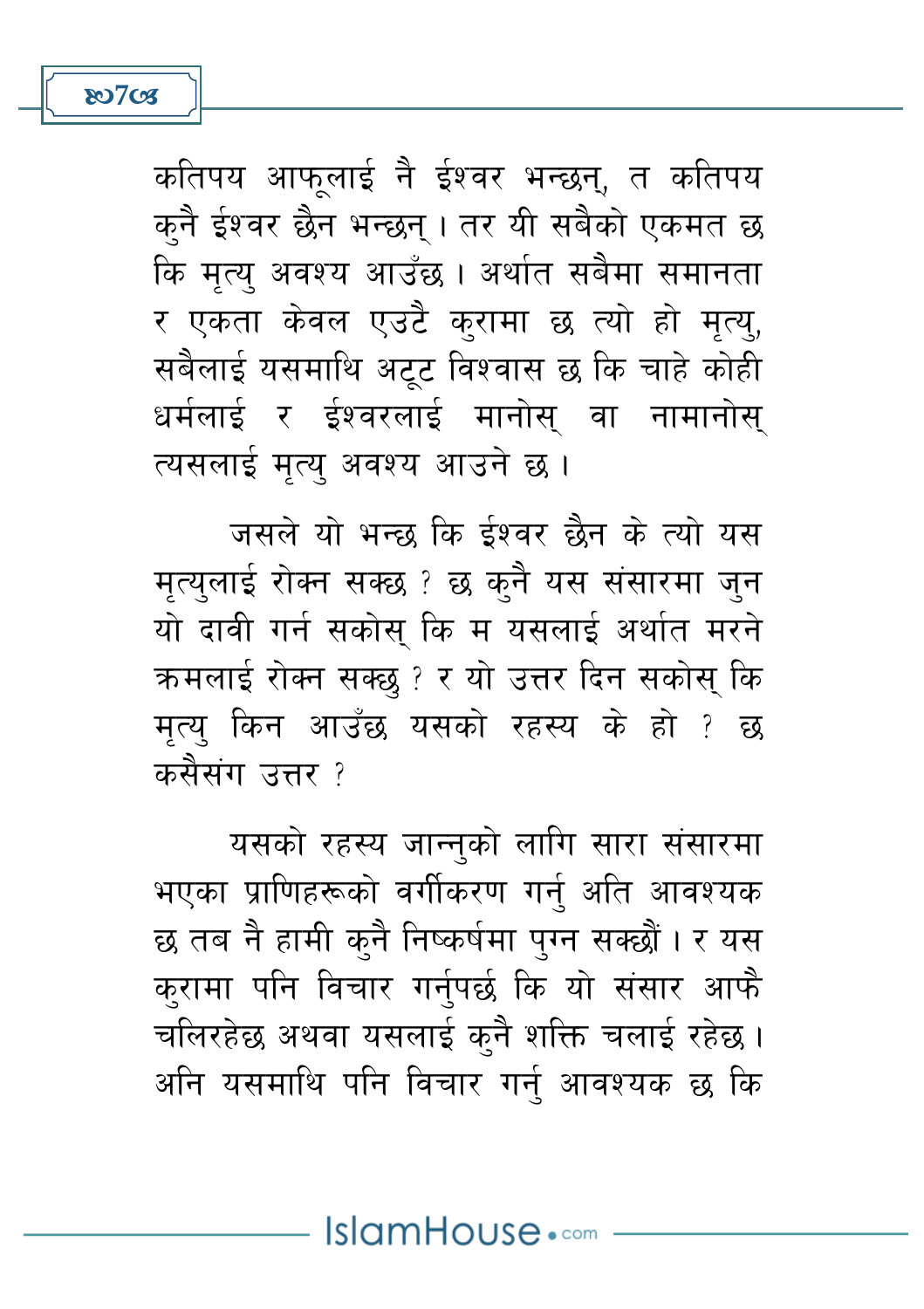

कतिपय आफलाई नै ईश्वर भन्छन्, त कतिपय क्नै ईश्वर छैन भन्छन् । तर यी सबैको एकमत छ कि मत्य अवश्य आउँछ। अर्थात सबैमा समानता र एकता केवल एउटै करामा छ त्यो हो मत्य, सबैलाई यसमाथि अट्ट विश्वास छ कि चाहे कोही धर्मलाई र ईश्वरलाई मानोस् वा नामानोस् त्यसलाई मत्य अवश्य आउने छ ।

जसले यो भन्छ कि ईश्वर छैन के त्यो यस मत्यलाई रोक्न सक्छ ? छ कुनै यस संसारमा जुन यो दावी गर्न सकोस् कि म यसलाई अर्थात मरने क्रमलाई रोक्न सक्छु ? र यो उत्तर दिन सकोस् कि मत्य किन आउँछ यसको रहस्य के हो ? छ कसैसंग उत्तर ?

यसको रहस्य जान्नुको लागि सारा संसारमा भएका प्राणिहरूको वर्गीकरण गर्नु अति आवश्यक छ तब नै हामी कनै निष्कर्षमा पुग्न सक्छौं । र यस करामा पनि विचार गर्नपर्छ कि यो संसार आफै चलिरहेछ अथवा यसलाई कुनै शक्ति चलाई रहेछ । अनि यसमाथि पनि विचार गर्नु आवश्यक छ कि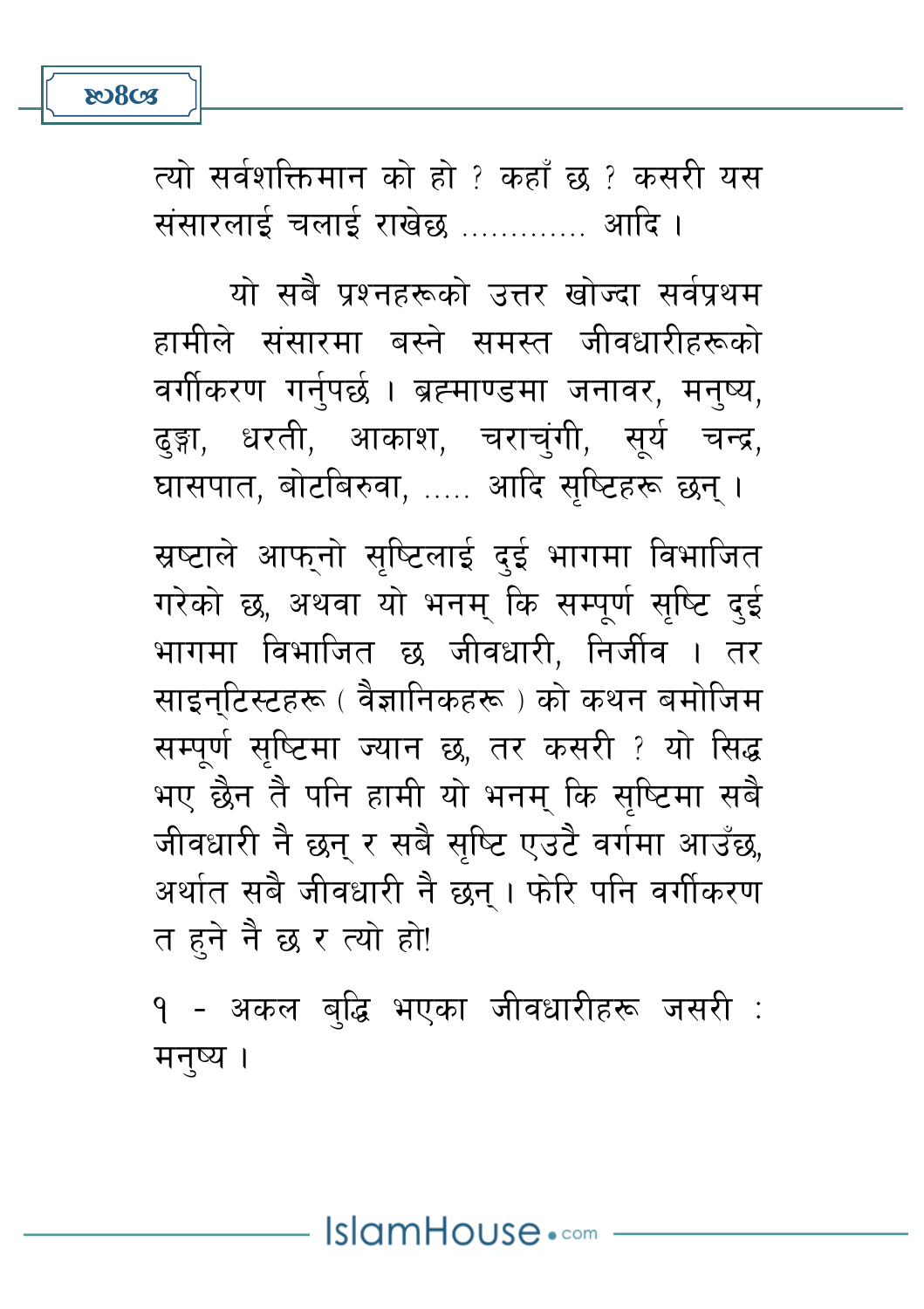**ROSCS** 

त्यो सर्वशक्तिमान को हो ? कहाँ छ ? कसरी यस 

यो सबै पश्नहरूको उत्तर खोज्दा सर्वपथम हामीले संसारमा बस्ने समस्त जीवधारीहरूको वर्गीकरण गर्नुपर्छ । ब्रह्माण्डमा जनावर, मनुष्य, ढङ्गा. धरती. आकाश. चराचंगी. सर्य चन्द्र. घासपात, बोटबिरुवा, ..... आदि सृष्टिहरू छन्।

स्रष्टाले आफनो सष्टिलाई दई भागमा विभाजित गरेको छ, अथवा यो भनम् कि सम्पूर्ण सुष्टि दुई भागमा विभाजित छ जीवधारी. निर्जीव । तर साइनटिस्टहरू ( वैज्ञानिकहरू ) को कथन बमोजिम सम्पर्ण सष्टिमा ज्यान छ, तर कसरी ? यो सिद्ध भए छैन तै पनि हामी यो भनम् कि सृष्टिमा सबै जीवधारी नै छन् र सबै सुष्टि एउटै वर्गमा आउँछ, अर्थात सबै जीवधारी नै छन् । फोरि पनि वर्गीकरण त हने नै छ र त्यो हो!

<u> १ - अकल बद्धि भएका जीवधारीहरू जसरी :</u> मनष्य ।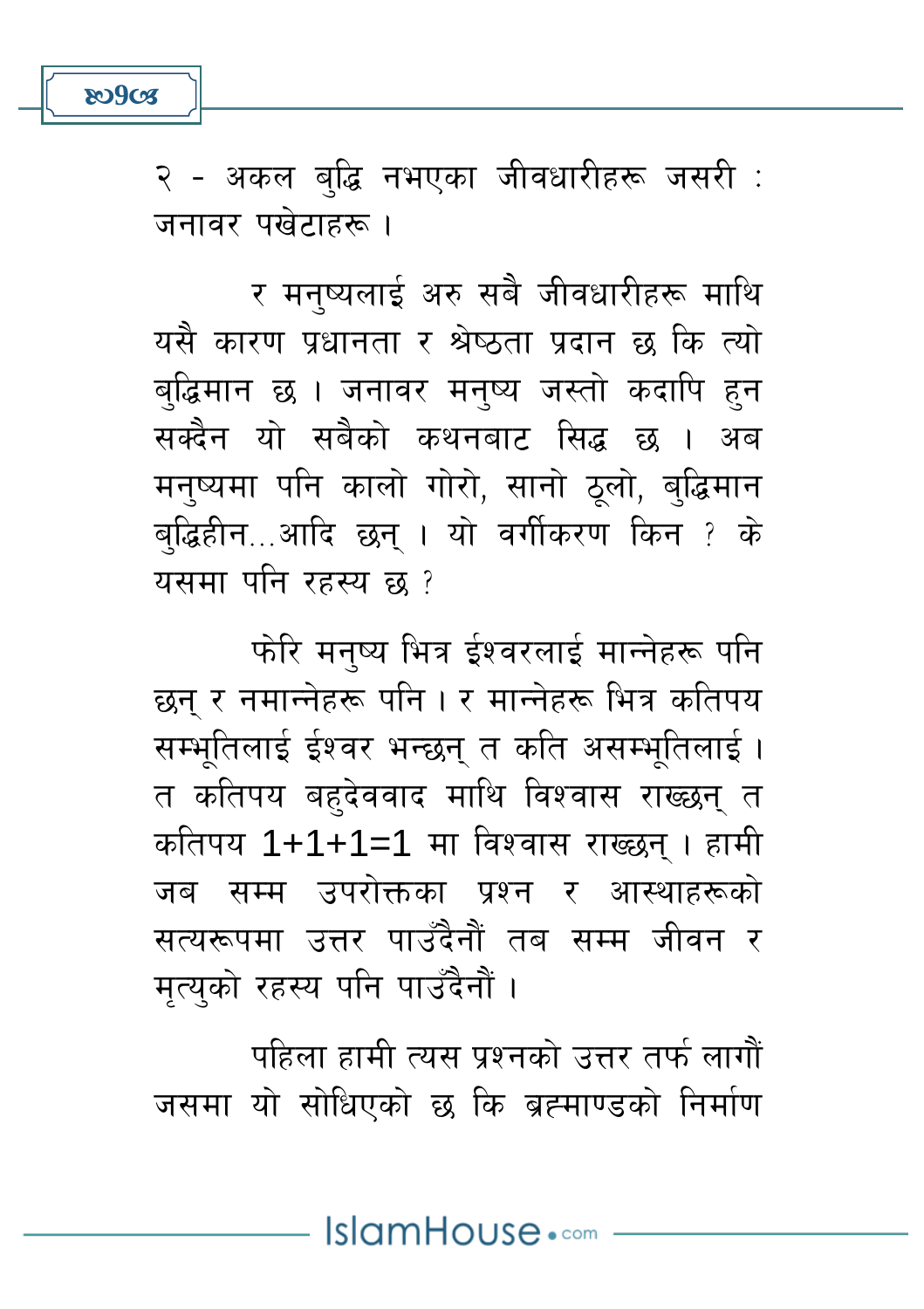

२ - अकल ब्द्धि नभएका जीवधारीहरू जसरी : जनावर पखेटाहरू ।

र मनुष्यलाई अरु सबै जीवधारीहरू माथि यसै कारण प्रधानता र श्रेष्ठता प्रदान छ कि त्यो बद्धिमान छ । जनावर मनुष्य जस्तो कदापि हुन सक्दैन यो सबैको कथनबाट सिद्ध छ । अब मन्ष्यमा पनि कालो गोरो, सानो ठूलो, बुद्धिमान ब्द्धिहीन...आदि छन् । यो वर्गीकरण किन ? के यसमा पनि रहस्य छ ?

फोरे मनष्य भित्र ईश्वरलाई मान्नेहरू पनि छन् र नमान्नेहरू पनि । र मान्नेहरू भित्र कतिपय सम्भतिलाई ईश्वर भन्छन् त कति असम्भतिलाई। त कतिपय बहुदेववाद माथि विश्वास राख्छन् त कतिपय 1+1+1=1 मा विश्वास राख्छन् । हामी जब सम्म उपरोक्तका प्रश्न र आस्थाहरूको सत्यरूपमा उत्तर पाउँदैनौं तब सम्म जीवन र मृत्युको रहस्य पनि पाउँदैनौं ।

पहिला हामी त्यस प्रश्नको उत्तर तर्फ लागौं जसमा यो सोधिएको छ कि ब्रह्माण्डको निर्माण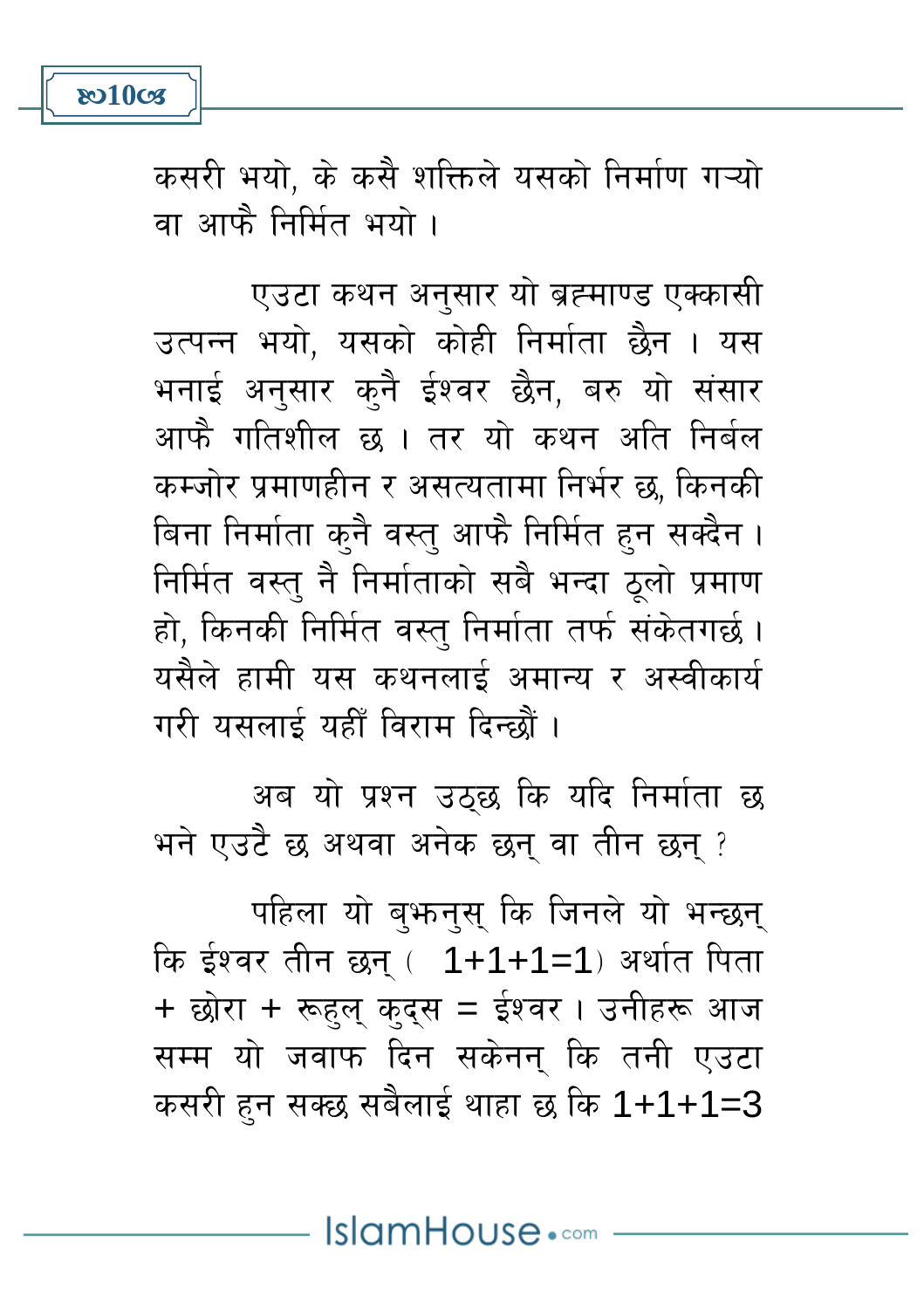

कसरी भयो, के कसै शक्तिले यसको निर्माण गऱ्यो वा आफै निर्मित भयो ।

एउटा कथन अनुसार यो ब्रह्माण्ड एक्कासी उत्पन्न भयो, यसको कोही निर्माता छैन । यस भनाई अनुसार कुनै ईश्वर छैन, बरु यो संसार आफै गतिशील छ । तर यो कथन अति निर्बल कम्जोर प्रमाणहीन र असत्यतामा निर्भर छ. किनकी बिना निर्माता कुनै वस्तु आफै निर्मित हन सक्दैन । निर्मित वस्तु नै निर्माताको सबै भन्दा ठलो प्रमाण हो, किनकी निर्मित वस्तु निर्माता तर्फ संकेतगर्छ। यसैले हामी यस कथनलाई अमान्य र अस्वीकार्य गरी यसलाई यहीँ विराम दिन्छौं ।

अब यो प्रश्न उठ्छ कि यदि निर्माता छ भने एउटै छ अथवा अनेक छन् वा तीन छन् ?

पहिला यो बभनस कि जिनले यो भन्छन् कि ईश्वर तीन छन् (1+1+1=1) अर्थात पिता + छोरा + रूहल कदस = ईश्वर । उनीहरू आज सम्म यो जवाफ दिन सकेनन कि तनी एउटा कसरी हुन सक्छ सबैलाई थाहा छ कि 1+1+1=3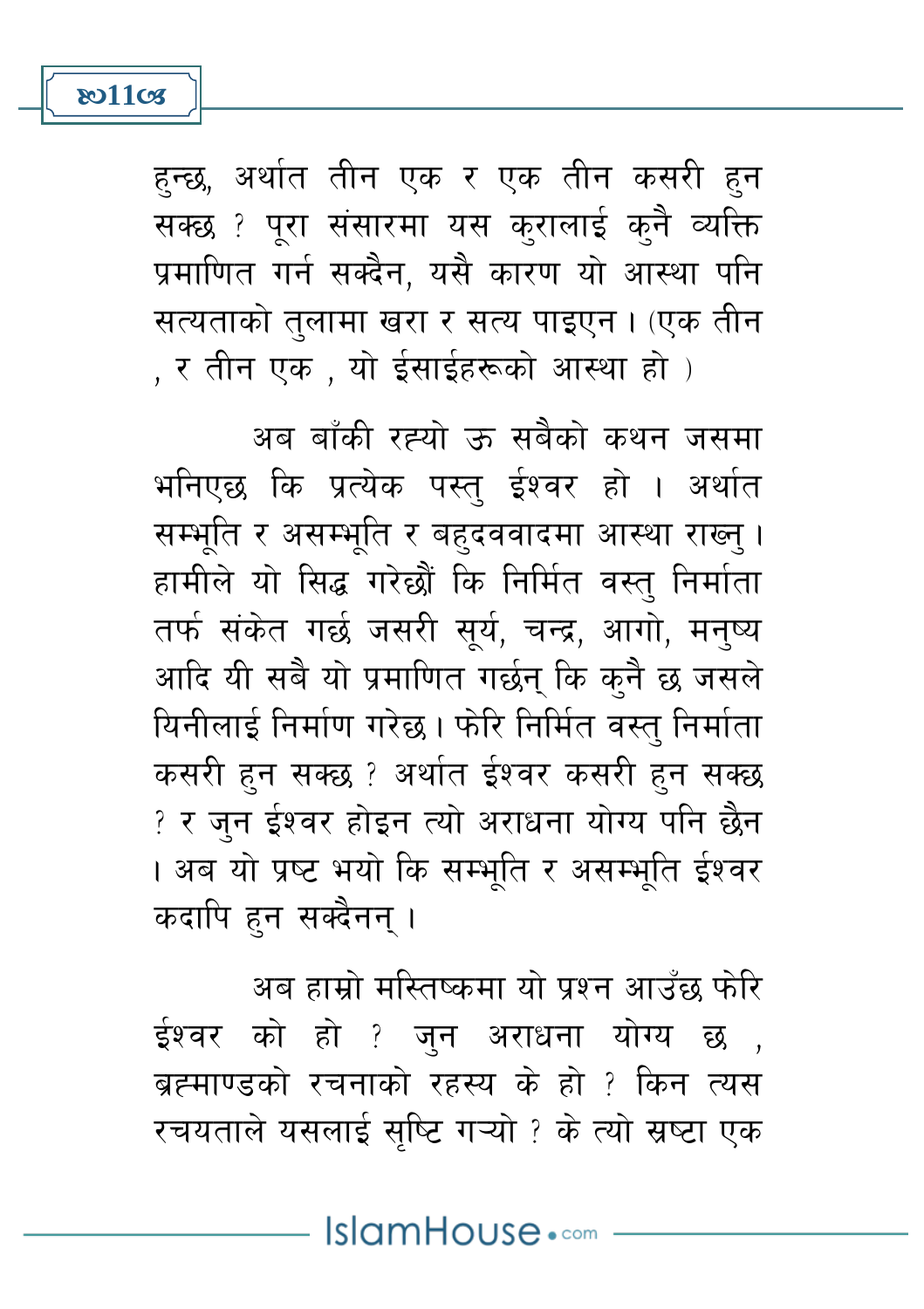

हुन्छ, अर्थात तीन एक र एक तीन कसरी हुन सक्छ ? पूरा संसारमा यस करालाई क्नै व्यक्ति प्रमाणित गर्न सक्दैन. यसै कारण यो आस्था पनि सत्यताको तलामा खरा र सत्य पाइएन। (एक तीन , र तीन एक , यो ईसाईहरूको आस्था हो )

अब बाँकी रह्यो ऊ सबैको कथन जसमा भनिएछ कि प्रत्येक पस्त् ईश्वर हो । अर्थात सम्भूति र असम्भूति र बहुदववादमा आस्था राख्नु । हामीले यो सिद्ध गरेछौं कि निर्मित वस्त निर्माता तर्फ संकेत गर्छ जसरी सूर्य, चन्द्र, आगो, मनुष्य आदि यी सबै यो प्रमाणित गर्छन् कि कुनै छ जसले यिनीलाई निर्माण गरेछ। फेरि निर्मित वस्तु निर्माता कसरी हुन सक्छ ? अर्थात ईश्वर कसरी हुन सक्छ ? र जुन ईश्वर होइन त्यो अराधना योग्य पनि छैन । अब यो प्रष्ट भयो कि सम्भूति र असम्भूति ईश्वर कदापि हन सक्दैनन् ।

अब हाम्रो मस्तिष्कमा यो पश्न आउँछ फेरि ईश्वर को हो ? जुन अराधना योग्य छ , ब्रह्मपाण्डको रचनाको रहस्य के हो ? किन त्यस रचयताले यसलाई सुष्टि गऱ्यो ? के त्यो स्रष्टा एक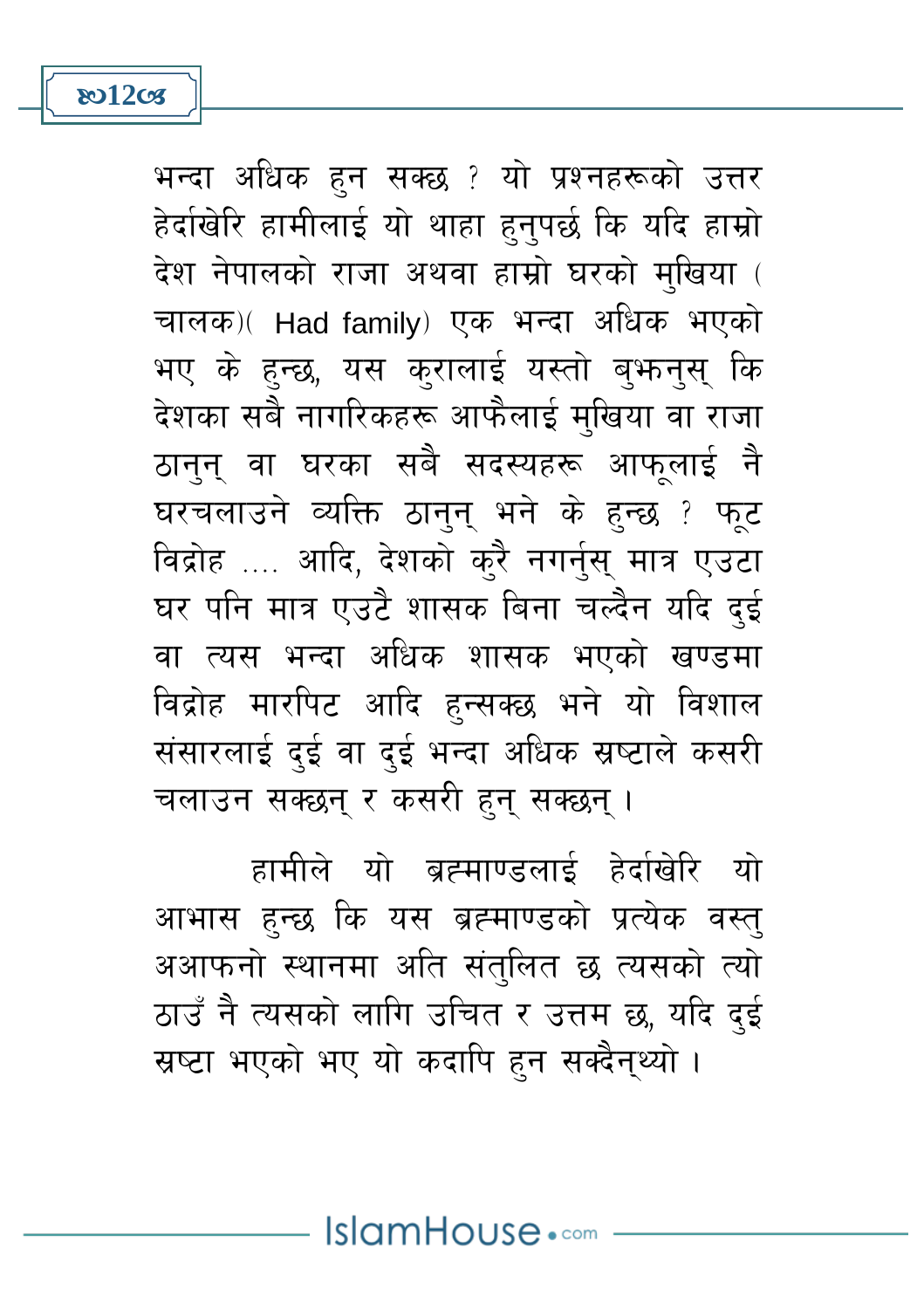**ষ্ঠা2ত্য** 

भन्दा अधिक हुन सक्छ ? यो प्रश्नहरूको उत्तर हेर्दाखेरि हामीलाई यो थाहा हुनुपर्छ कि यदि हाम्रो देश नेपालको राजा अथवा हाम्रो घरको मखिया ( चालक) (Had family) एक भन्दा अधिक भएको भए के हुन्छ, यस कुरालाई यस्तो बुफ़नुसु कि देशका सबै नागरिकहरू आफैलाई मुखिया वा राजा ठानन वा घरका सबै सदस्यहरू आफलाई नै घरचलाउने व्यक्ति ठानुन भने के हुन्छ ? फुट विद्रोह …. आदि, देशको करै नगर्नुस् मात्र एउटा घर पनि मात्र एउटै शासक बिना चल्दैन यदि दई वा त्यस भन्दा अधिक शासक भएको खण्डमा विद्रोह मारपिट आदि हुन्सक्छ भने यो विशाल संसारलाई दुई वा दुई भन्दा अधिक स्रष्टाले कसरी चलाउन सक्छन् र कसरी हुन् सक्छन् ।

हामीले यो ब्रह्माण्डलाई हेर्दाखेरि यो आभास हुन्छ कि यस ब्रह्माण्डको प्रत्येक वस्तु अआफनो स्थानमा अति संतुलित छ त्यसको त्यो ठाउँ नै त्यसको लागि उचित र उत्तम छ, यदि दई स्रष्टा भएको भए यो कदापि हुन सक्दैनथ्यो ।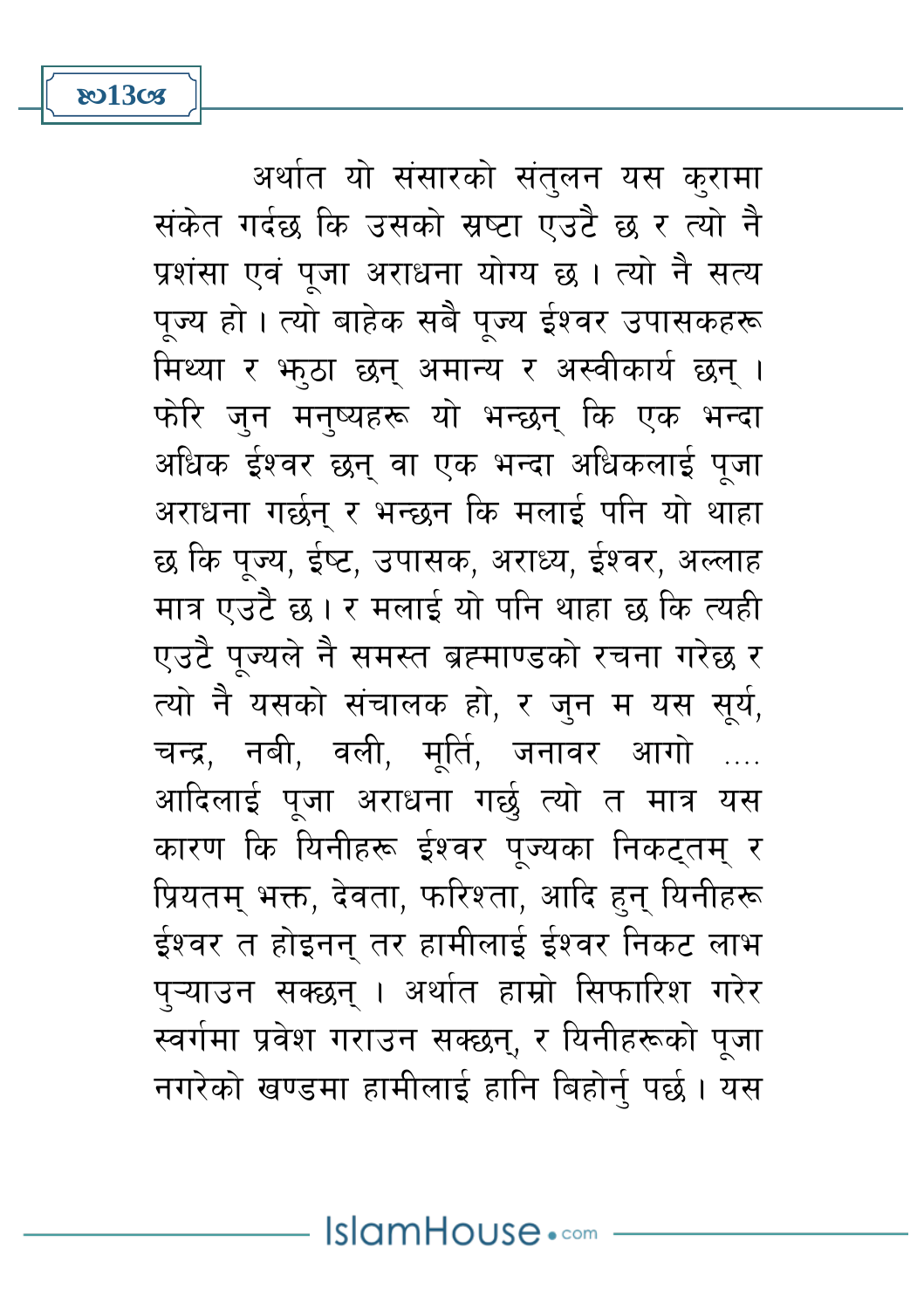**তে**13তে

अर्थात यो संसारको संतुलन यस कुरामा संकेत गर्दछ कि उसको स्रष्टा एउटै छ र त्यो नै प्रशंसा एवं पजा अराधना योग्य छ । त्यो नै सत्य पज्य हो । त्यो बाहेक सबै पज्य ईश्वर उपासकहरू मिथ्या र भूठा छन् अमान्य र अस्वीकार्य छन् । फोरे जन मनष्यहरू यो भन्छन् कि एक भन्दा अधिक ईश्वर छन् वा एक भन्दा अधिकलाई पूजा अराधना गर्छन् र भन्छन कि मलाई पनि यो थाहा छ कि पूज्य, ईष्ट, उपासक, अराध्य, ईश्वर, अल्लाह मात्र एउटै छ। र मलाई यो पनि थाहा छ कि त्यही एउटै पुज्यले नै समस्त ब्रह्माण्डको रचना गरेछ र त्यो नै यसको संचालक हो, र जुन म यस सूर्य, चन्द्र, नबी, वली, मूर्ति, जनावर आगो आदिलाई पूजा अराधना गर्छ त्यो त मात्र यस कारण कि यिनीहरू ईश्वर पुज्यका निकटतम् र प्रियतम् भक्त, देवता, फरिश्ता, आदि हन् यिनीहरू ईश्वर त होइनन् तर हामीलाई ईश्वर निकट लाभ पऱ्याउन सक्छन । अर्थात हाम्रो सिफारिश गरेर स्वर्गमा प्रवेश गराउन सक्छन्, र यिनीहरूको पुजा नगरेको खण्डमा हामीलाई हानि बिहोर्न पर्छ । यस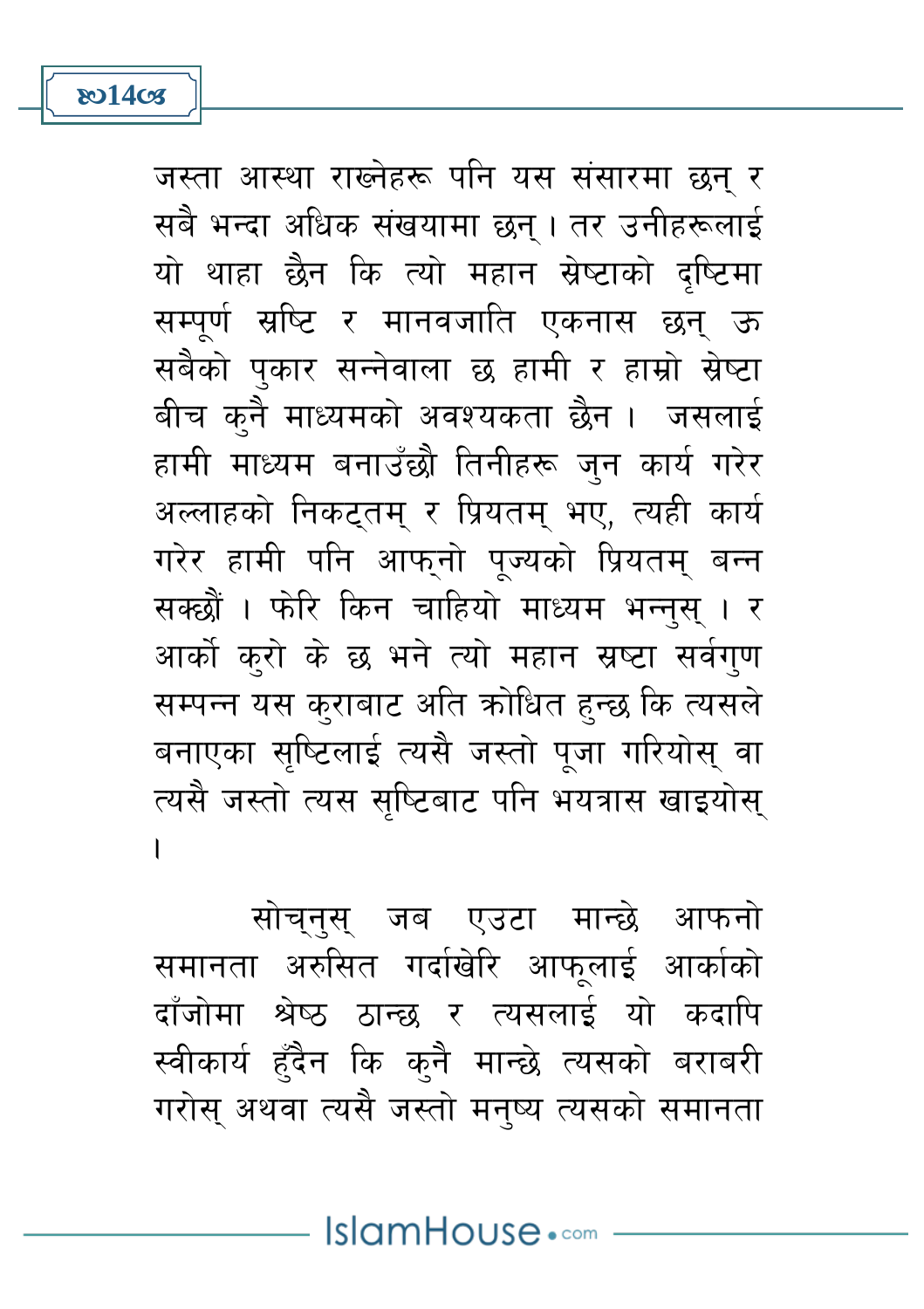जस्ता आस्था राख्नेहरू पनि यस संसारमा छन् र सबै भन्दा अधिक संखयामा छन् । तर उनीहरूलाई यो थाहा छैन कि त्यो महान स्रेष्टाको दष्टिमा सम्पर्ण स्रष्टि र मानवजाति एकनास छन् ऊ सबैको पुकार सन्नेवाला छ हामी र हाम्रो स्रेष्टा बीच कुनै माध्यमको अवश्यकता छैन । जसलाई हामी माध्यम बनाउँछौ तिनीहरू जुन कार्य गरेर अल्लाहको निकटुतम् र प्रियतम् भए, त्यही कार्य गरेर हामी पनि आफ्नो पूज्यको प्रियतम् बन्न सक्छौं । फेरि किन चाहियो माध्यम भन्नस् । र आर्को करो के छ भने त्यो महान स्रष्टा सर्वगुण सम्पन्न यस कुराबाट अति कोधित हुन्छ कि त्यसले बनाएका सृष्टिलाई त्यसै जस्तो पूजा गरियोस् वा त्यसै जस्तो त्यस सुष्टिबाट पनि भयत्रास खाइयोस्  $\overline{\phantom{a}}$ 

सोचनस जब एउटा मान्छे आफनो समानता अरुसित गर्दाखेरि आफुलाई आर्काको दाँजोमा श्रेष्ठ ठान्छ र त्यसलाई यो कदापि स्वीकार्य हुँदैन कि क्नै मान्छे त्यसको बराबरी गरोसु अथवा त्यसै जस्तो मनुष्य त्यसको समानता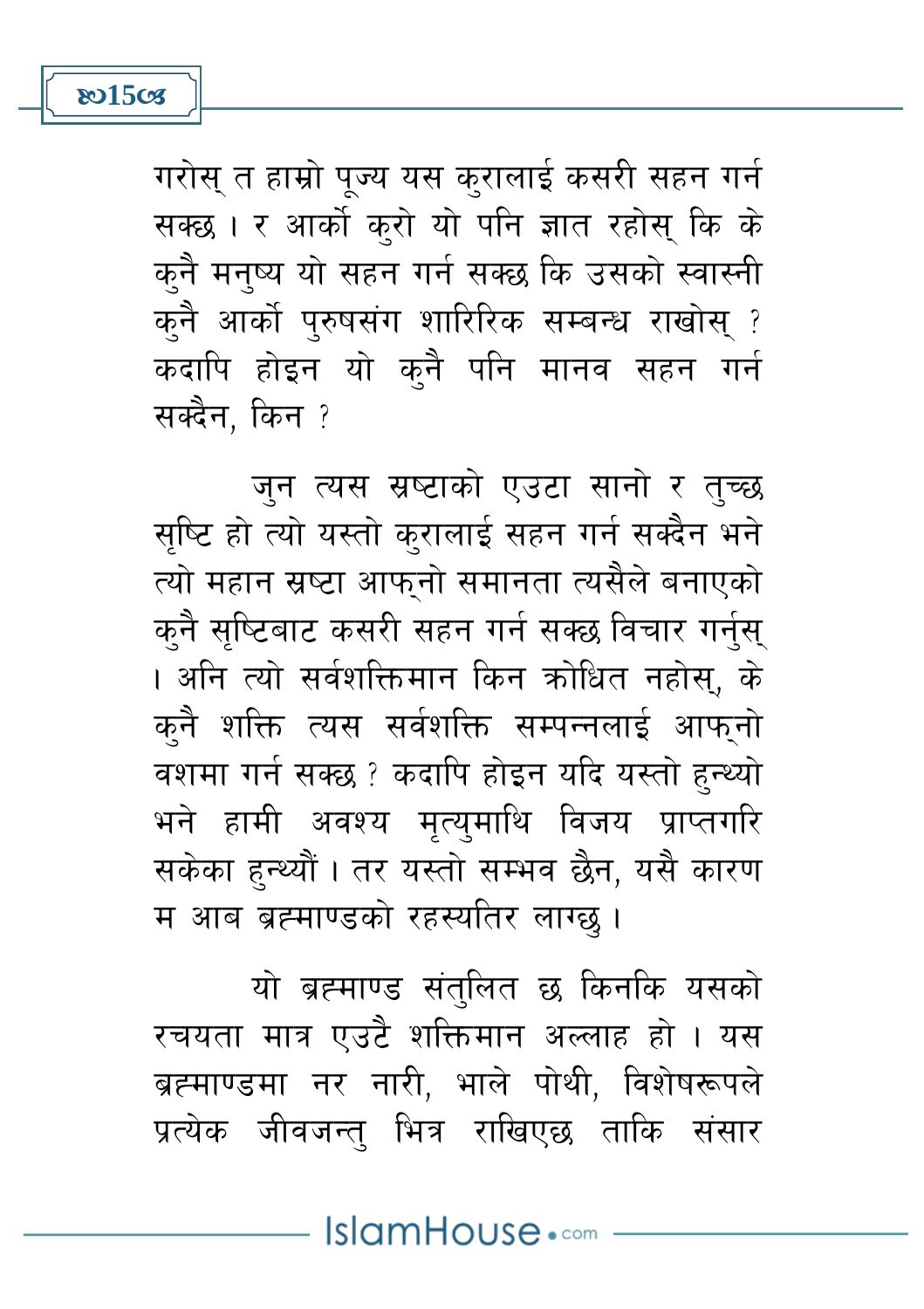गरोस् त हाम्रो पूज्य यस कुरालाई कसरी सहन गर्न सक्छ। र आर्को करो यो पनि ज्ञात रहोस् कि के कनै मनष्य यो सहन गर्न सक्छ कि उसको स्वास्नी कनै आर्को पुरुषसंग शारिरिक सम्बन्ध राखोस् ? कदापि होइन यो कुनै पनि मानव सहन गर्न सक्दैन, किन ?

**ষ্ঠ15** তের

जन त्यस स्रष्टाको एउटा सानो र तुच्छ सृष्टि हो त्यो यस्तो कुरालाई सहन गर्न सक्दैन भने त्यो महान स्रष्टा आफनो समानता त्यसैले बनाएको कनै सुष्टिबाट कसरी सहन गर्न सक्छ विचार गर्नुस् । अनि त्यो सर्वशक्तिमान किन कोधित नहोस, के कुनै शक्ति त्यस सर्वशक्ति सम्पन्नलाई आफनो वशमा गर्न सक्छ ? कदापि होइन यदि यस्तो हुन्थ्यो भने हामी अवश्य मृत्युमाथि विजय प्राप्तगरि सकेका हुन्थ्यौं । तर यस्तो सम्भव छैन, यसै कारण म आब ब्रह्माण्डको रहस्यतिर लाग्छ।

यो ब्रह्माण्ड संतुलित छ किनकि यसको रचयता मात्र एउटै शक्तिमान अल्लाह हो । यस ब्रह्माण्डमा नर नारी, भाले पोथी, विशेषरूपले प्रत्येक जीवजन्तु भित्र राखिएछ ताकि संसार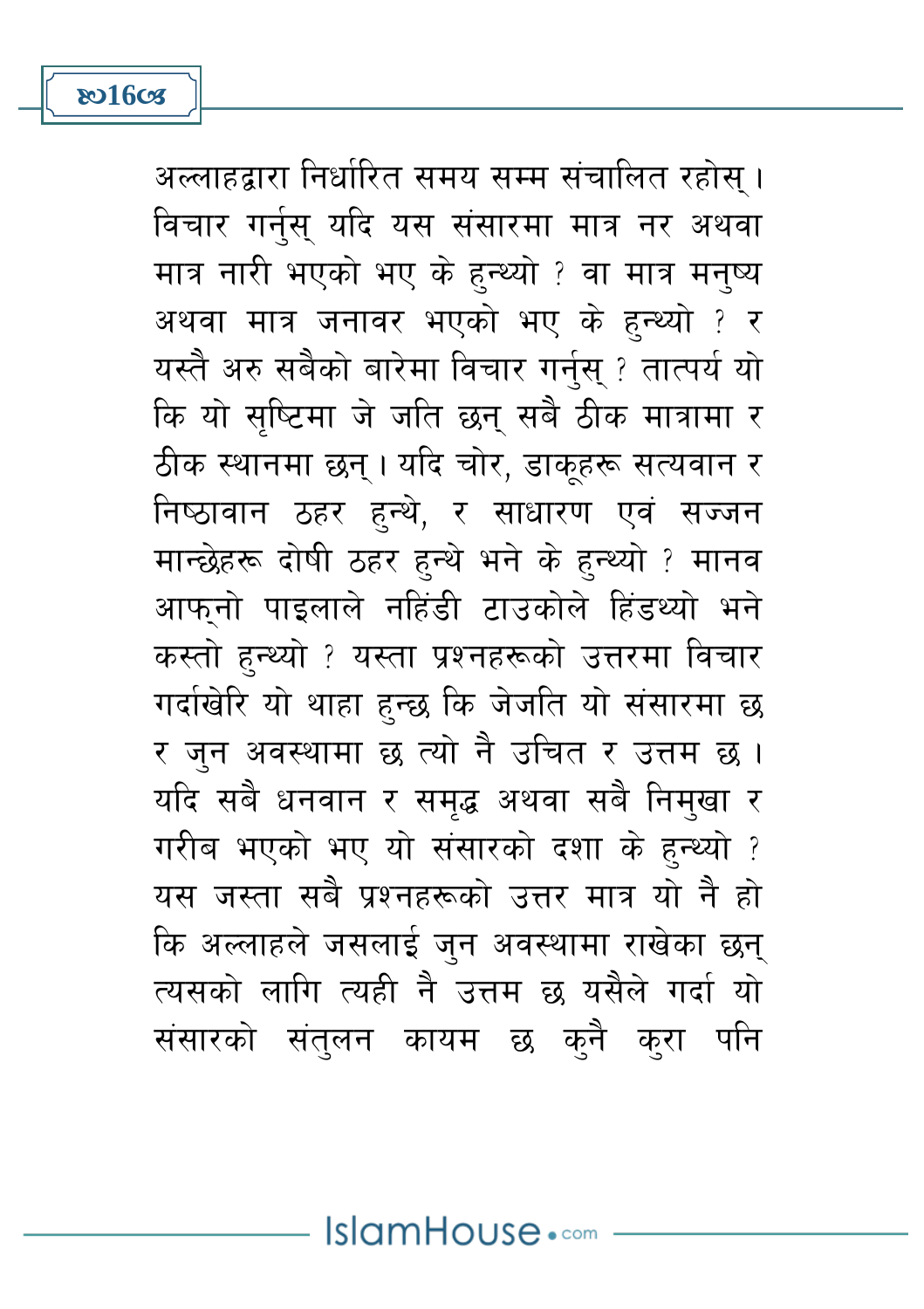अल्लाहद्वारा निर्धारित समय सम्म संचालित रहोस् । विचार गर्नुस् यदि यस संसारमा मात्र नर अथवा मात्र नारी भएको भए के हुन्थ्यो ? वा मात्र मनष्य अथवा मात्र जनावर भएको भए के हुन्थ्यो ? र यस्तै अरु सबैको बारेमा विचार गर्नुस् ? तात्पर्य यो कि यो सष्टिमा जे जति छन् सबै ठीक मात्रामा र ठीक स्थानमा छन् । यदि चोर, डाकूहरू सत्यवान र निष्ठावान ठहर हन्थे, र साधारण एवं सज्जन मान्छेहरू दोषी ठहर हन्थे भने के हन्थ्यो ? मानव आफनो पाइलाले नहिंडी टाउकोले हिंडथ्यो भने कस्तो हुन्थ्यो ? यस्ता प्रश्नहरूको उत्तरमा विचार गर्दाखेरि यो थाहा हुन्छ कि जेजति यो संसारमा छ र जुन अवस्थामा छ त्यो नै उचित र उत्तम छ । यदि सबै धनवान र समद्ध अथवा सबै निमुखा र गरीब भएको भए यो संसारको दशा के हुन्थ्यो ? यस जस्ता सबै प्रश्नहरूको उत्तर मात्र यो नै हो कि अल्लाहले जसलाई जन अवस्थामा राखेका छन् त्यसको लागि त्यही नै उत्तम छ यसैले गर्दा यो संसारको संतुलन कायम छ क्नै क्रा पनि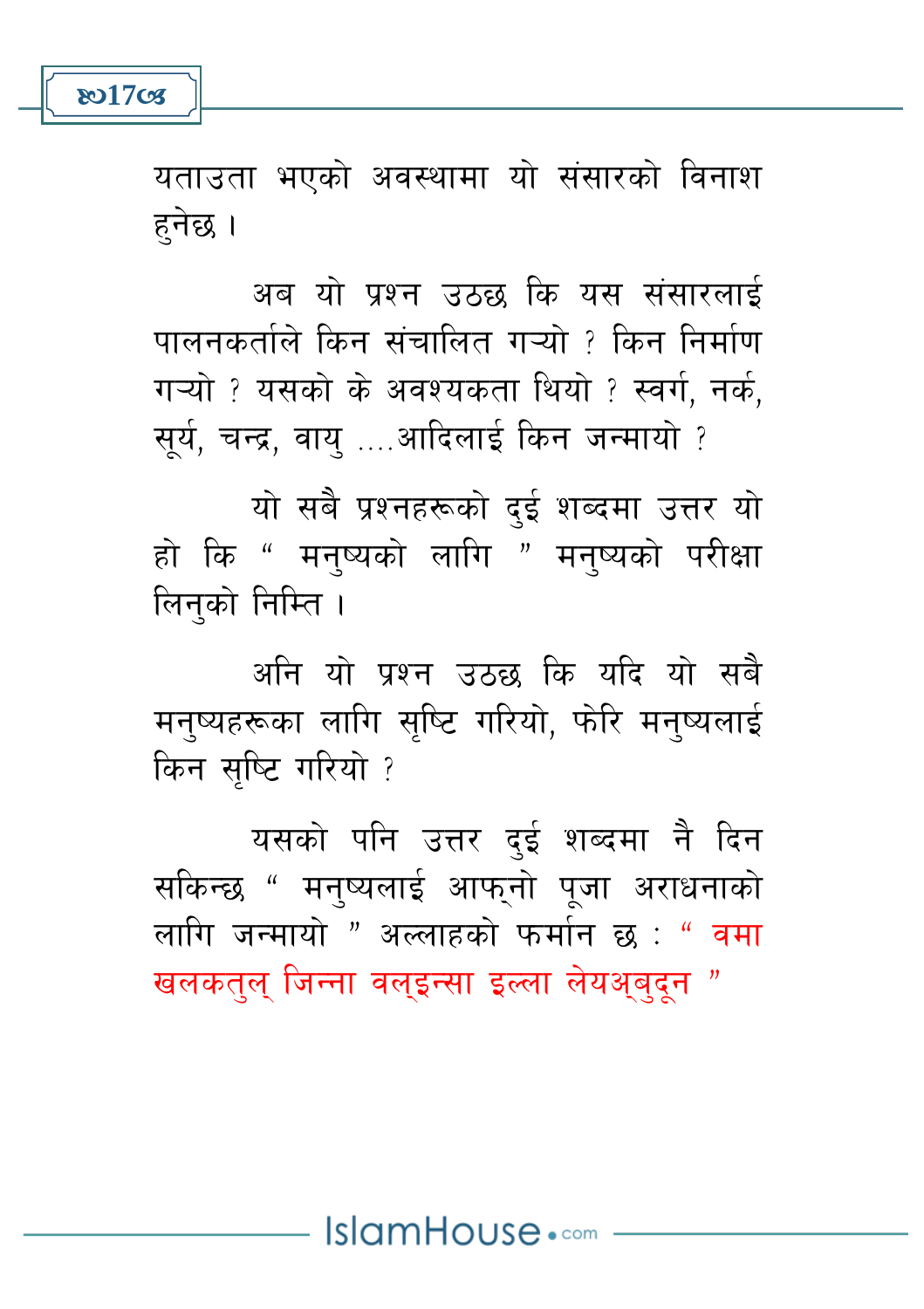**801708** 

यताउता भएको अवस्थामा यो संसारको विनाश हनेछ ।

अब यो प्रश्न उठछ कि यस संसारलाई पालनकर्ताले किन संचालित गऱ्यो ? किन निर्माण गऱ्यो ? यसको के अवश्यकता थियो ? स्वर्ग, नर्क, सर्य, चन्द्र, वाय ....आदिलाई किन जन्मायो ?

यो सबै प्रश्नहरूको दई शब्दमा उत्तर यो हो कि " मनष्यको लागि " मनष्यको परीक्षा लिनुको निम्ति ।

अनि यो प्रश्न उठछ कि यदि यो सबै मन्ष्यहरूका लागि सृष्टि गरियो, फोरे मन्ष्यलाई किन सुष्टि गरियो ?

यसको पनि उत्तर दुई शब्दमा नै दिन सकिन्छ " मनष्यलाई आफनो पजा अराधनाको लागि जन्मायो " अल्लाहको फर्मान छ : " वमा खलकतल जिन्ना वलइन्सा इल्ला लेयअबदन "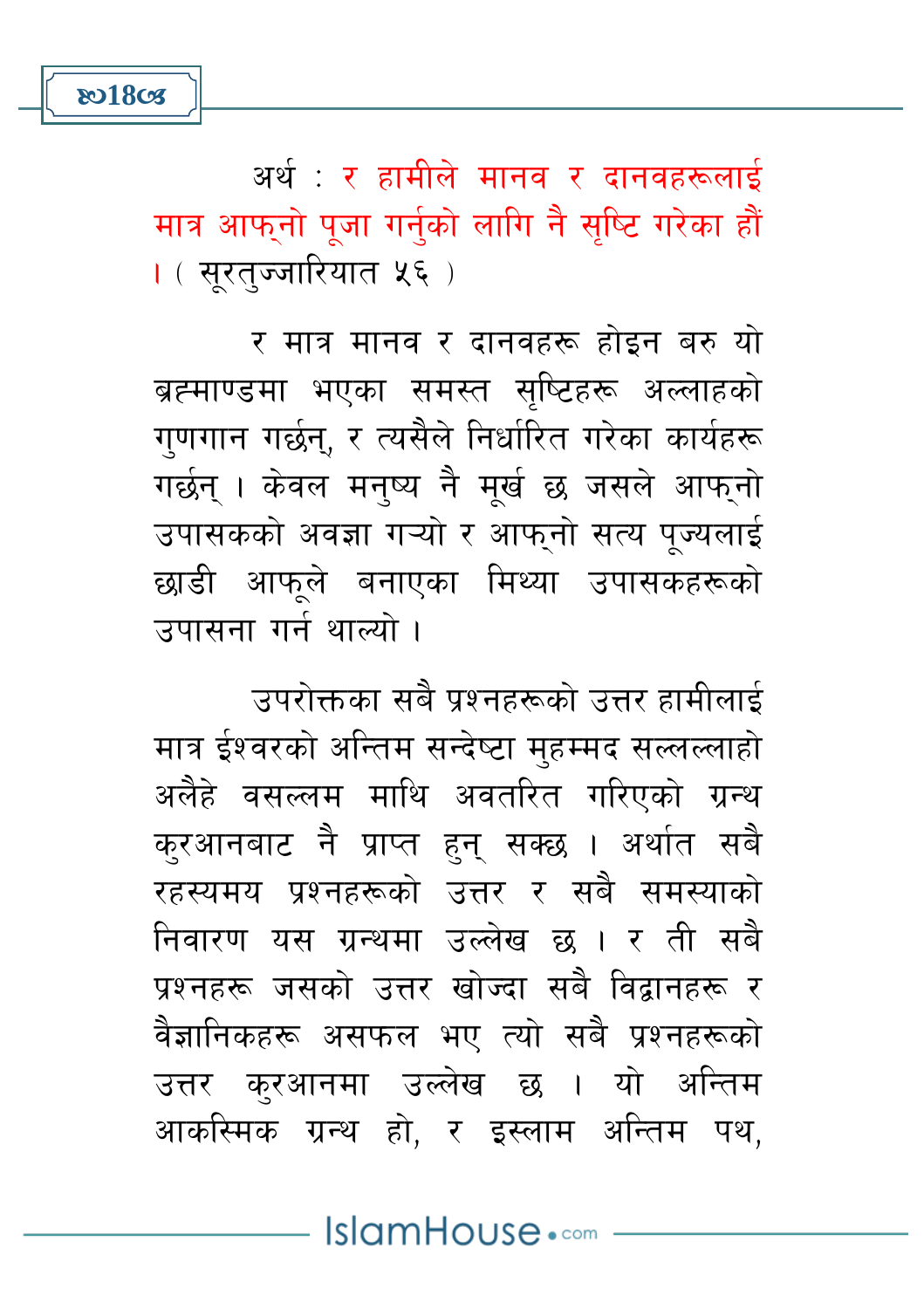IslamHouse.com

करआनबाट नै प्राप्त हुन सक्छ । अर्थात सबै रहस्यमय प्रश्नहरूको उत्तर र सबै समस्याको निवारण यस ग्रन्थमा उल्लेख छ । र ती सबै प्रश्नहरू जसको उत्तर खोज्दा सबै विद्वानहरू र वैज्ञानिकहरू असफल भए त्यो सबै प्रश्नहरूको उत्तर करआनमा उल्लेख छ । यो अन्तिम आकस्मिक ग्रन्थ हो, र इस्लाम अन्तिम पथ,

मात्र ईश्वरको अन्तिम सन्देष्टा महम्मद सल्लल्लाहो अलैहे वसल्लम माथि अवतरित गरिएको ग्रन्थ

र मात्र मानव र दानवहरू होइन बरु यो ब्रह्माण्डमा भएका समस्त सुष्टिहरू अल्लाहको गुणगान गर्छन्, र त्यसैले निर्धारित गरेका कार्यहरू गर्छन । केवल मनष्य नै मुर्ख छ जसले आफ्नो उपासकको अवज्ञा गऱ्यो र आफ्नो सत्य पूज्यलाई छाडी आफुले बनाएका मिथ्या उपासकहरूको

उपरोक्तका सबै प्रश्नहरूको उत्तर हामीलाई

उपासना गर्न थाल्यो ।

अर्थ : र हामीले मानव र दानवहरूलाई मात्र आफुनो पूजा गर्नुको लागि नै सृष्टि गरेका हौं । ( सूरत्ज्जारियात ५६ )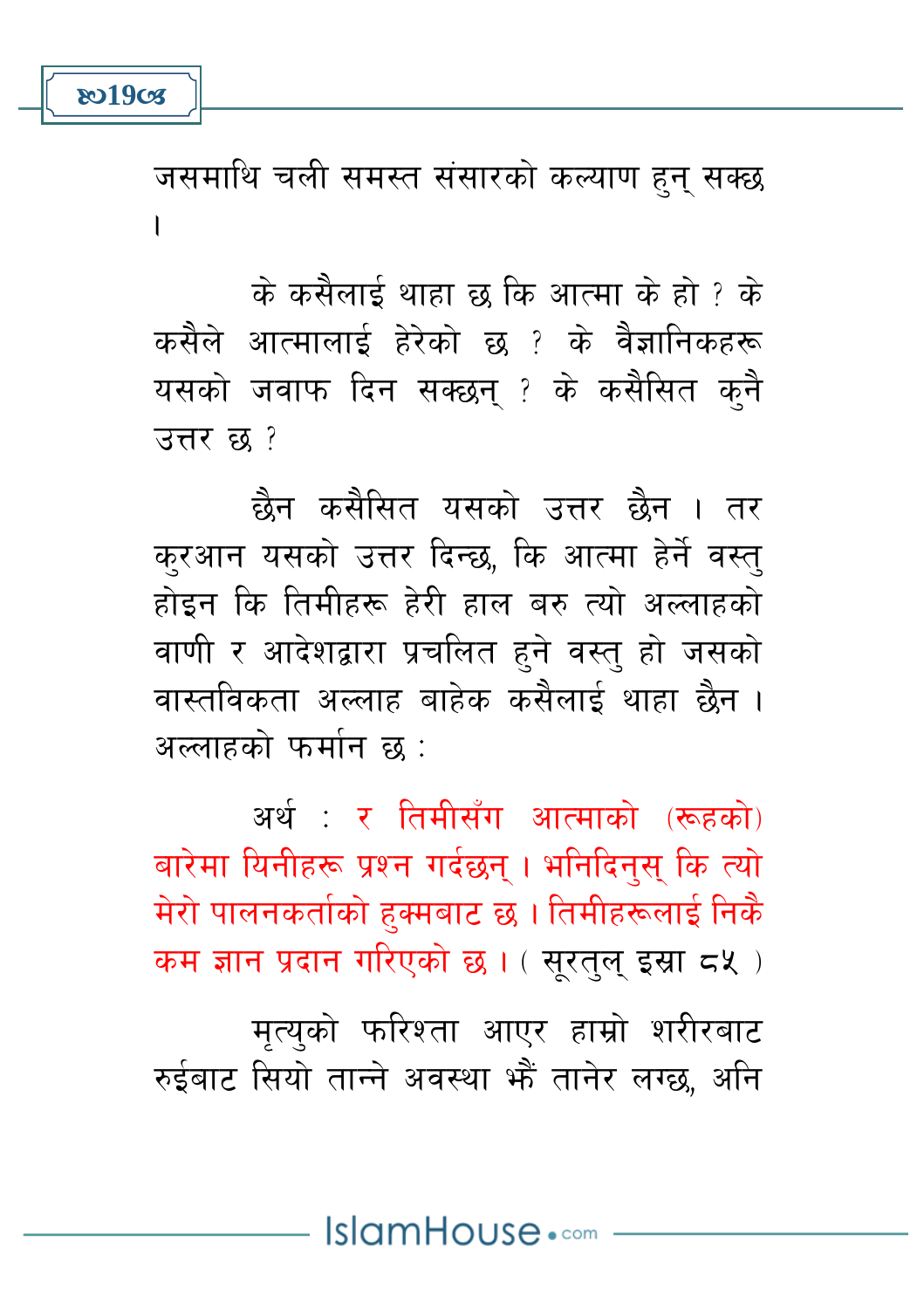जसमाथि चली समस्त संसारको कल्याण हुन् सक्छ  $\overline{\phantom{a}}$ 

के कसैलाई थाहा छ कि आत्मा के हो ? के कसैले आत्मालाई हेरेको छ ? के वैज्ञानिकहरू यसको जवाफ दिन सक्छन् ? के कसैसित कनै उत्तर छ ?

छैन कसैसित यसको उत्तर छैन । तर करआन यसको उत्तर दिन्छ, कि आत्मा हेर्ने वस्त् होड़न कि तिमीहरू हेरी हाल बरु त्यो अल्लाहको वाणी र आदेशद्वारा प्रचलित हने वस्त हो जसको वास्तविकता अल्लाह बाहेक कसैलाई थाहा छैन । अल्लादको फर्मान क $^+$ 

अर्थ: र तिमीसँग आत्माको (रूहको) बारेमा यिनीहरू प्रश्न गर्दछन । भनिदिनस कि त्यो मेरो पालनकर्ताको हक्मबाट छ । तिमीहरूलाई निकै कम ज्ञान प्रदान गरिएको छ। (सरतल इस्रा ८५)

मृत्युको फरिश्ता आएर हाम्रो शरीरबाट रुईबाट सियो तान्ने अवस्था भें तानेर लग्छ, अनि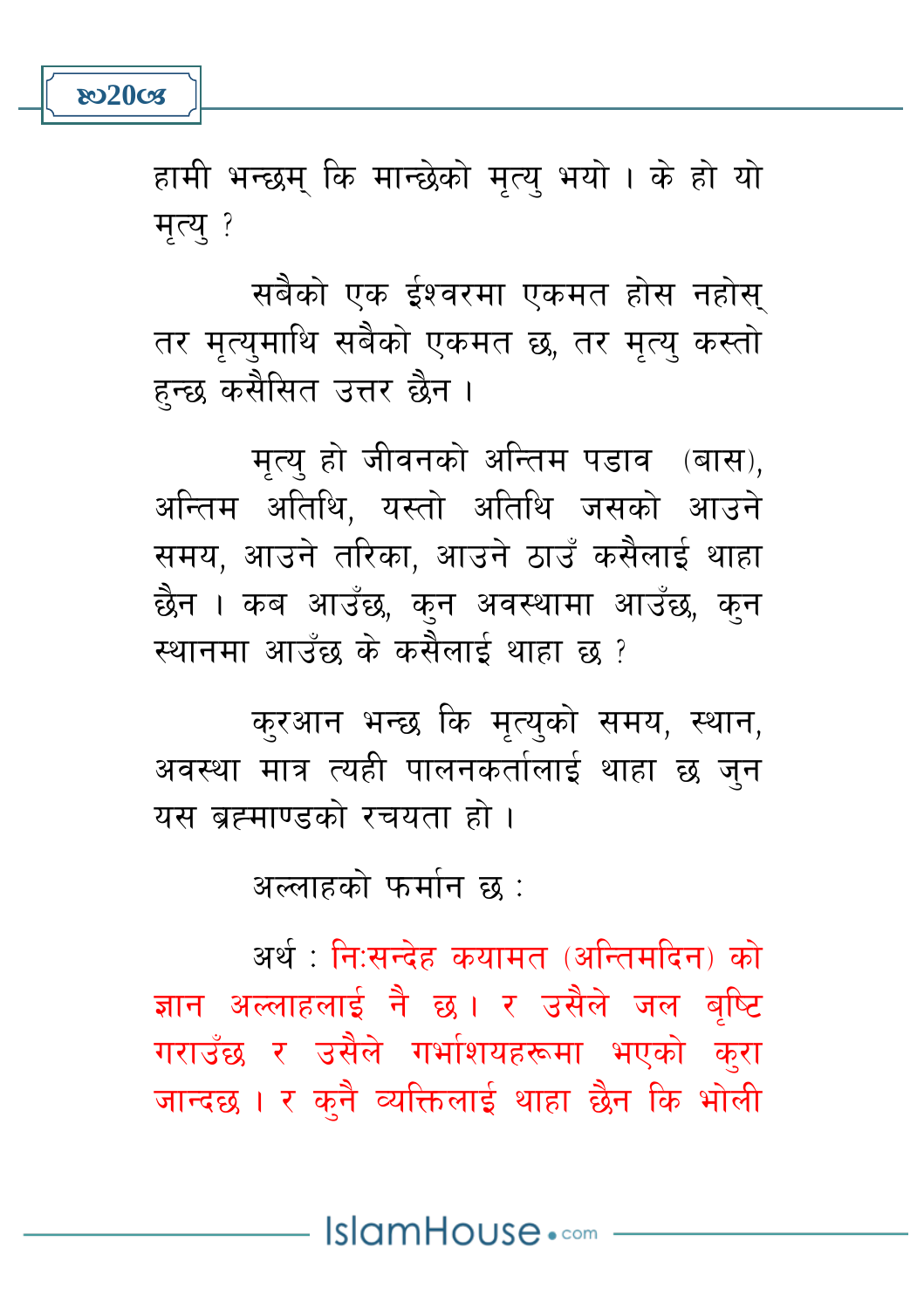

हामी भन्छम् कि मान्छेको मत्य भयो । के हो यो मृत्य् ?

सबैको एक ईश्वरमा एकमत होस नहोस् तर मत्यमाथि सबैको एकमत छ, तर मत्य कस्तो हन्छ कसैसित उत्तर छैन ।

मृत्य हो जीवनको अन्तिम पडाव (बास), अन्तिम अतिथि, यस्तो अतिथि जसको आउने समय, आउने तरिका, आउने ठाउँ कसैलाई थाहा छैन । कब आउँछ, कुन अवस्थामा आउँछ, कुन स्थानमा आउँछ के कसैलाई थाहा छ ?

करआन भन्छ कि मृत्युको समय, स्थान, अवस्था मात्र त्यही पालनकर्तालाई थाहा छ जुन यस ब्रह्माण्डको रचयता हो।

अल्लाहको फर्मान छ :

अर्थ : नि:सन्देह कयामत (अन्तिमदिन) को ज्ञान अल्लाहलाई नै छ । र उसैले जल बुष्टि गराउँछ र उसैले गर्भाशयहरूमा भएको करा जान्दछ। र कुनै व्यक्तिलाई थाहा छैन कि भोली

IslamHouse.com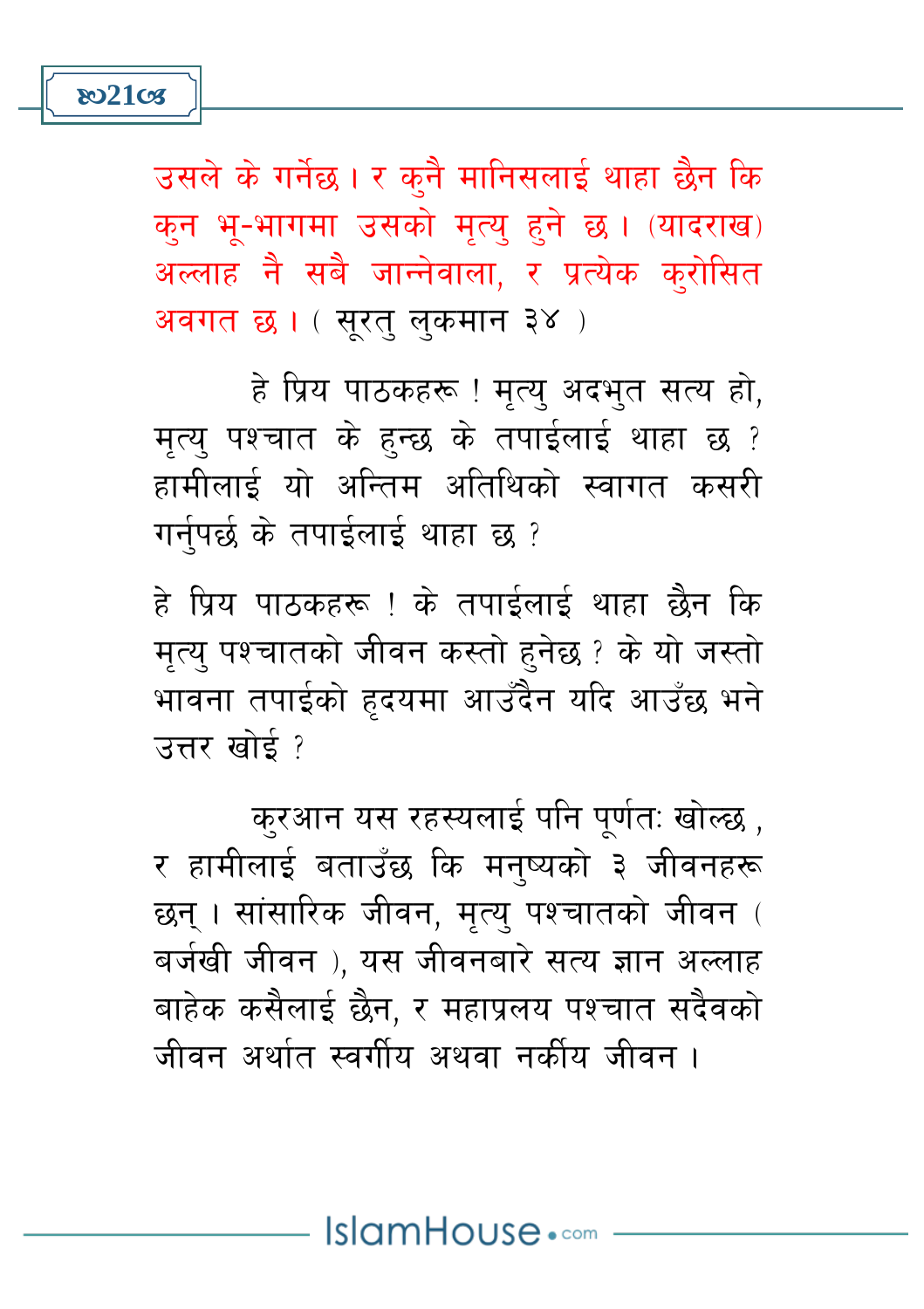

उसले के गर्नेछ। र कनै मानिसलाई थाहा छैन कि क्त भू-भागमा उसको मृत्यू हुने छ। (यादराख) अल्लाह नै सबै जान्नेवाला, र प्रत्येक क्रोसित अवगत छ। (सुरत् लुकमान ३४)

हे प्रिय पाठकहरू ! मृत्य् अदभुत सत्य हो, मत्य पश्चात के हुन्छ के तपाईलाई थाहा छ ? हामीलाई यो अन्तिम अतिथिको स्वागत कसरी गर्नुपर्छ के तपाईलाई थाहा छ ?

हे प्रिय पाठकहरू ! के तपाईलाई थाहा छैन कि मत्य पश्चातको जीवन कस्तो हनेछ ? के यो जस्तो भावना तपाईको हृदयमा आउँदैन यदि आउँछ भने उत्तर खोर्द?

करआन यस रहस्यलाई पनि पूर्णतः खोल्छ , र हामीलाई बताउँछ कि मनष्यको ३ जीवनहरू छन् । सांसारिक जीवन, मत्य पश्चातको जीवन ( बर्जखी जीवन), यस जीवनबारे सत्य ज्ञान अल्लाह बाहेक कसैलाई छैन. र महाप्रलय पश्चात सदैवको जीवन अर्थात स्वर्गीय अथवा नकीय जीवन ।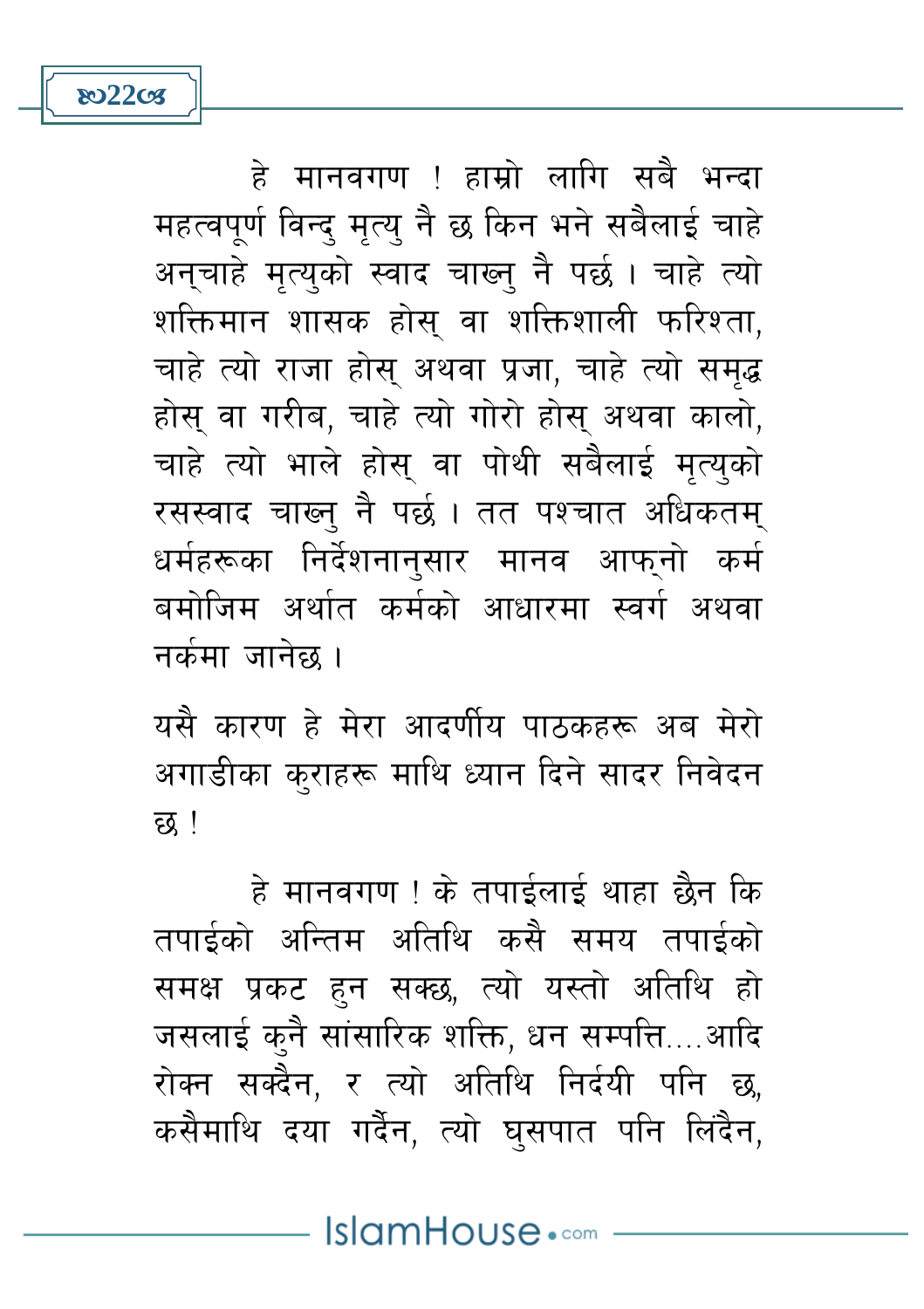हे मानवगण ! हाम्रो लागि सबै भन्दा महत्वपूर्ण विन्द् मृत्य् नै छ किन भने सबैलाई चाहे अनचाहे मत्यको स्वाद चाख्न नै पर्छ। चाहे त्यो शक्तिमान शासक होस वा शक्तिशाली फरिश्ता, चाहे त्यो राजा होस अथवा प्रजा, चाहे त्यो समद्ध होस वा गरीब, चाहे त्यो गोरो होस अथवा कालो, चाहे त्यो भाले होस वा पोथी सबैलाई मत्यको रसस्वाद चाख्न् नै पर्छ । तत पश्चात अधिकतम् धर्महरूका निर्देशनानुसार मानव आफ्नो कर्म बमोजिम अर्थात कर्मको आधारमा स्वर्ग अथवा नर्कमा जानेछ ।

**802208** 

यसै कारण हे मेरा आदर्णीय पाठकहरू अब मेरो अगाडीका कराहरू माथि ध्यान दिने सादर निवेदन छ !

हे मानवगण ! के तपाईलाई थाहा छैन कि तपाईको अन्तिम अतिथि कसै समय तपाईको समक्ष प्रकट हुन सक्छ, त्यो यस्तो अतिथि हो जसलाई कुनै सांसारिक शक्ति, धन सम्पत्ति....आदि रोक्न सक्दैन, र त्यो अतिथि निर्दयी पनि छ, कसैमाथि दया गर्दैन, त्यो घुसपात पनि लिंदैन,

IslamHouse.com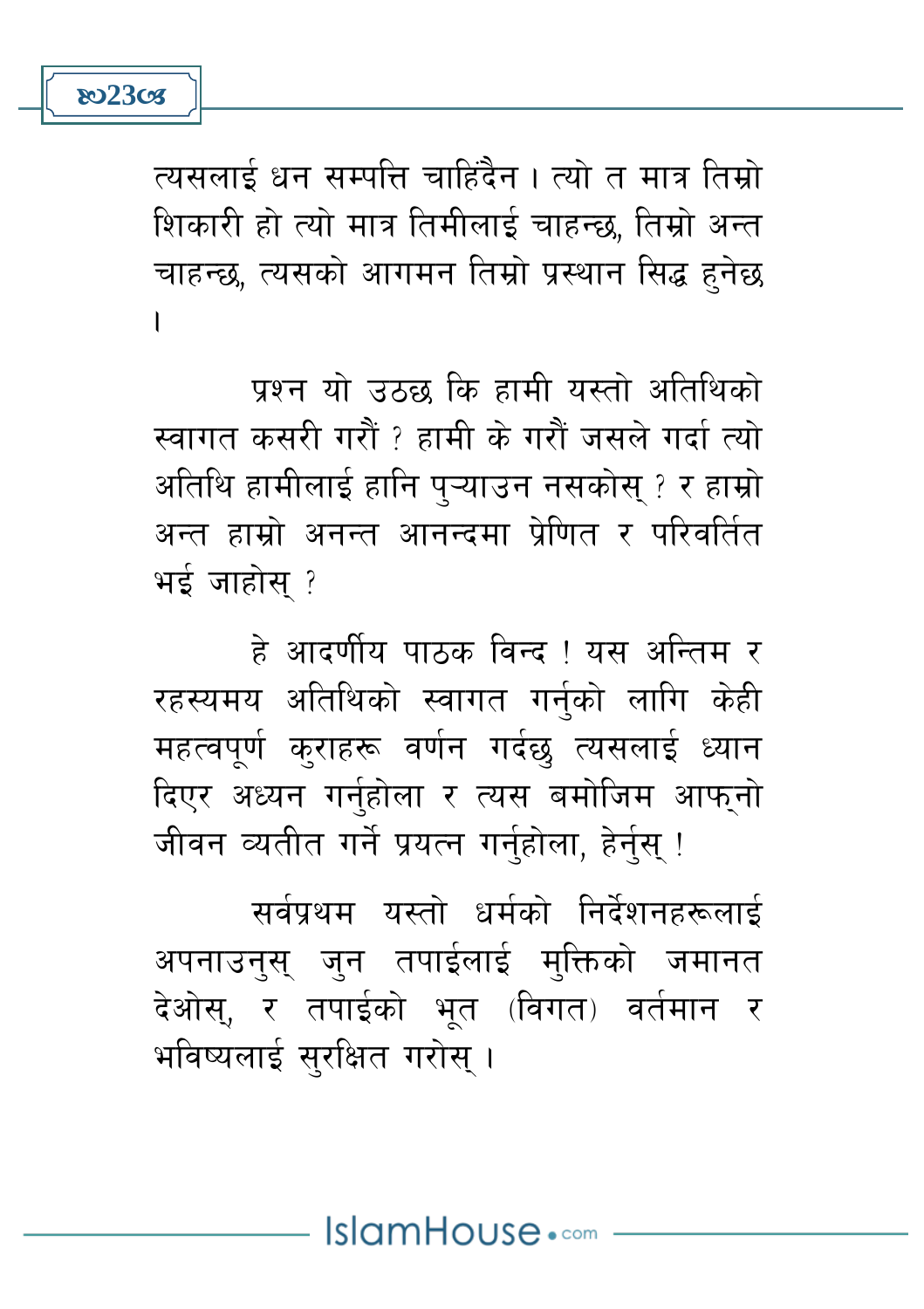त्यसलाई धन सम्पत्ति चाहिंदैन । त्यो त मात्र तिम्रो शिकारी हो त्यो मात्र तिमीलाई चाहन्छ, तिम्रो अन्त चाहन्छ, त्यसको आगमन तिम्रो प्रस्थान सिद्ध हुनेछ  $\overline{\phantom{a}}$ 

पश्न यो उठछ कि हामी यस्तो अतिथिको स्वागत कसरी गरौं ? हामी के गरौं जसले गर्दा त्यो अतिथि हामीलाई हानि प्ऱ्याउन नसकोस् ? र हाम्रो अन्त हाम्रो अनन्त आनन्दमा प्रेणित र परिवर्तित भई जाहोस ?

हे आदर्णीय पाठक विन्द ! यस अन्तिम र रहस्यमय अतिथिको स्वागत गर्नको लागि केही महत्वपूर्ण कराहरू वर्णन गर्दछ त्यसलाई ध्यान दिएर अध्यन गर्नुहोला र त्यस बमोजिम आफ्नो जीवन व्यतीत गर्ने प्रयत्न गर्नुहोला, हेर्नुस् !

सर्वप्रथम यस्तो धर्मको निर्देशनहरूलाई अपनाउन्स् जुन तपाईलाई मुक्तिको जमानत देओस, र तपाईको भूत (विगत) वर्तमान र भविष्यलाई सरक्षित गरोस।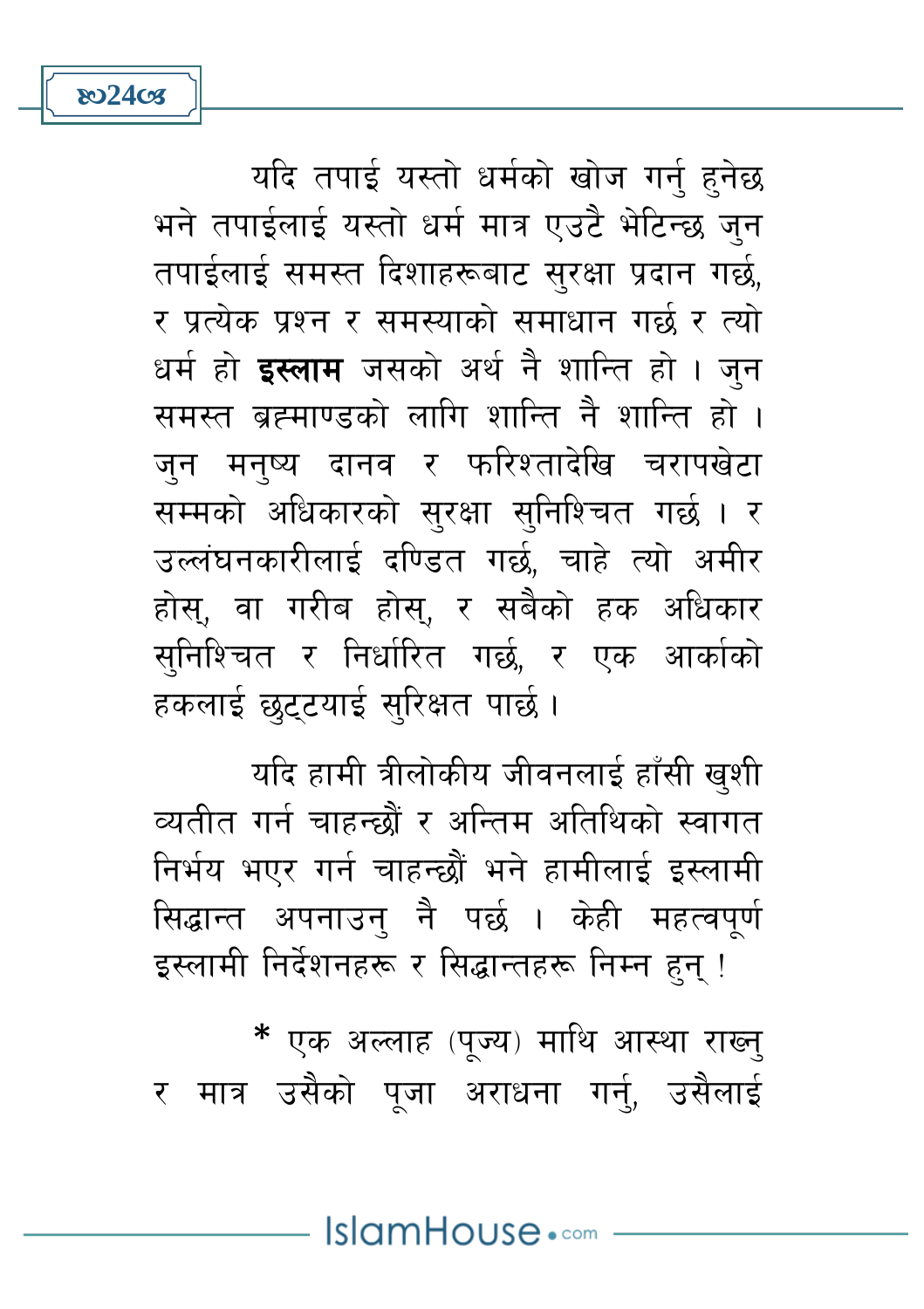\* एक अल्लाह (पूज्य) माथि आस्था राख्न् र मात्र उसैको पजा अराधना गर्न, उसैलाई

यदि हामी त्रीलोकीय जीवनलाई हाँसी खशी व्यतीत गर्न चाहन्छौं र अन्तिम अतिथिको स्वागत निर्भय भएर गर्न चाहन्छौं भने हामीलाई इस्लामी सिद्धान्त अपनाउन् नै पर्छ । केही महत्वपूर्ण इस्लामी निर्देशनहरू र सिद्धान्तहरू निम्न हन !

र पत्येक पश्न र समस्याको समाधान गर्छ र त्यो धर्म हो **इस्लाम** जसको अर्थ नै शान्ति हो । जन समस्त ब्रह्माण्डको लागि शान्ति नै शान्ति हो । जन मनष्य दानव र फरिश्तादेखि चरापखेटा सम्मको अधिकारको सुरक्षा सुनिश्चित गर्छ । र उल्लंघनकारीलाई दण्डित गर्छ, चाहे त्यो अमीर होस्, वा गरीब होस्, र सबैको हक अधिकार सुनिश्चित र निर्धारित गर्छ, र एक आर्काको हकलाई छुट्टयाई सुरिक्षत पार्छ ।

यदि तपाई यस्तो धर्मको खोज गर्न् हुनेछ

भने तपाईलाई यस्तो धर्म मात्र एउटै भेटिन्छ जुन तपाईलाई समस्त दिशाहरूबाट सरक्षा प्रदान गर्छ.

**ষ্ঠ24ত্যে** 

IslamHouse.com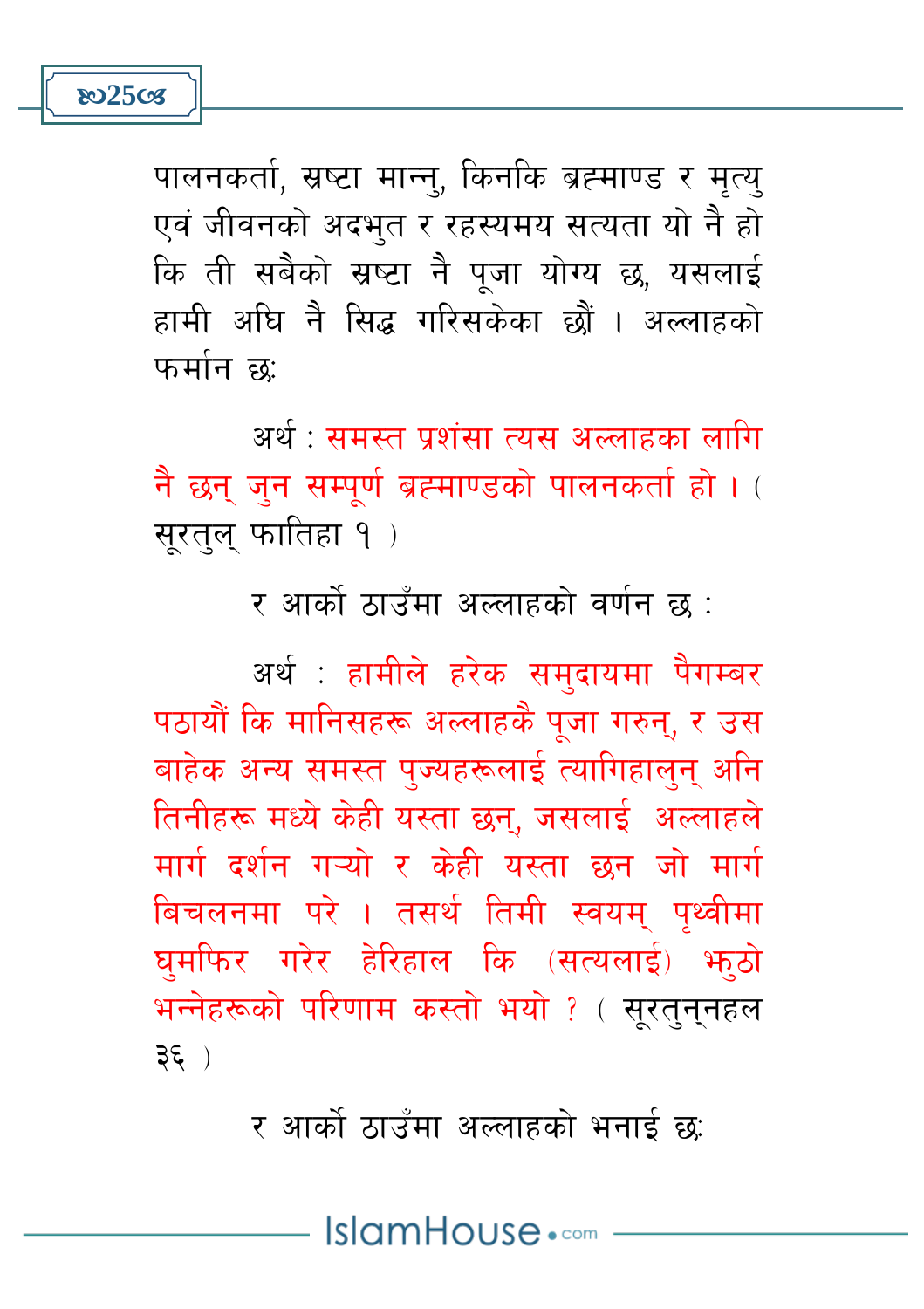**802508** 

पालनकर्ता, स्रष्टा मान्न, किनकि ब्रह्माण्ड र मत्य एवं जीवनको अदभुत र रहस्यमय सत्यता यो नै हो कि ती सबैको स्रष्टा नै पजा योग्य छ, यसलाई हामी अघि नै सिद्ध गरिसकेका छौं । अल्लाहको फर्मान छ:

अर्थ <sup>.</sup> समस्त पशंसा त्यस अल्लाहका लागि नै छन् जुन सम्पूर्ण ब्रह्माण्डको पालनकर्ता हो । ( सूरतुल् फातिहा १)

र आर्को ठाउँमा अल्लाहको वर्णन छ :

अर्थ : हामीले हरेक समुदायमा पैगम्बर पठायौं कि मानिसहरू अल्लाहकै पूजा गरुन्, र उस बाहेक अन्य समस्त पुज्यहरूलाई त्यागिहालुन अनि तिनीहरू मध्ये केही यस्ता छन. जसलाई अल्लाहले मार्ग दर्शन गायो र केही यस्ता छन जो मार्ग बिचलनमा परे । तसर्थ तिमी स्वयम पथ्वीमा घमफिर गरेर हेरिहाल कि (सत्यलाई) भाठो भन्नेहरूको परिणाम कस्तो भयो ? ( सरतननहल  $3\xi$ )

र आर्को ठाउँमा अल्लाहको भनाई छ:

IslamHouse.com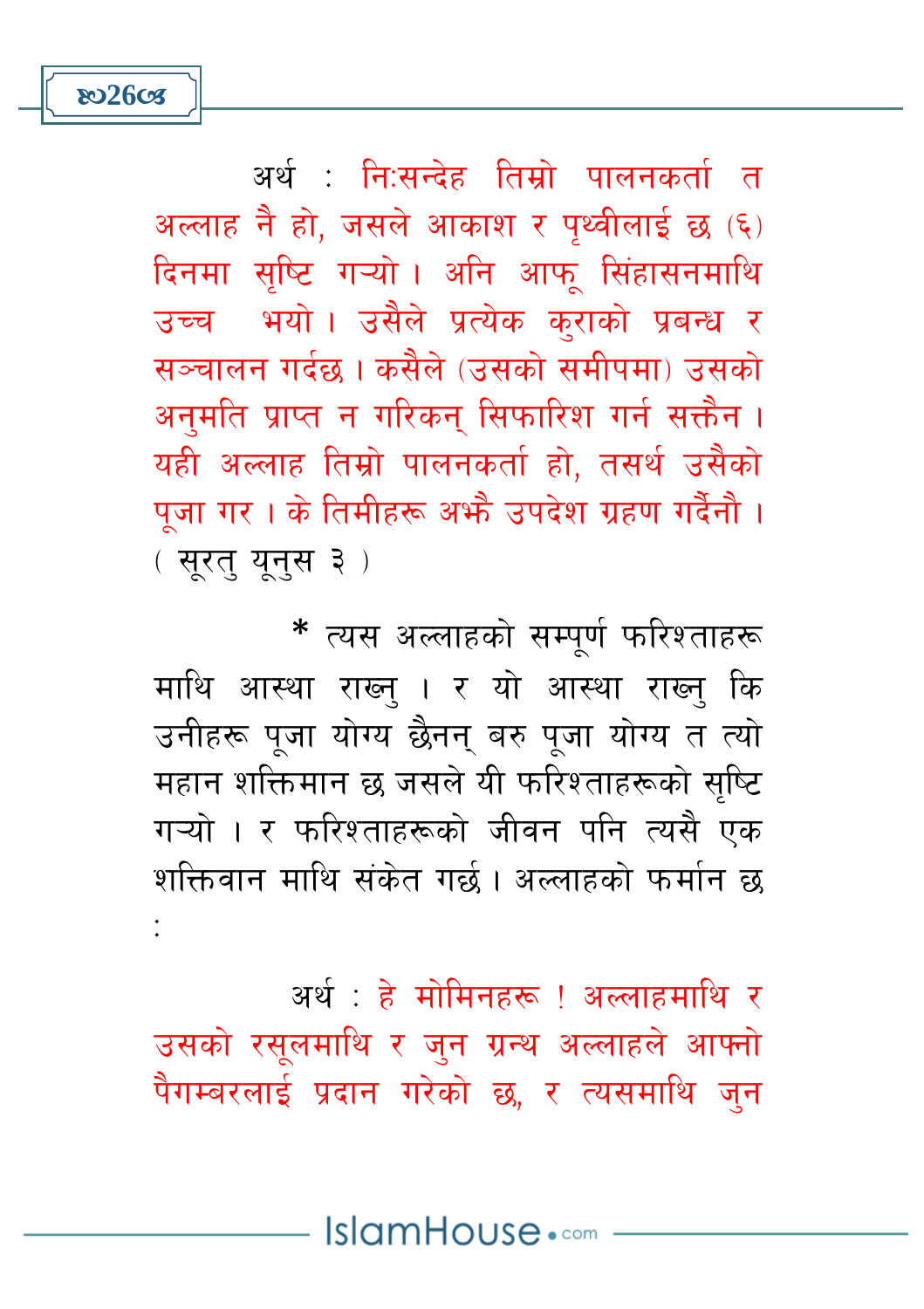अर्थ : नि:सन्देह तिम्रो पालनकर्ता त अल्लाह नै हो, जसले आकाश र पृथ्वीलाई छ (६) दिनमा सष्टि गऱ्यो। अनि आफ् सिंहासनमाथि उच्च भयो। उसैले प्रत्येक कराको प्रबन्ध र सञ्चालन गर्दछ । कसैले (उसको समीपमा) उसको अनुमति प्राप्त न गरिकन् सिफारिश गर्न सक्तैन । यही अल्लाह तिम्रो पालनकर्ता हो, तसर्थ उसैको पूजा गर। के तिमीहरू अभ्रै उपदेश ग्रहण गर्दैनौ । (सुरत् युन्स ३)

**ಜು26cg** 

\* त्यस अल्लाहको सम्पूर्ण फरिश्ताहरू माथि आस्था राख्न । र यो आस्था राख्न कि उनीहरू पूजा योग्य छैनन् बरु पूजा योग्य त त्यो महान शक्तिमान छ जसले यी फरिश्ताहरूको सुष्टि गऱ्यो । र फरिश्ताहरूको जीवन पनि त्यसै एक शक्तिवान माथि संकेत गर्छ। अल्लाहको फर्मान छ

अर्थ : हे मोमिनहरू ! अल्लाहर्माथि र उसको रसलमाथि र जन ग्रन्थ अल्लाहले आफ्नो पैगम्बरलाई प्रदान गरेको छ, र त्यसमाथि जन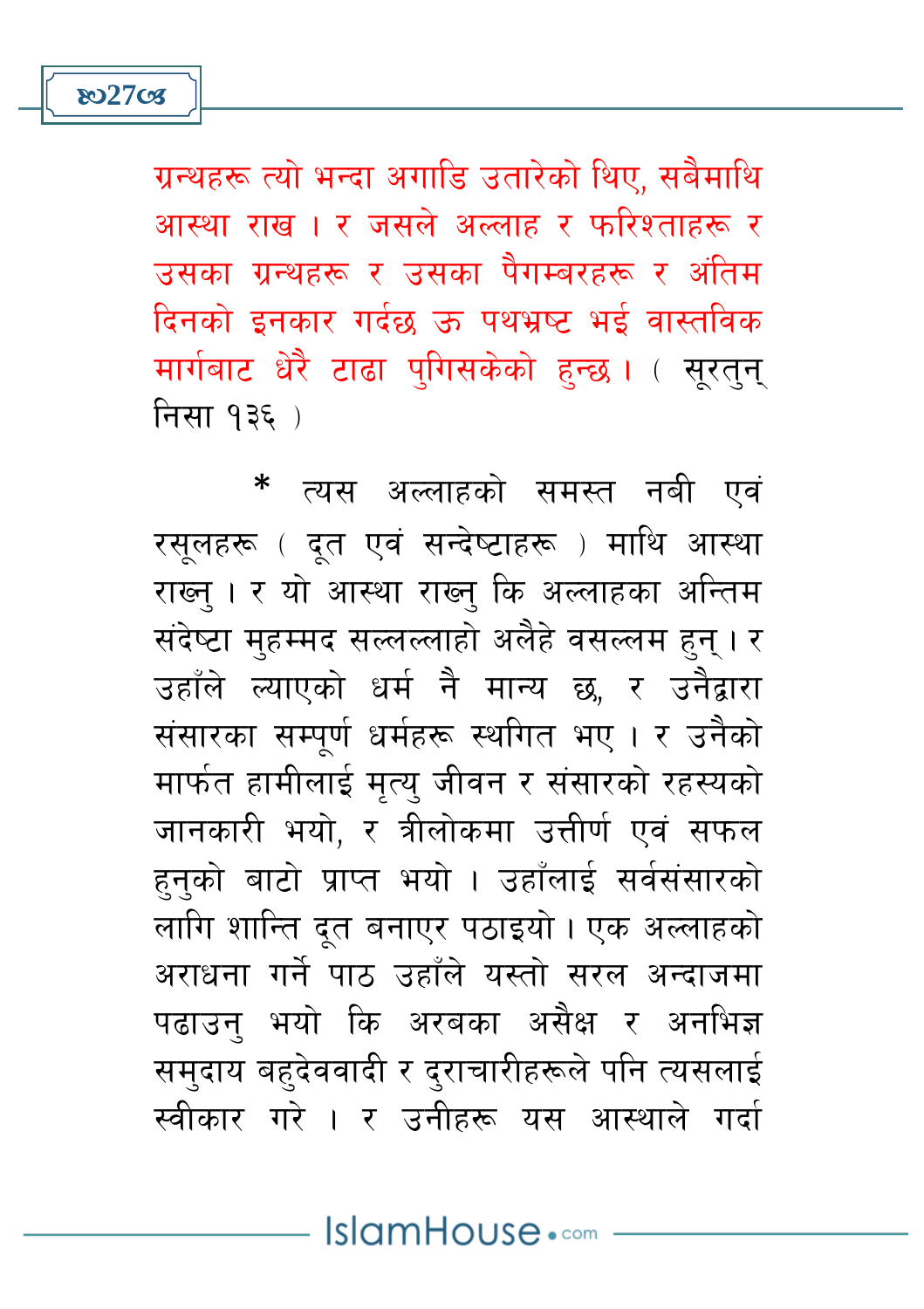\* त्यस अल्लाहको समस्त नबी एवं रसुलहरू ( दूत एवं सन्देष्टाहरू ) माथि आस्था राख्न् । र यो आस्था राख्न् कि अल्लाहका अन्तिम संदेष्टा महम्मद सल्लल्लाहो अलैहे वसल्लम हुन् । र उहाँले ल्याएको धर्म नै मान्य छ, र उनैद्वारा संसारका सम्पूर्ण धर्महरू स्थगित भए। र उनैको मार्फत हामीलाई मृत्यु जीवन र संसारको रहस्यको जानकारी भयो, र त्रीलोकमा उत्तीर्ण एवं सफल हनको बाटो प्राप्त भयो । उहाँलाई सर्वसंसारको लागि शान्ति दूत बनाएर पठाइयो । एक अल्लाहको अराधना गर्ने पाठ उहाँले यस्तो सरल अन्दाजमा पढाउन् भयो कि अरबका असैक्ष र अनभिज्ञ समुदाय बहुदेववादी र दुराचारीहरूले पनि त्यसलाई स्वीकार गरे । र उनीहरू यस आस्थाले गर्दा

ग्रन्थहरू त्यो भन्दा अगाडि उतारेको थिए, सबैमाथि आस्था राख । र जसले अल्लाह र फरिश्ताहरू र उसका ग्रन्थहरू र उसका पैगम्बरहरू र अंतिम दिनको इनकार गर्दछ ऊ पथभ्रष्ट भई वास्तविक मार्गबाट धेरै टाढा पुगिसकेको हुन्छ। (सरतन निसा १३६)

**ষ্ঠ27cg**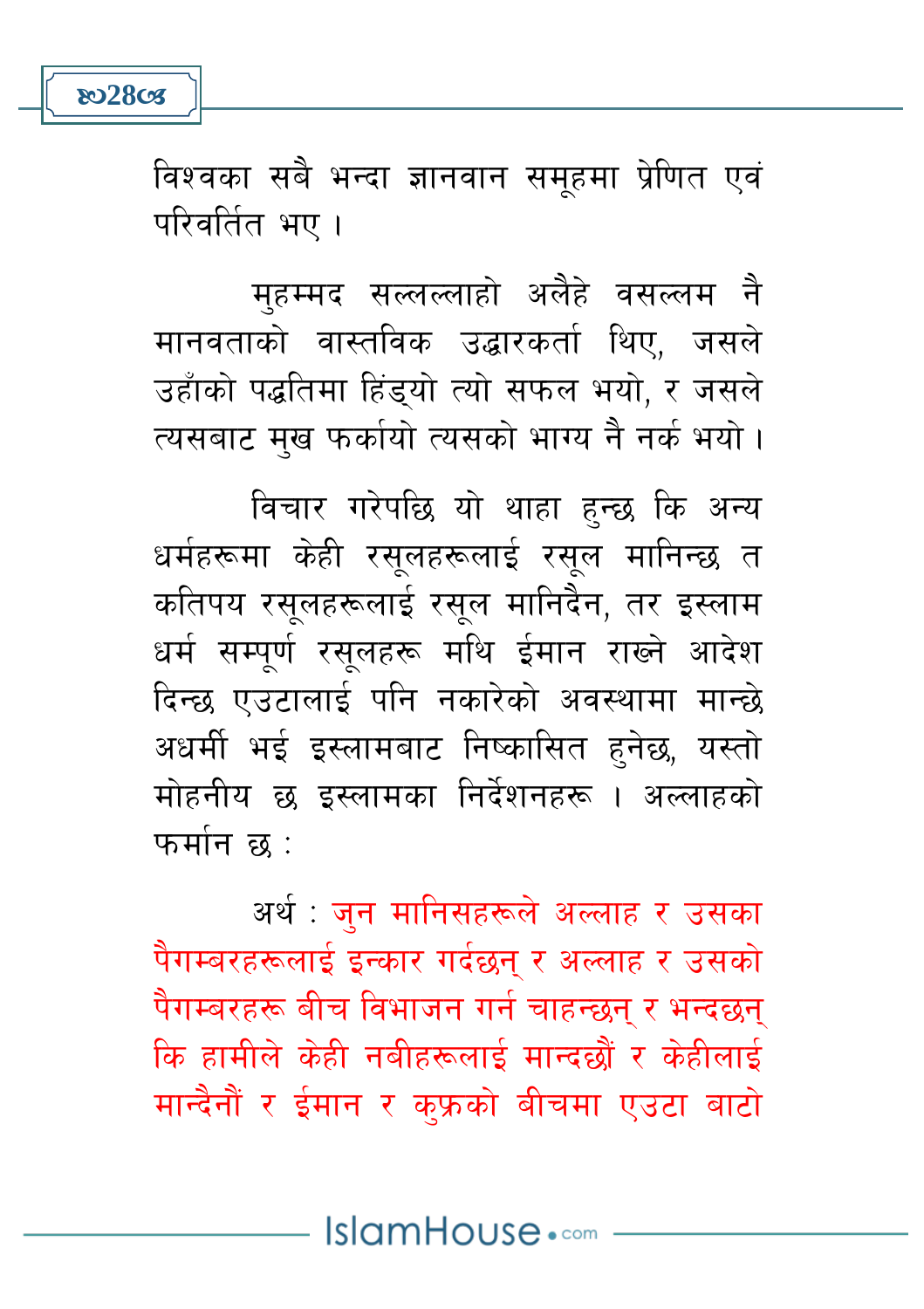विश्वका सबै भन्दा ज्ञानवान समहमा प्रेणित एवं परिवर्तित भए ।

मुहम्मद सल्लल्लाहो अलैहे वसल्लम नै मानवताको वास्तविक उद्धारकर्ता थिए, जसले उहाँको पद्धतिमा हिंडुयो त्यो सफल भयो, र जसले त्यसबाट मख फर्कायो त्यसको भाग्य नै नर्क भयो।

विचार गरेपछि यो थाहा हुन्छ कि अन्य धर्महरूमा केही रसलहरूलाई रसल मानिन्छ त कतिपय रसूलहरूलाई रसूल मानिदैन, तर इस्लाम धर्म सम्पर्ण रसलहरू मथि ईमान राख्ने आदेश दिन्छ एउटालाई पनि नकारेको अवस्थामा मान्छे अधर्मी भई इस्लामबाट निष्कासित हुनेछ, यस्तो मोहनीय छ इस्लामका निर्देशनहरू । अल्लाहको फर्मान छ :

अर्थ : जुन मानिसहरूले अल्लाह र उसका पैगम्बरहरूलाई इन्कार गर्दछन र अल्लाह र उसको पैगम्बरहरू बीच विभाजन गर्न चाहन्छन र भन्दछन कि हामीले केही नबीहरूलाई मान्दछौं र केहीलाई मान्दैनौं र ईमान र क्फ्रको बीचमा एउटा बाटो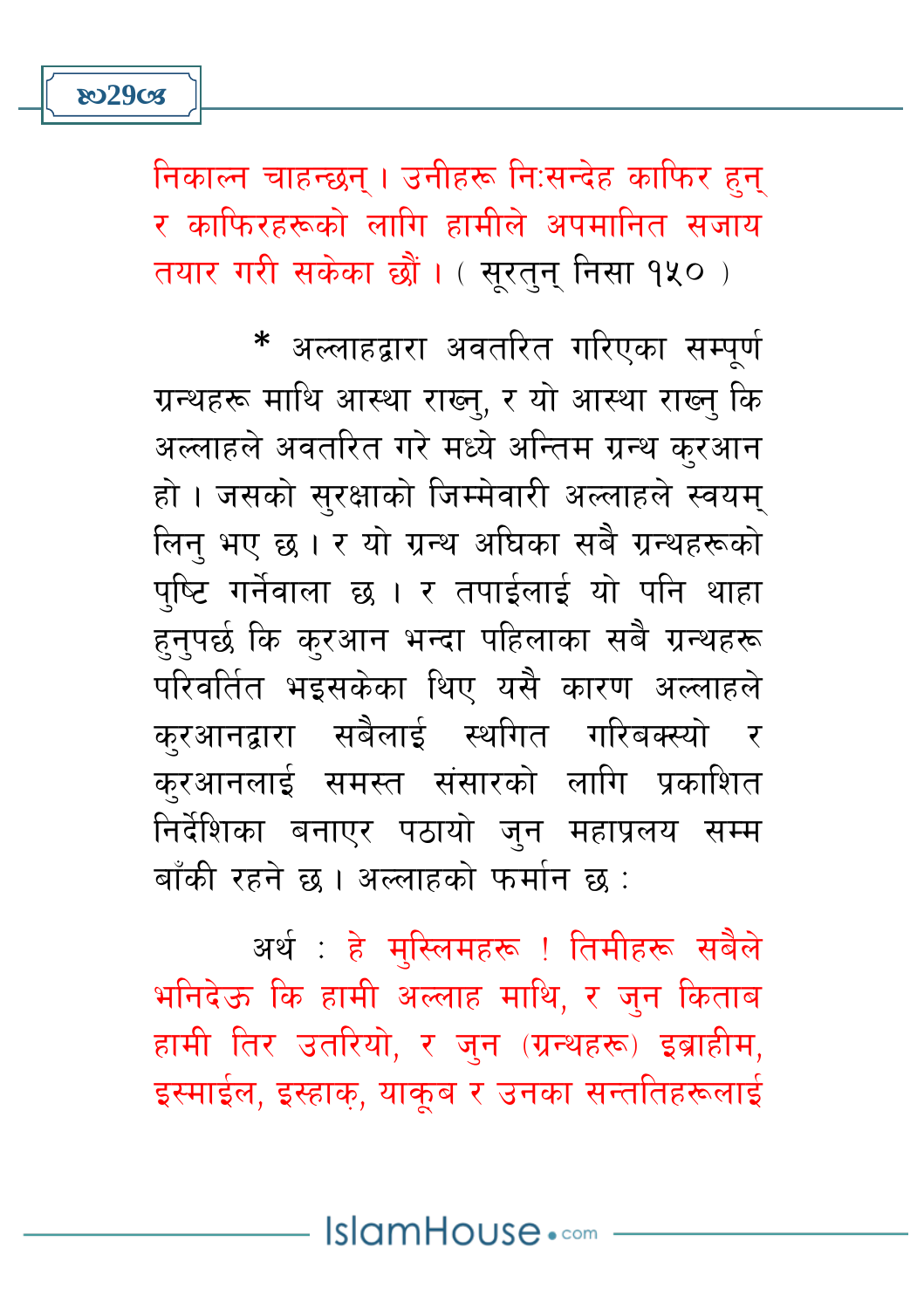निकाल्न चाहन्छन् । उनीहरू नि:सन्देह काफिर हुन् र काफिरहरूको लागि हामीले अपमानित सजाय तयार गरी सकेका छौं। (सरतन निसा १५०)

\* अल्लाहद्वारा अवतरित गरिएका सम्पूर्ण ग्रन्थहरू माथि आस्था राख्न्, र यो आस्था राख्न् कि अल्लाहले अवतरित गरे मध्ये अन्तिम ग्रन्थ करआन हो। जसको सुरक्षाको जिम्मेवारी अल्लाहले स्वयम् लिन् भए छ। र यो ग्रन्थ अधिका सबै ग्रन्थहरूको पष्टि गर्नेवाला छ । र तपाईलाई यो पनि थाहा हुनुपर्छ कि कुरआन भन्दा पहिलाका सबै ग्रन्थहरू परिवर्तित भइसकेका थिए यसै कारण अल्लाहले करआनद्वारा सबैलाई स्थगित गरिबक्स्यो र करआनलाई समस्त संसारको लागि प्रकाशित निर्देशिका बनाएर पठायो जन महाप्रलय सम्म बाँकी रहने छ । अल्लाहको फर्मान छ :

अर्थ : हे मस्लिमहरू ! तिमीहरू सबैले भनिदेऊ कि हामी अल्लाह माथि, र जन किताब हामी तिर उतरियो, र जुन (ग्रन्थहरू) इब्राहीम, इस्माईल, इस्हाक, याकब र उनका सन्ततिहरूलाई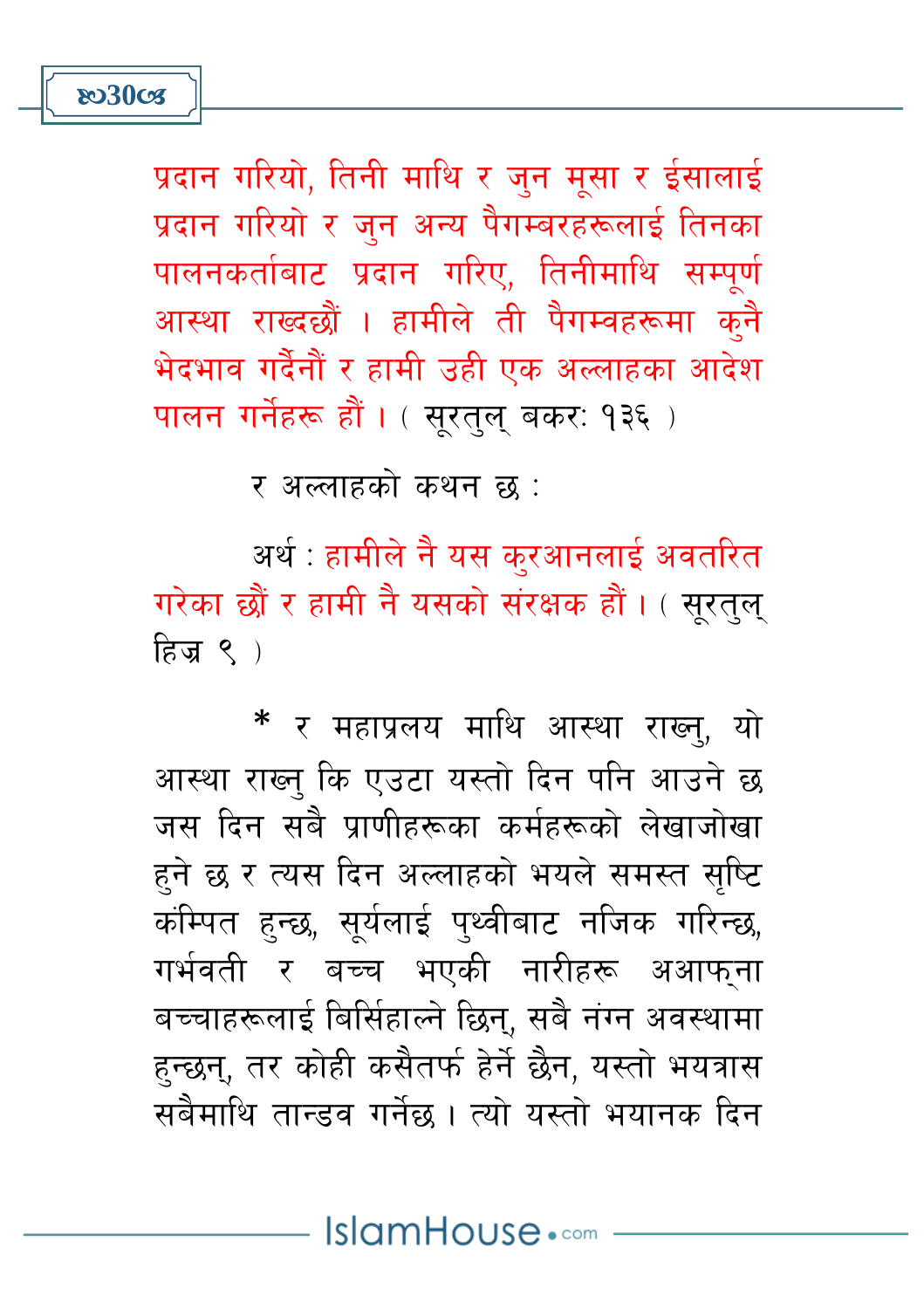प्रदान गरियो, तिनी माथि र जुन मूसा र ईसालाई प्रदान गरियो र जुन अन्य पैगम्बरहरूलाई तिनका पालनकर्ताबाट प्रदान गरिए, तिनीमाथि सम्पर्ण आस्था राख्दछौं । हामीले ती पैगम्वहरूमा कनै भेदभाव गर्दैनौं र हामी उही एक अल्लाहका आदेश पालन गर्नेहरू हौं । ( सूरतुलु बकर: १३६ )

र अल्लाहको कथन छ :

अर्थ : हामीले नै यस करआनलाई अवतरित गरेका छौं र हामी नै यसको संरक्षक हौं। (सूरतुल् हिज $\epsilon$ )

\* र महाप्रलय माथि आस्था राख्न, यो आस्था राख्न कि एउटा यस्तो दिन पनि आउने छ जस दिन सबै पाणीहरूका कर्महरूको लेखाजोखा हुने छ र त्यस दिन अल्लाहको भयले समस्त सप्टि कंम्पित हुन्छ, सर्यलाई पथ्वीबाट नजिक गरिन्छ, गर्भवती र बच्च भएकी नारीहरू अआफना बच्चाहरूलाई बिर्सिहाल्ने छिन्, सबै नंग्न अवस्थामा हुन्छन्, तर कोही कसैतर्फ हेर्ने छैन, यस्तो भयत्रास सबैमाथि तान्डव गर्नेछ । त्यो यस्तो भयानक दिन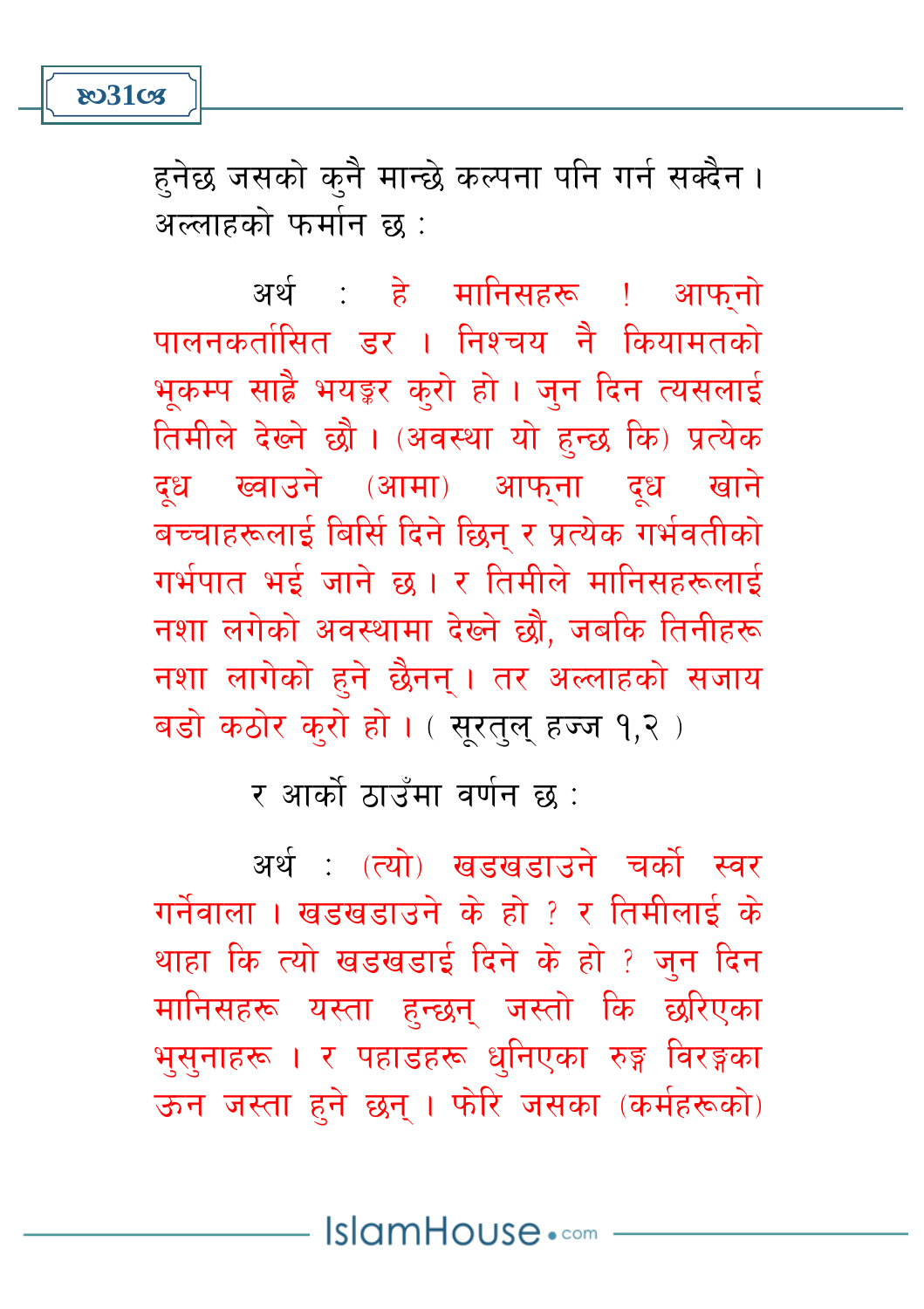**803103** 

हनेछ जसको क्नै मान्छे कल्पना पनि गर्न सक्दैन । अल्लाहको फर्मान छ :

अर्थ : हे मानिसहरू ! आफनो पालनकर्तासित डर । निश्चय नै कियामतको भुकम्प साह्रै भयङ्कर कुरो हो । जुन दिन त्यसलाई तिमीले देख्ने छौ । (अवस्था यो हुन्छ कि) प्रत्येक दुध ख्वाउने (आमा) आफना दुध खाने बच्चाहरूलाई बिर्सि दिने छिन् र प्रत्येक गर्भवतीको गर्भपात भई जाने छ । र तिमीले मानिसहरूलाई नशा लगेको अवस्थामा देख्ने छौ, जबकि तिनीहरू नशा लागेको हने छैनन। तर अल्लाहको सजाय बड़ो कठोर करो हो। (सुरतुलु हज्ज १,२)

र आर्को ठाउँमा वर्णन छ :

अर्थ (त्यो) खडखडाउने चर्को स्वर गर्नेवाला । खडखडाउने के हो ? र तिमीलाई के थाहा कि त्यो खडखडाई दिने के हो ? जन दिन मानिसहरू यस्ता हुन्छन् जस्तो कि छरिएका भूसुनाहरू । र पहाडहरू धुनिएका रुङ्ग विरङ्गका ऊन जस्ता हुने छन् । फोरे जसका (कर्महरूको)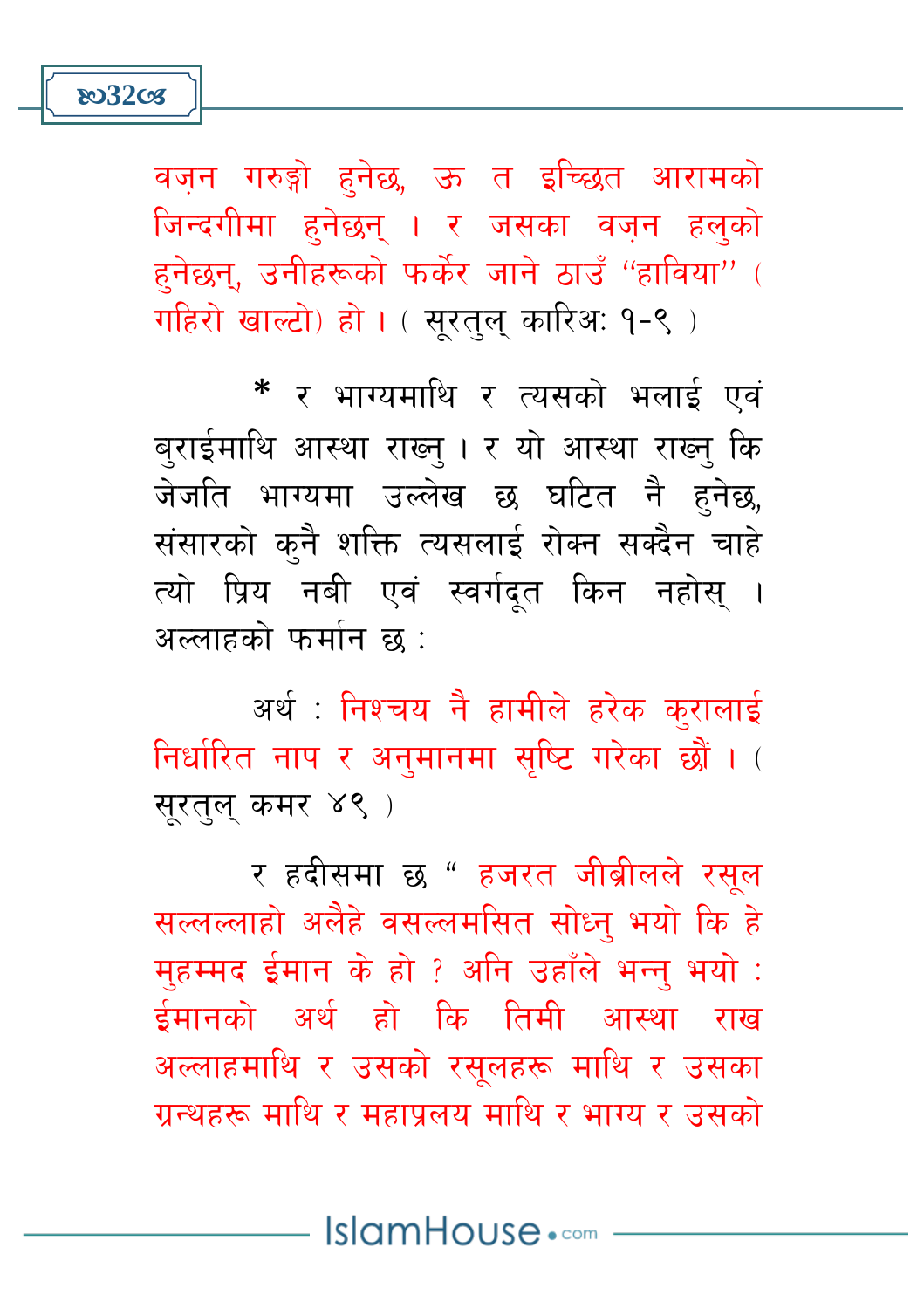හ32cs

वज़न गरुङ्गो हनेछ, ऊ त इच्छित आरामको जिन्दगीमा हुनेछन् । र जसका वजन हलुको हनेछन, उनीहरूको फर्केर जाने ठाउँ "हाविया" ( गहिरो खाल्टो) हो । ( सुरतुलु कारिअ: १-९ )

\* र भाग्यमाथि र त्यसको भलाई एवं बुराईमाथि आस्था राख्न् । र यो आस्था राख्न् कि जेजति भाग्यमा उल्लेख छ घटित नै हुनेछ, संसारको कनै शक्ति त्यसलाई रोक्न सक्दैन चाहे त्यो प्रिय नबी एवं स्वर्गदृत किन नहोस् । अल्लाहको फर्मान छ :

अर्थ : निश्चय नै हामीले हरेक कुरालाई निर्धारित नाप र अनमानमा सष्टि गरेका छौं । ( सरतल कमर ४९)

र हदीसमा छ " हजरत जीब्रीलले रसूल सल्लल्लाहो अलैहे वसल्लमसित सोध्न भयो कि हे महम्मद ईमान के हो ? अनि उहाँले भन्न भयो : ईमानको अर्थ हो कि तिमी आस्था राख अल्लाहमाथि र उसको रसुलहरू माथि र उसका ग्रन्थहरू माथि र महापलय माथि र भाग्य र उसको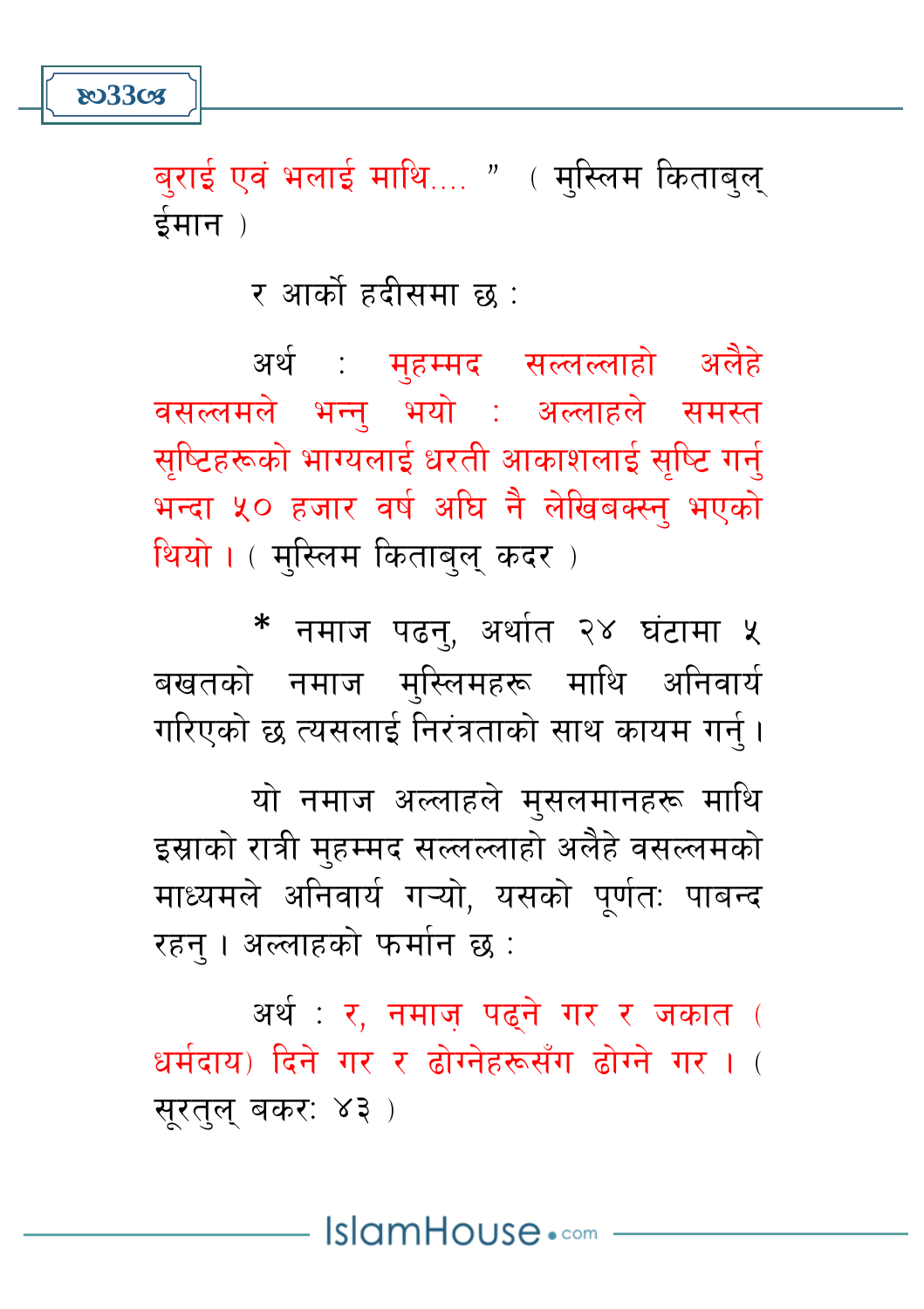හ33**cs** 

बुराई एवं भलाई माथि.... " ( मुस्लिम किताबुल् ईमान)

र आर्को हदीसमा छ :

अर्थ : मुहम्मद सल्लल्लाहो अलैहे वसल्लमले भन्न् भयो : अल्लाहले समस्त सुष्टिहरूको भाग्यलाई धरती आकाशलाई सुष्टि गर्न् भन्दा ५० हजार वर्ष अघि नै लेखिबक्स्न भएको थियो। (मुस्लिम किताबुलु कदर)

\* नमाज पढन, अर्थात २४ घंटामा ५ बखतको नमाज मुस्लिमहरू माथि अनिवार्य गरिएको छ त्यसलाई निरंत्रताको साथ कायम गर्न।

यो नमाज अल्लाहले मुसलमानहरू माथि इस्राको रात्री महम्मद सल्लल्लाहो अलैहे वसल्लमको माध्यमले अनिवार्य गऱ्यो. यसको पर्णत: पाबन्द रहन । अल्लाहको फर्मान छ :

अर्थ: र. नमाज पढने गर र जकात ( धर्मदाय) दिने गर र तोग्नेहरूसँग तोग्ने गर। ( सरतल बकर: ४३)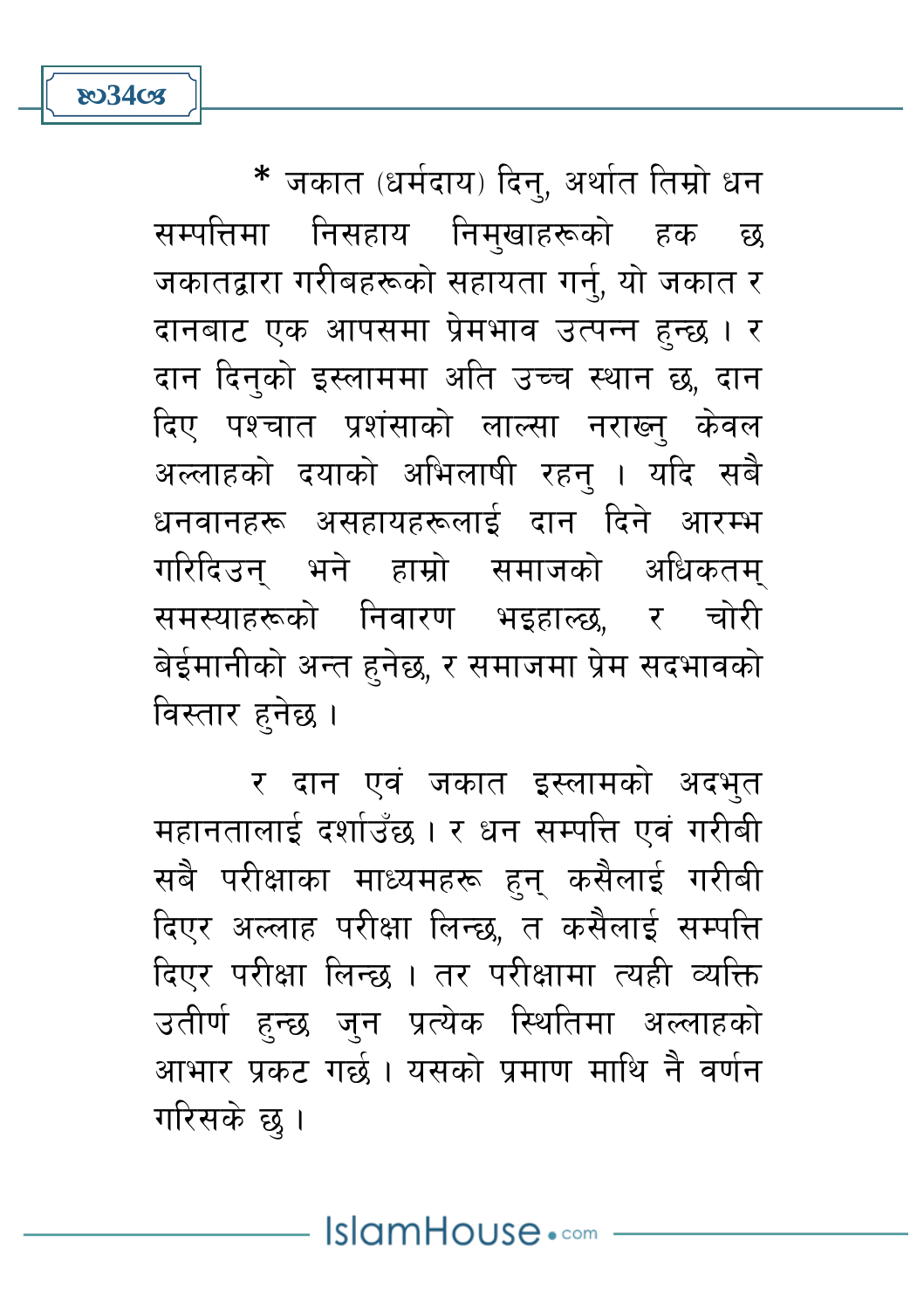\* जकात (धर्मदाय) दिन्, अर्थात तिम्रो धन सम्पत्तिमा निसहाय निमखाहरूको हक छ जकातद्वारा गरीबहरूको सहायता गर्नु, यो जकात र दानबाट एक आपसमा प्रेमभाव उत्पन्न हुन्छ । र दान दिनको इस्लाममा अति उच्च स्थान छ, दान दिए पश्चात प्रशंसाको लाल्सा नराख्नु केवल अल्लाहको दयाको अभिलाषी रहन् । यदि सबै धनवानहरू असहायहरूलाई दान दिने आरम्भ गरिदिउन् भने हाम्रो समाजको अधिकतम् समस्याहरूको निवारण भइहाल्छ, र चोरी बेईमानीको अन्त हनेछ, र समाजमा प्रेम सदभावको विस्तार हुनेछ ।

**ষ্ঠ34s** 

र दान एवं जकात इस्लामको अदभुत महानतालाई दर्शाउँछ । र धन सम्पत्ति एवं गरीबी सबै परीक्षाका माध्यमहरू हुनु कसैलाई गरीबी दिएर अल्लाह परीक्षा लिन्छ, त कसैलाई सम्पत्ति दिएर परीक्षा लिन्छ । तर परीक्षामा त्यही व्यक्ति उतीर्ण हुन्छ जुन प्रत्येक स्थितिमा अल्लाहको आभार प्रकट गर्छ। यसको प्रमाण माथि नै वर्णन गरिसके छ ।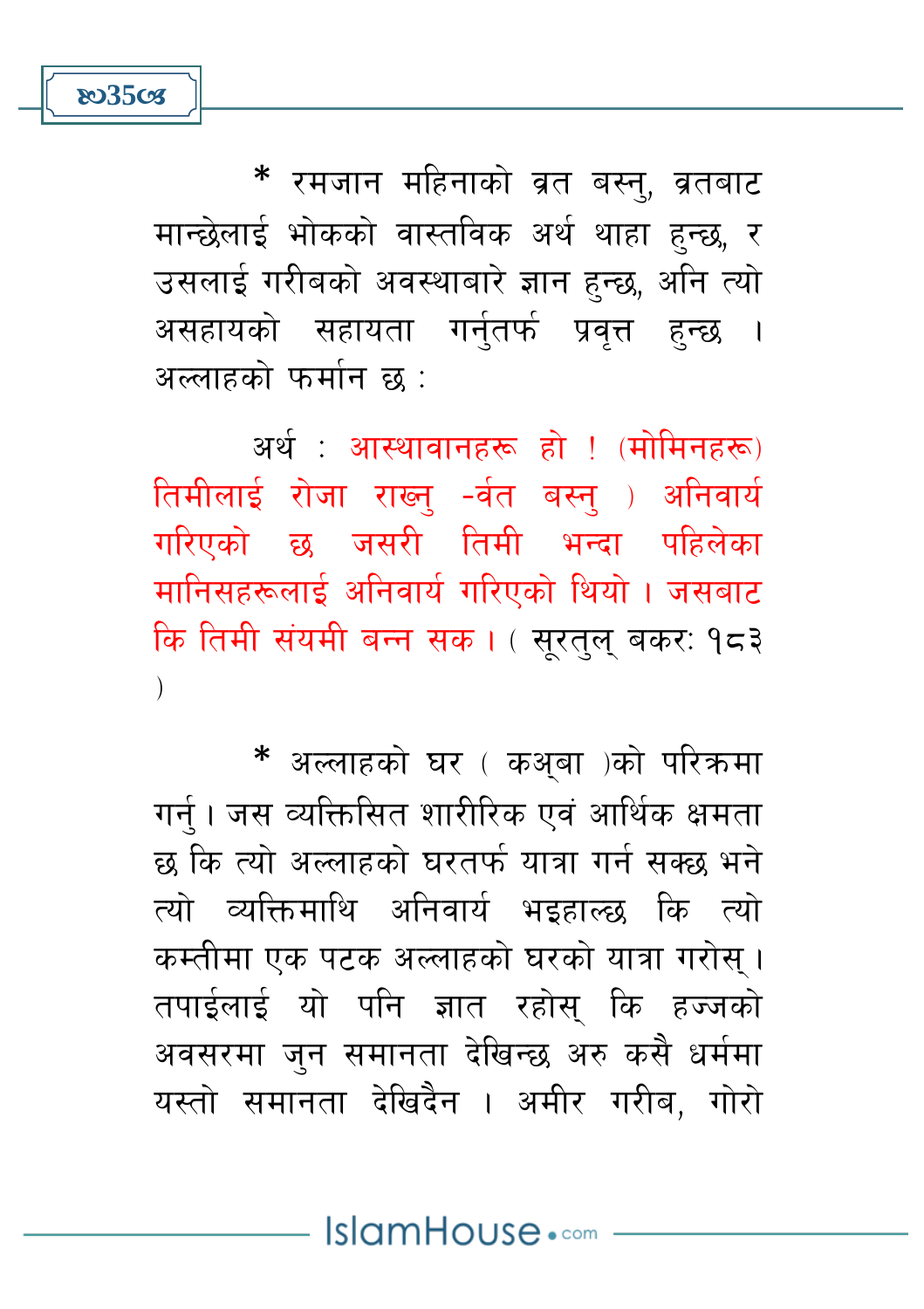\* रमजान महिनाको व्रत बस्न्, व्रतबाट मान्छेलाई भोकको वास्तविक अर्थ थाहा हुन्छ, र उसलाई गरीबको अवस्थाबारे ज्ञान हुन्छ, अनि त्यो असहायको सहायता गर्नतर्फ प्रवत्त हन्छ । अल्लाहको फर्मान छ :

**803508** 

अर्थ: आस्थावानहरू हो ! (मोमिनहरू) तिमीलाई रोजा राख्न -र्वत बस्न् ) अनिवार्य गरिएको छ जसरी तिमी भन्दा पहिलेका मानिसहरूलाई अनिवार्य गरिएको थियो । जसबाट कि तिमी संयमी बन्न सक। ( सुरतुलु बकर: १८३  $\lambda$ 

\* अल्लाहको घर ( कअ़बा )को परिक्रमा गर्न । जस व्यक्तिसित शारीरिक एवं आर्थिक क्षमता छ कि त्यो अल्लाहको घरतर्फ यात्रा गर्न सक्छ भने त्यो व्यक्तिमाथि अनिवार्य भइहाल्छ कि त्यो कम्तीमा एक पटक अल्लाहको घरको यात्रा गरोस । तपाईलाई यो पनि ज्ञात रहोस कि हज्जको अवसरमा जुन समानता देखिन्छ अरु कसै धर्ममा यस्तो समानता देखिदैन । अमीर गरीब, गोरो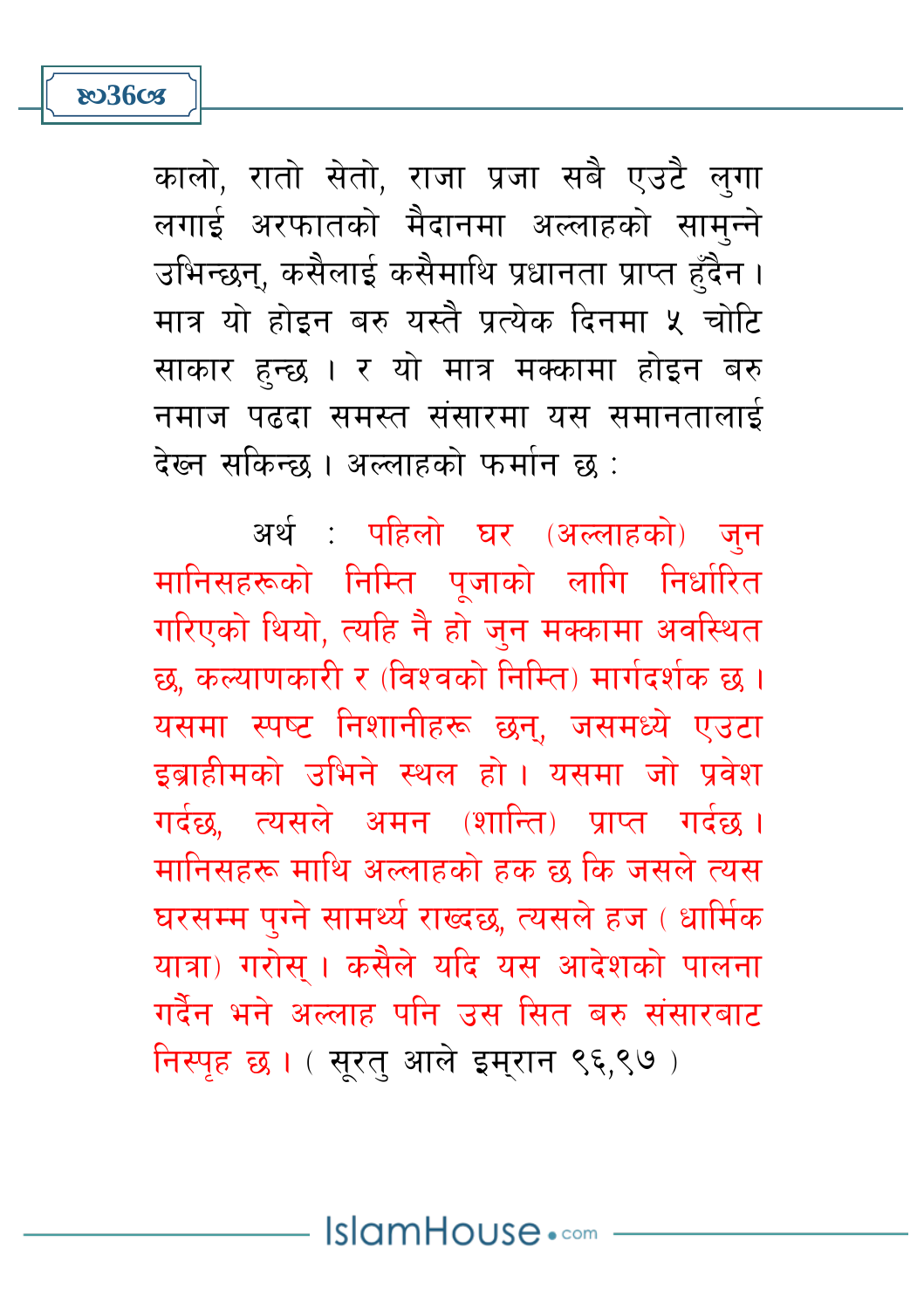**803603** 

कालो, रातो सेतो, राजा प्रजा सबै एउटै लुगा लगाई अरफातको मैदानमा अल्लाहको सामुन्ने उभिन्छन, कसैलाई कसैमाथि प्रधानता प्राप्त हँदैन । मात्र यो होदन बरु यस्तै पत्येक दिनमा ५ चोटि साकार हुन्छ । र यो मात्र मक्कामा होइन बरु नमाज पढ़दा समस्त संसारमा यस समानतालाई देख्न सकिन्छ । अल्लाहको फर्मान छ :

अर्थ : पहिलो घर (अल्लाहको) जुन मानिसहरूको निम्ति पुजाको लागि निर्धारित गरिएको थियो, त्यहि नै हो जुन मक्कामा अवस्थित छ, कल्याणकारी र (विश्वको निम्ति) मार्गदर्शक छ । यसमा स्पष्ट निशानीहरू छन्, जसमध्ये एउटा इब्राहीमको उभिने स्थल हो। यसमा जो प्रवेश गर्दछ. त्यसले अमन (शान्ति) प्राप्त गर्दछ। मानिसहरू माथि अल्लाहको हक छ कि जसले त्यस घरसम्म पग्ने सामर्थ्य राख्दछ, त्यसले हज ( धार्मिक यात्रा) गरोस् । कसैले यदि यस आदेशको पालना गर्दैन भने अल्लाह पनि उस सित बरु संसारबाट निस्पृह छ। (सुरत् आले इमुरान ९६,९७)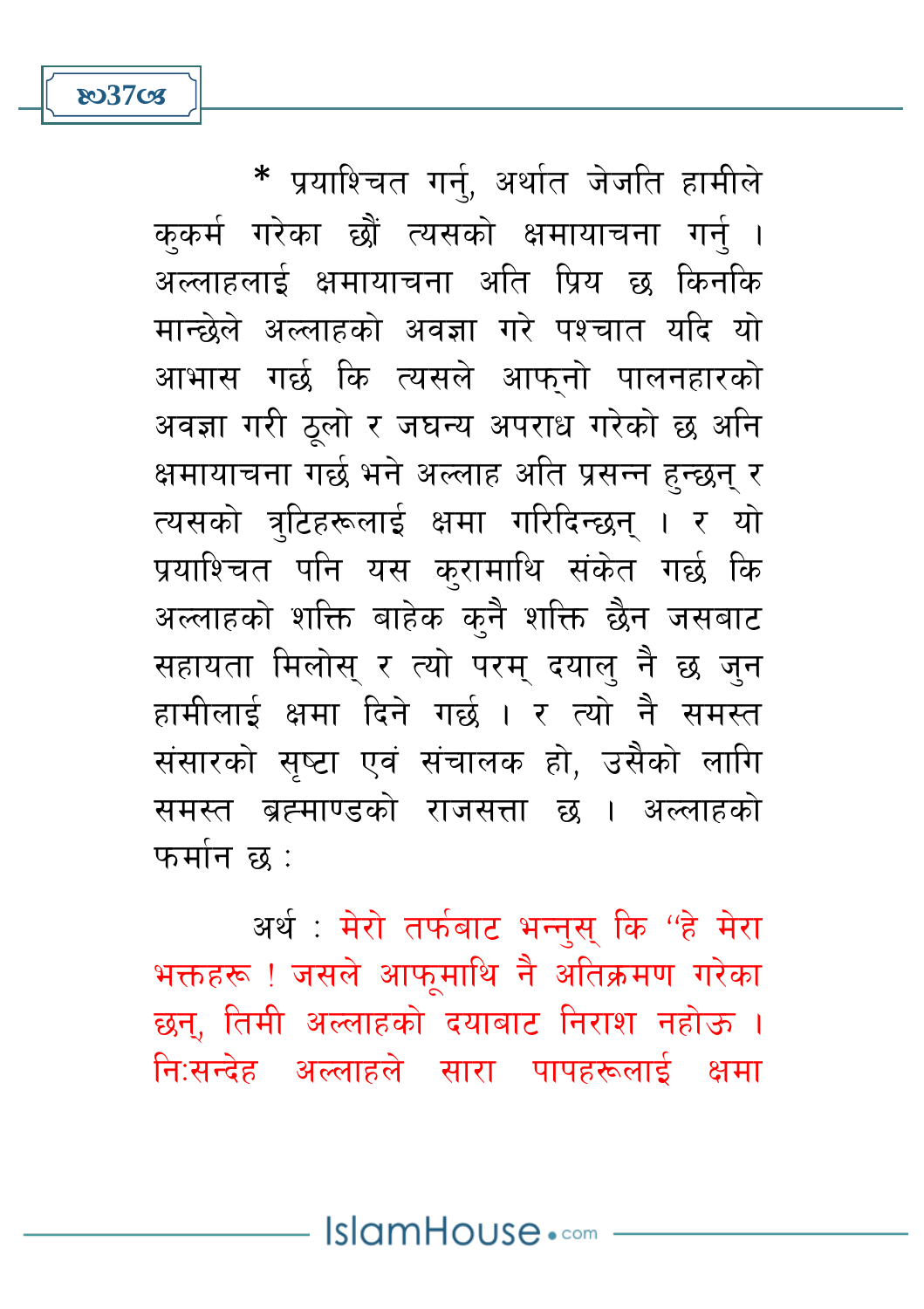\* प्रयाश्चित गर्नु, अर्थात जेजति हामीले ककर्म गरेका छौं त्यसको क्षमायाचना गर्न । अल्लाहलाई क्षमायाचना अति प्रिय छ किनकि मान्छेले अल्लाहको अवज्ञा गरे पश्चात यदि यो आभास गर्छ कि त्यसले आफनो पालनहारको अवज्ञा गरी ठुलो र जघन्य अपराध गरेको छ अनि क्षमायाचना गर्छ भने अल्लाह अति प्रसन्न हुन्छन् र त्यसको त्रुटिहरूलाई क्षमा गरिदिन्छन् । र यो प्रयाश्चित पनि यस करामाथि संकेत गर्छ कि अल्लाहको शक्ति बाहेक कुनै शक्ति छैन जसबाट सहायता मिलोस र त्यो परम् दयाल् नै छ जन हामीलाई क्षमा दिने गर्छ । र त्यो नै समस्त संसारको सष्टा एवं संचालक हो. उसैको लागि समस्त ब्रह्माण्डको राजसत्ता छ । अल्लाहको फर्मान छ $^+$ 

හ37**ි** 

अर्थ : मेरो तर्फबाट भन्नुस् कि ''हे मेरा भक्तहरू ! जसले आफुमाथि नै अतिक्रमण गरेका छन्, तिमी अल्लाहको दयाबाट निराश नहोऊ । नि:सन्देह अल्लाहले सारा पापहरूलाई क्षमा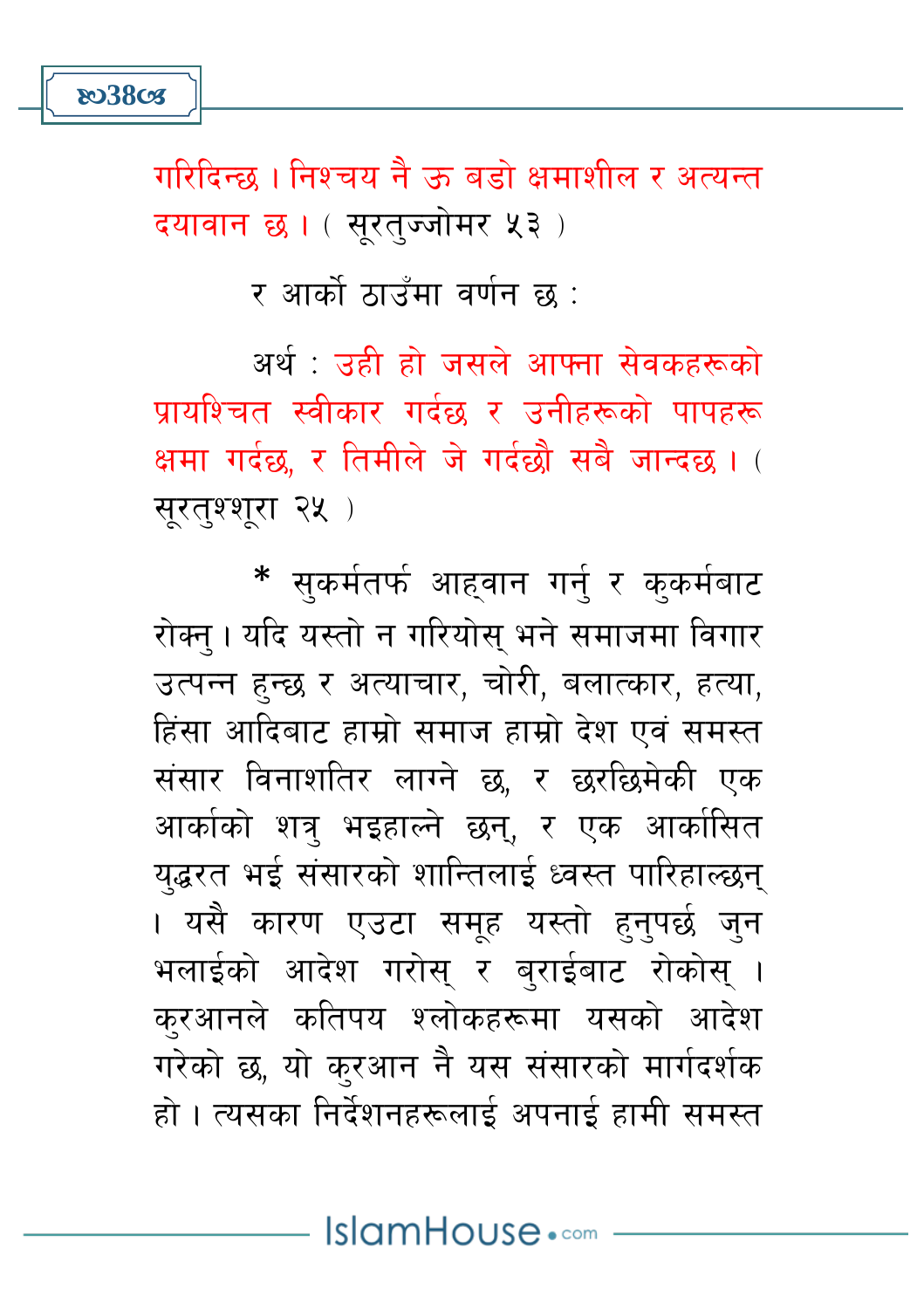गरिदिन्छ । निश्चय नै क बडो क्षमाशील र अत्यन्त दयावान छ। (सुरत्ज्जोमर ५३)

र आर्को ठाउँमा वर्णन छ :

अर्थ : उन्नी न्नो जसले आफ्ना सेवकहरूको पायश्चित स्वीकार गर्दछ र उनीहरूको पापहरू क्षमा गर्दछ, र तिमीले जे गर्दछौ सबै जान्दछ। ( सूरतुश्शूरा २५ )

\* सुकर्मतर्फ आहवान गर्नु र कुकर्मबाट रोक्न् । यदि यस्तो न गरियोस् भने समाजमा विगार उत्पन्न हुन्छ र अत्याचार, चोरी, बलात्कार, हत्या, हिंसा आदिबाट हाम्रो समाज हाम्रो देश एवं समस्त संसार विनाशतिर लाग्ने छ, र छरछिमेकी एक आर्काको शत्र भइहाल्ने छन, र एक आर्कासित यद्धरत भई संसारको शान्तिलाई ध्वस्त पारिहाल्छन् । यसै कारण एउटा समूह यस्तो हुनुपर्छ ज<mark>ु</mark>न भलाईको आदेश गरोस र बराईबाट रोकोस् । करआनले कतिपय श्लोकहरूमा यसको आदेश गरेको छ, यो कुरआन नै यस संसारको मार्गदर्शक हो । त्यसका निर्देशनहरूलाई अपनाई हामी समस्त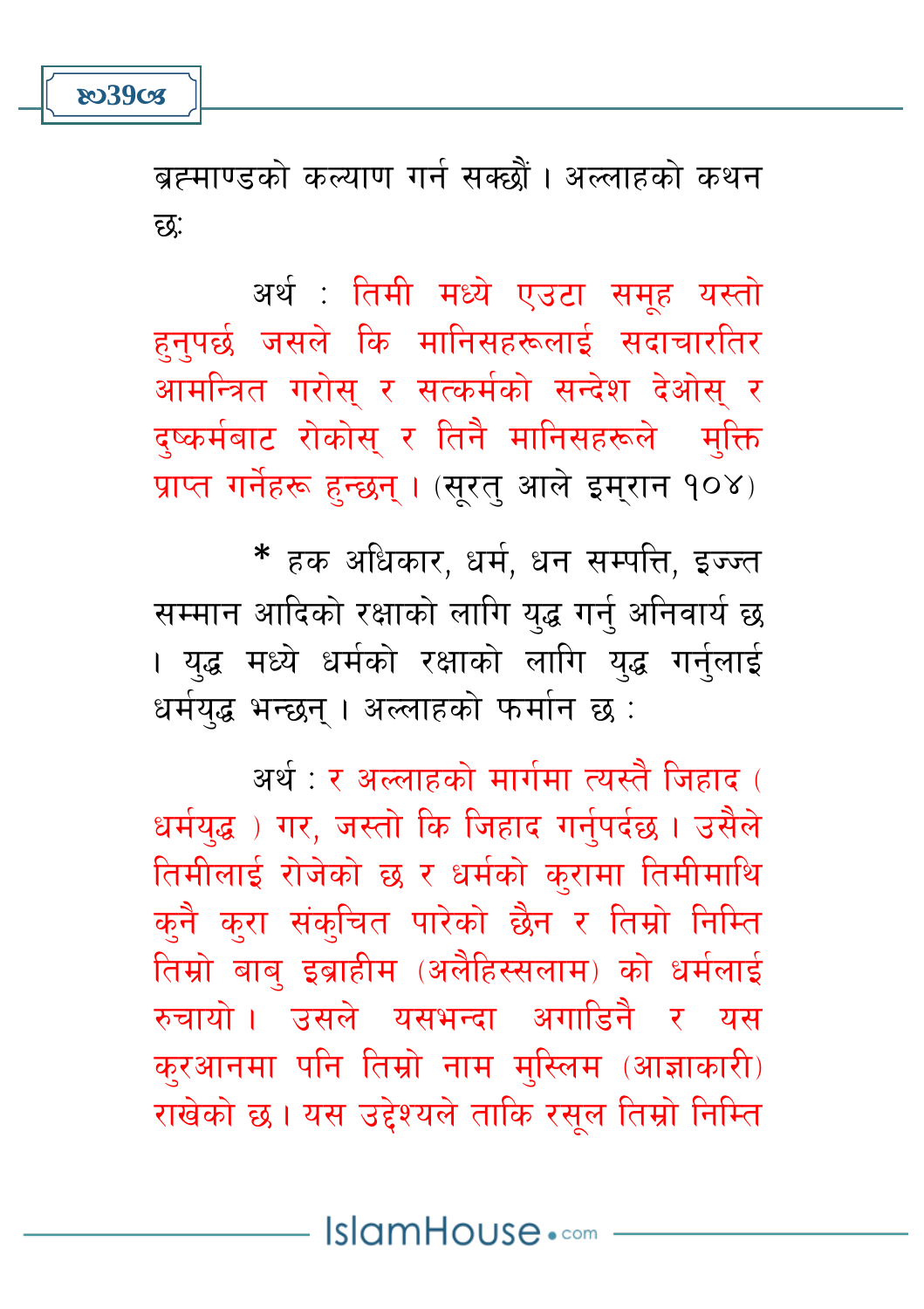**803908** 

ब्रह्माण्डको कल्याण गर्न सक्छौं । अल्लाहको कथन दृद्र:

अर्थ : तिमी मध्ये एउटा समूह यस्तो हनपर्छ जसले कि मानिसहरूलाई सदाचारतिर आमन्त्रित गरोस् र सत्कर्मको सन्देश देओस् र दष्कर्मबाट रोकोस् र तिनै मानिसहरूले मुक्ति प्राप्त गर्नेहरू हुन्छन् । (सूरतु आले इम्रान १०४)

\* हक अधिकार, धर्म, धन सम्पत्ति, इज्ज्त सम्मान आदिको रक्षाको लागि युद्ध गर्नु अनिवार्य छ । युद्ध मध्ये धर्मको रक्षाको लागि युद्ध गर्नुलाई धर्मयद्ध भन्छन । अल्लाहको फर्मान छ :

अर्थ : र अल्लाहको मार्गमा त्यस्तै जिहाद ( धर्मयद्ध) गर, जस्तो कि जिहाद गर्नपर्दछ। उसैले तिमीलाई रोजेको छ र धर्मको करामा तिमीमाथि क्नै क्रा संक्चित पारेको छैन र तिम्रो निम्ति तिम्रो बाब् इब्राहीम (अलैहिस्सलाम) को धर्मलाई रुचायो । उसले यसभन्दा अगाडि़नै र यस क्रआनमा पनि तिम्रो नाम मुस्लिम (आज्ञाकारी) राखेको छ। यस उद्देश्यले ताकि रसुल तिम्रो निम्ति

IslamHouse.com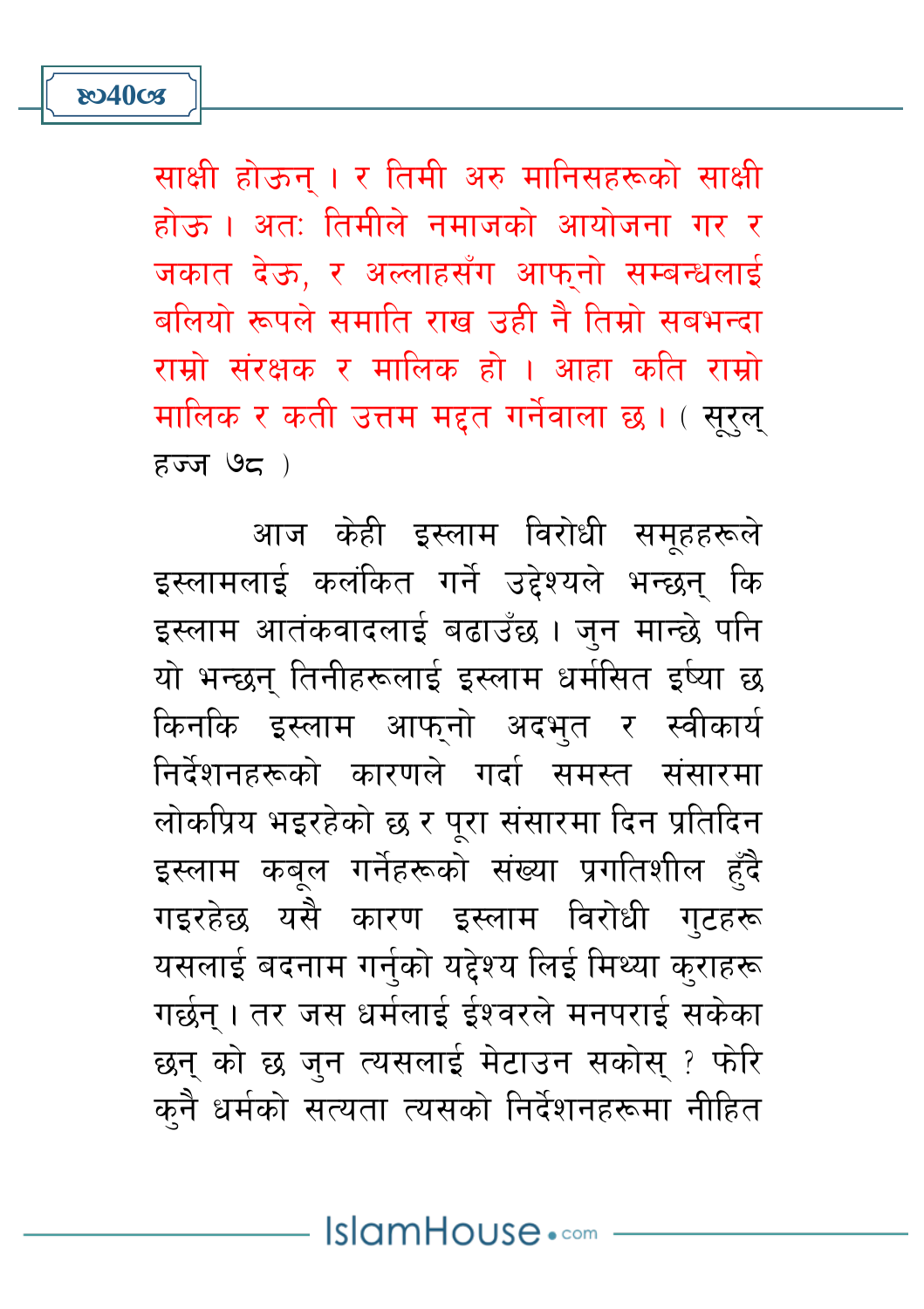$55795$ आज केही इस्लाम विरोधी समूहहरूले

इस्लामलाई कलंकित गर्ने उद्देश्यले भन्छन् कि इस्लाम आतंकवादलाई बढाउँछ । जुन मान्छे पनि यो भन्छन् तिनीहरूलाई इस्लाम धर्मसित इष्या छ किनकि इस्लाम आफुनो अदभुत र स्वीकार्य निर्देशनहरूको कारणले गर्दा समस्त संसारमा लोकप्रिय भइरहेको छ र परा संसारमा दिन प्रतिदिन इस्लाम कबूल गर्नेहरूको संख्या प्रगतिशील हुँदै गइरहेछ यसै कारण इस्लाम विरोधी गुटहरू यसलाई बदनाम गर्नुको यद्देश्य लिई मिथ्या कुराहरू गर्छन् । तर जस धर्मलाई ईश्वरले मनपराई सकेका छन् को छ जन त्यसलाई मेटाउन सकोस् ? फेरि कनै धर्मको सत्यता त्यसको निर्देशनहरूमा नीहित

साक्षी होऊन् । र तिमी अरु मानिसहरूको साक्षी होऊ । अत: तिमीले नमाजको आयोजना गर र जकात देऊ. र अल्लाहसँग आफनो सम्बन्धलाई बलियो रूपले समाति राख उद्दी तै तिमो सबभन्दा रामो संरक्षक र मालिक हो । आहा कृति रामो मालिक र कती उत्तम मद्दत गर्नेवाला छ। ( सुरुल्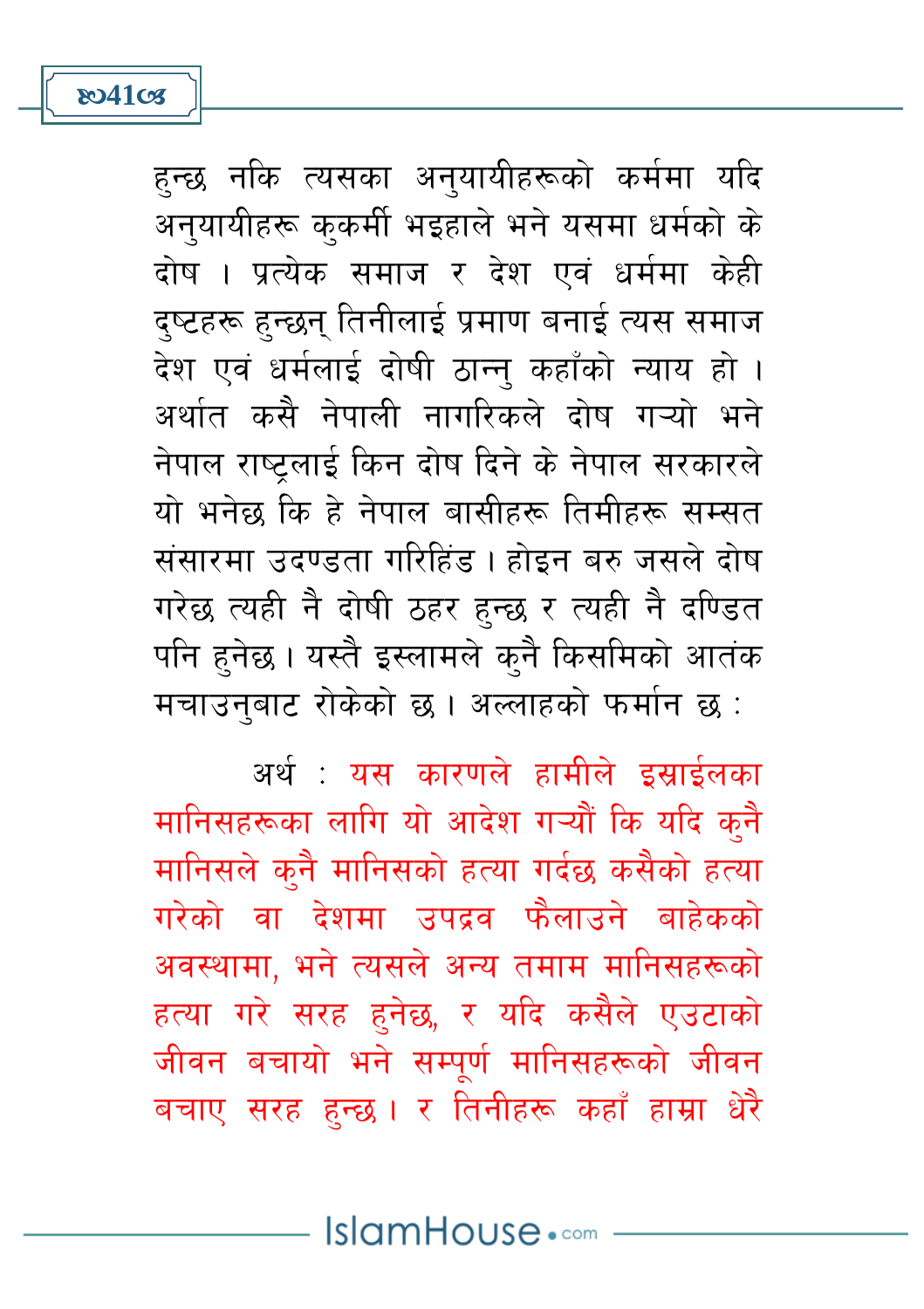**ষ্ঠে41ত্ত** 

हुन्छ नकि त्यसका अनुयायीहरूको कर्ममा यदि अनुयायीहरू कुकर्मी भइहाले भने यसमा धर्मको के दोष । प्रत्येक समाज र देश एवं धर्ममा केही दष्टहरू हुन्छन् तिनीलाई प्रमाण बनाई त्यस समाज देश एवं धर्मलाई दोषी ठान्न कहाँको न्याय हो । अर्थात कसै नेपाली नागरिकले दोष गऱ्यो भने नेपाल राष्टलाई किन दोष दिने के नेपाल सरकारले यो भनेछ कि हे नेपाल बासीहरू तिमीहरू सम्सत संसारमा उदण्डता गरिहिंड । होइन बरु जसले दोष गरेछ त्यही नै दोषी ठहर हुन्छ र त्यही नै दण्डित पनि हुनेछ। यस्तै इस्लामले कुनै किसमिको आतंक मचाउनुबाट रोकेको छ । अल्लाहको फर्मान छ :

अर्थ <sup>.</sup> यस कारणले हामीले दसार्दलका मानिसहरूका लागि यो आदेश गऱ्यौं कि यदि कुनै मानिसले कनै मानिसको हत्या गर्दछ कसैको हत्या गरेको वा देशमा उपदव फैलाउने बाहेकको अवस्थामा, भने त्यसले अन्य तमाम मानिसहरूको हत्या गरे सरह हुनेछ, र यदि कसैले एउटाको जीवन बचायो भने सम्पूर्ण मानिसहरूको जीवन बचाए सरह हुन्छ । र तिनीहरू कहाँ हाम्रा धेरै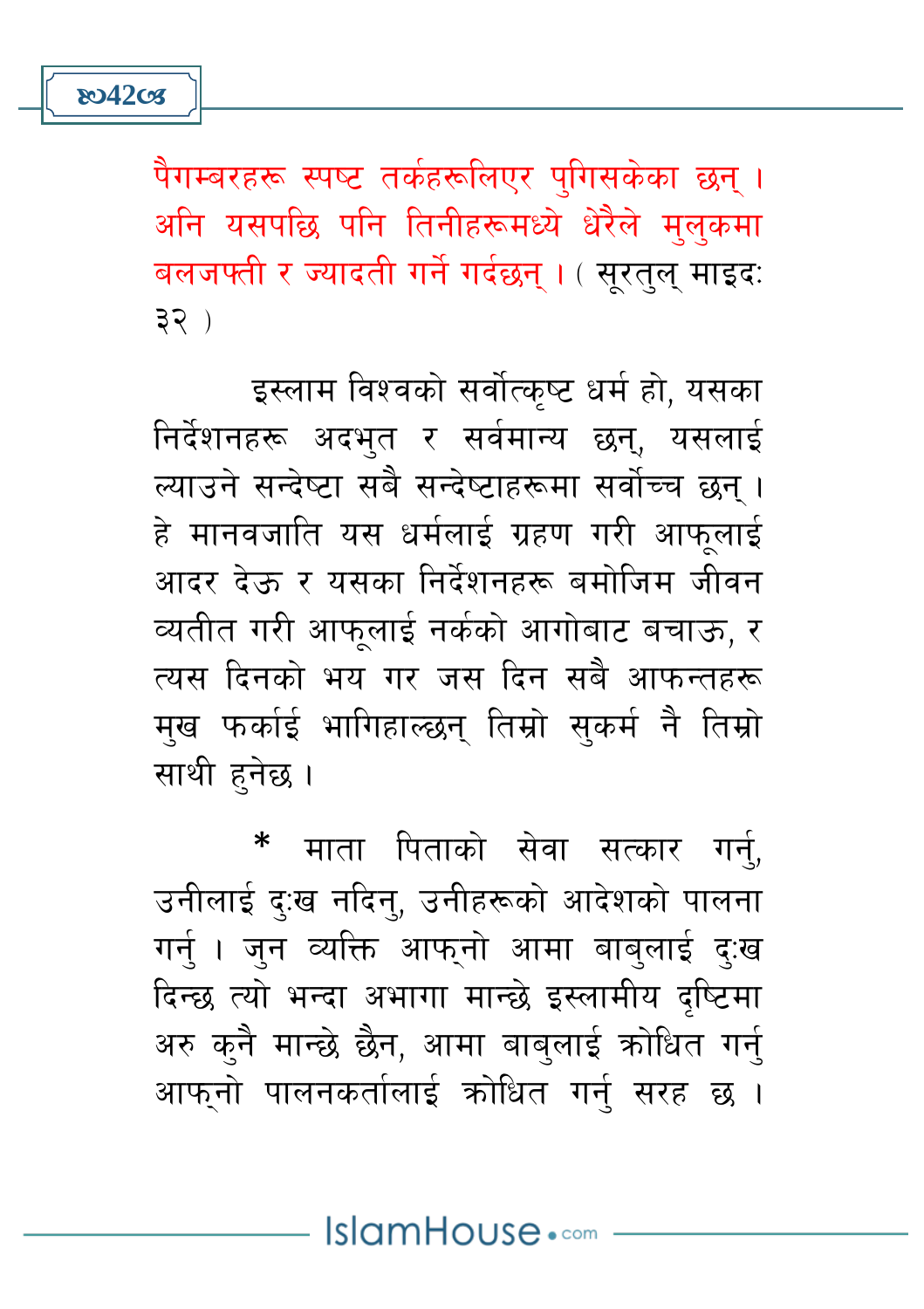पैगम्बरहरू स्पष्ट तर्कहरूलिएर पुगिसकेका छन् । अनि यसपछि पनि तिनीहरूमध्ये धेरैले मुलुकमा बलजफ्ती र ज्यादती गर्ने गर्दछन्। (सुरतुल् माइदः  $32)$ 

इस्लाम विश्वको सर्वोत्कृष्ट धर्म हो, यसका निर्देशनहरू अदभुत र सर्वमान्य छन्, यसलाई ल्याउने सन्देष्टा सबै सन्देष्टाहरूमा सर्वोच्च छन । हे मानवजाति यस धर्मलाई ग्रहण गरी आफलाई आदर देऊ र यसका निर्देशनहरू बमोजिम जीवन व्यतीत गरी आफलाई नर्कको आगोबाट बचाऊ, र त्यस दिनको भय गर जस दिन सबै आफन्तहरू मख फर्काई भागिहाल्छन् तिम्रो सकर्म नै तिम्रो साथी हनेछ।

माता पिताको सेवा सत्कार गर्न. उनीलाई दु:ख नदिनु, उनीहरूको आदेशको पालना गर्न । जन व्यक्ति आफनो आमा बाबलाई द:ख दिन्छ त्यो भन्दा अभागा मान्छे इस्लामीय दष्टिमा अरु कुनै मान्छे छैन, आमा बाबुलाई कोधित गर्नु आफनो पालनकर्तालाई कोधित गर्न सरह छ ।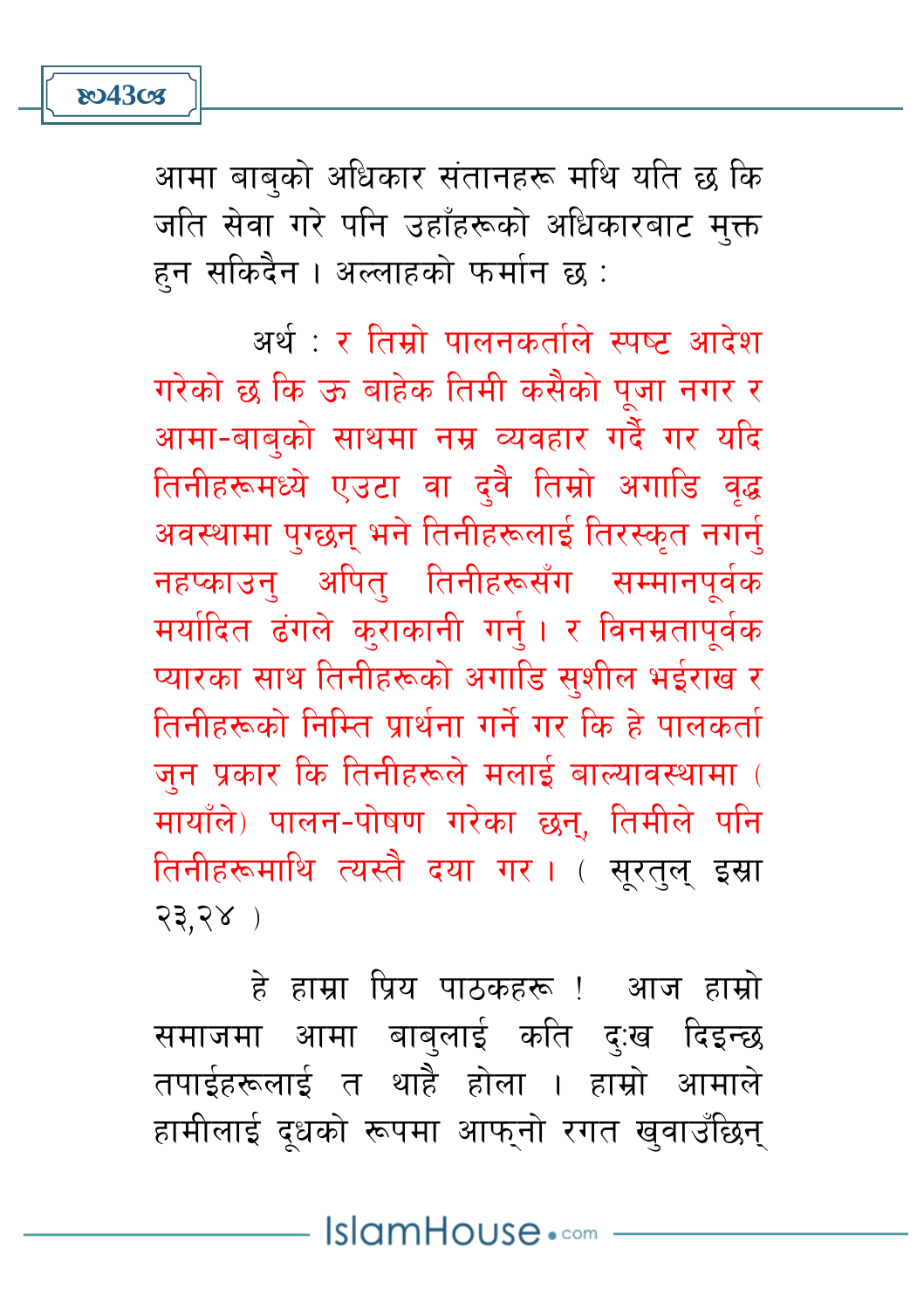**ষ্ঠে43** তের

आमा बाब्को अधिकार संतानहरू मथि यति छ कि जति सेवा गरे पनि उहाँहरूको अधिकारबाट मुक्त हन सकिदैन । अल्लाहको फर्मान छ :

अर्थ : र तिम्रो पालनकर्ताले स्पष्ट आदेश गरेको छ कि ऊ बाहेक तिमी कसैको पूजा नगर र आमा-बाबुको साथमा नम्र व्यवहार गर्दै गर यदि तिनीहरूमध्ये एउटा वा दवै तिम्रो अगाडि वृद्ध अवस्थामा पुग्छन् भने तिनीहरूलाई तिरस्कृत नगर्नु नहप्काउन अपित तिनीहरूसँग सम्मानपर्वक मर्यादित ढंगले कुराकानी गर्नु। र विनम्रतापूर्वक प्यारका साथ तिनीहरूको अगाडि सशील भईराख र तिनीहरूको निम्ति पार्थना गर्ने गर कि हे पालकर्ता जन प्रकार कि तिनीहरूले मलाई बाल्यावस्थामा ( मायाँले) पालन-पोषण गरेका छन्, तिमीले पनि तिनीहरूमाथि त्यस्तै दया गर । ( सूरतुल् इस्रा  $23.28$ )

हे हाम्रा पिय पाठकहरू ! आज हाम्रो समाजमा आमा बाबलाई कति द:ख दिइन्छ तपाईहरूलाई त थाहै होला । हाम्रो आमाले हामीलाई दुधको रूपमा आफुनो रगत खुवाउँछिन्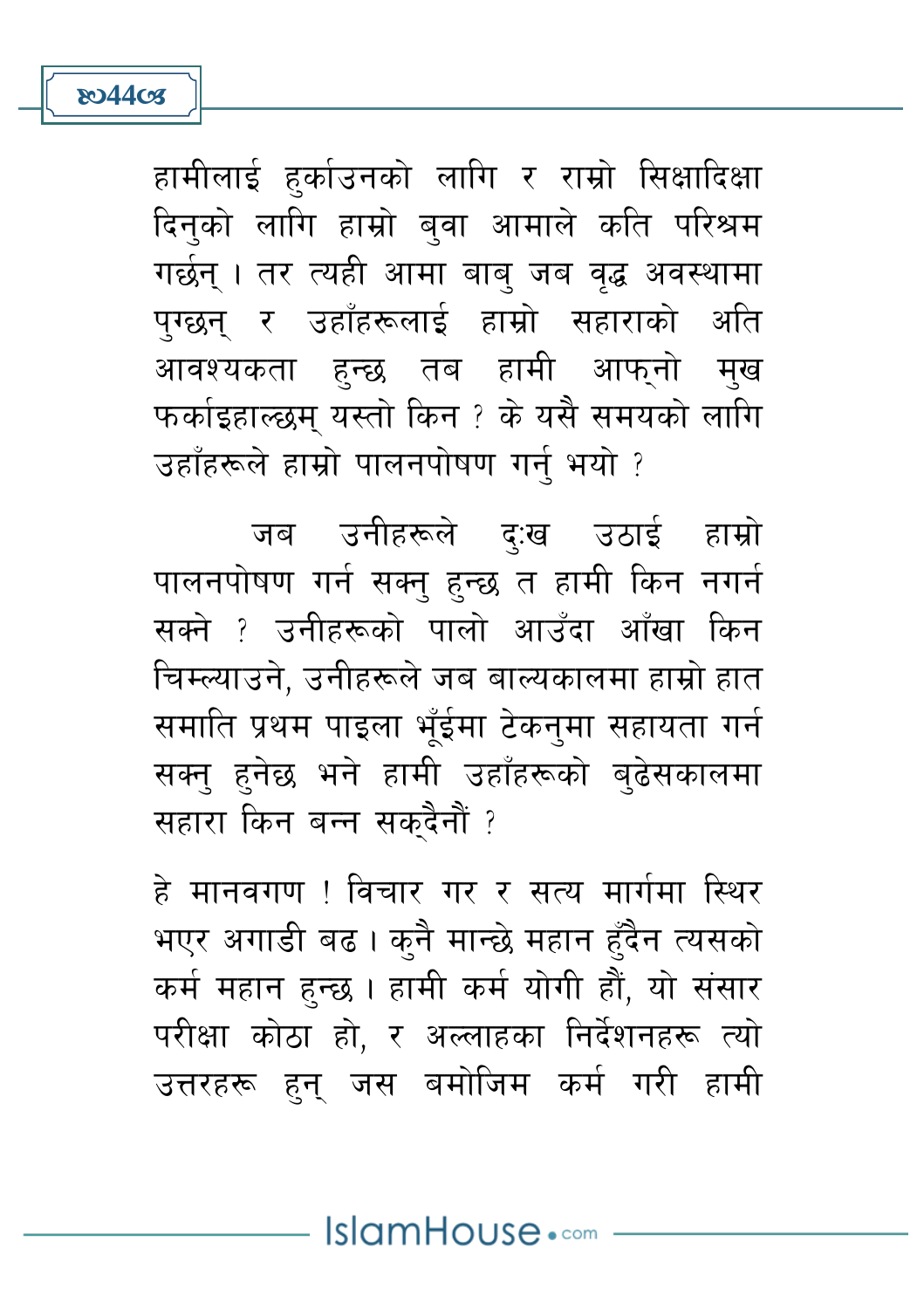**ষ্ঠে44ত্যে** 

हामीलाई हर्काउनको लागि र राम्रो सिक्षादिक्षा दिन्को लागि हाम्रो ब्**वा आमाले कति परिश्रम** गर्छन । तर त्यही आमा बाब जब वद्ध अवस्थामा पग्छन् र उहाँहरूलाई हाम्रो सहाराको अति आवश्यकता हुन्छ तब हामी आफुनो मुख फर्काइहाल्छम् यस्तो किन ? के यसै समयको लागि उहाँहरूले हाम्रो पालनपोषण गर्न भयो ?

जब उनीहरूले दुःख उठाई हाम्रो पालनपोषण गर्न सक्नु हुन्छ त हामी किन नगर्न सक्ने ? उनीहरूको पालो आउँदा आँखा किन चिम्ल्याउने. उनीहरूले जब बाल्यकालमा हाम्रो हात समाति प्रथम पाइला भँईमा टेकनुमा सहायता गर्न सक्न हनेछ भने हामी उहाँहरूको बढेसकालमा सहारा किन बन्न सकदैनौं ?

हे मानवगण ! विचार गर र सत्य मार्गमा स्थिर भएर अगाडी बढ़। कुनै मान्छे महान हुँदैन त्यसको कर्म महान हुन्छ । हामी कर्म योगी हौं, यो संसार परीक्षा कोठा हो, र अल्लाहका निर्देशनहरू त्यो उत्तरहरू हुन जस बमोजिम कर्म गरी हामी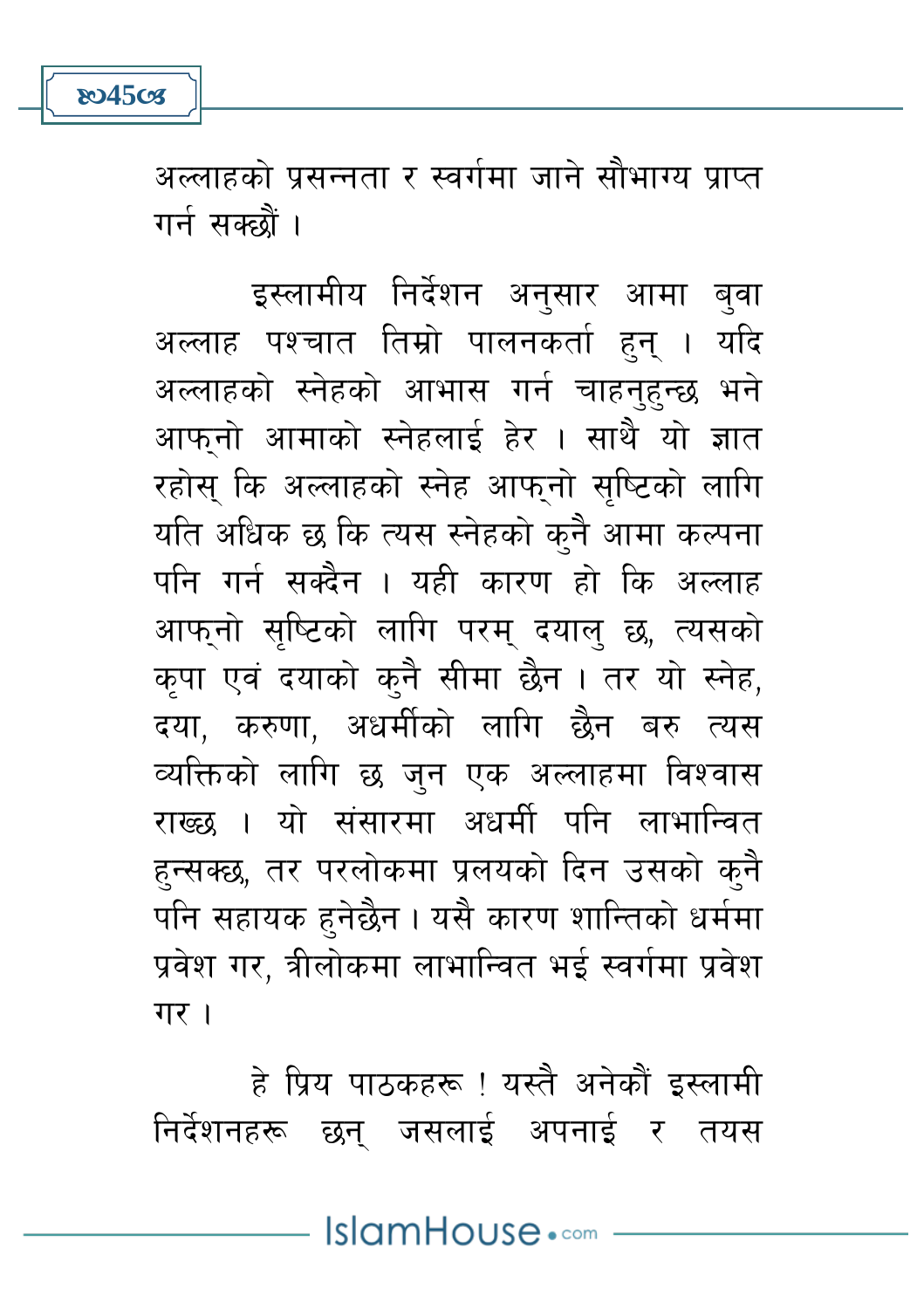

अल्लाहको प्रसन्नता र स्वर्गमा जाने सौभाग्य प्राप्त गर्न सक्छौं ।

इस्लामीय निर्देशन अनुसार आमा बुवा अल्लाह पश्चात तिम्रो पालनकर्ता हुन् । यदि अल्लाहको स्नेहको आभास गर्न चाहन्हन्छ भने आफनो आमाको स्नेहलाई हेर । साथै यो ज्ञात रहोस् कि अल्लाहको स्नेह आफुनो सुष्टिको लागि यति अधिक छ कि त्यस स्नेहको कुनै आमा कल्पना पनि गर्न सक्दैन । यही कारण हो कि अल्लाह आफ्नो सृष्टिको लागि परम् दयालु छ, त्यसको कपा एवं दयाको कनै सीमा छैन। तर यो स्नेह, दया. करुणा. अधर्मीको लागि छैन बरु त्यस व्यक्तिको लागि छ जन एक अल्लाहमा विश्वास राख्छ । यो संसारमा अधर्मी पनि लाभान्वित हुन्सक्छ, तर परलोकमा प्रलयको दिन उसको कुनै पनि सहायक हुनेछैन। यसै कारण शान्तिको धर्ममा प्रवेश गर, त्रीलोकमा लाभान्वित भई स्वर्गमा प्रवेश गर।

हे प्रिय पाठकहरू ! यस्तै अनेकौं इस्लामी निर्देशनहरू छन् जसलाई अपनाई र तयस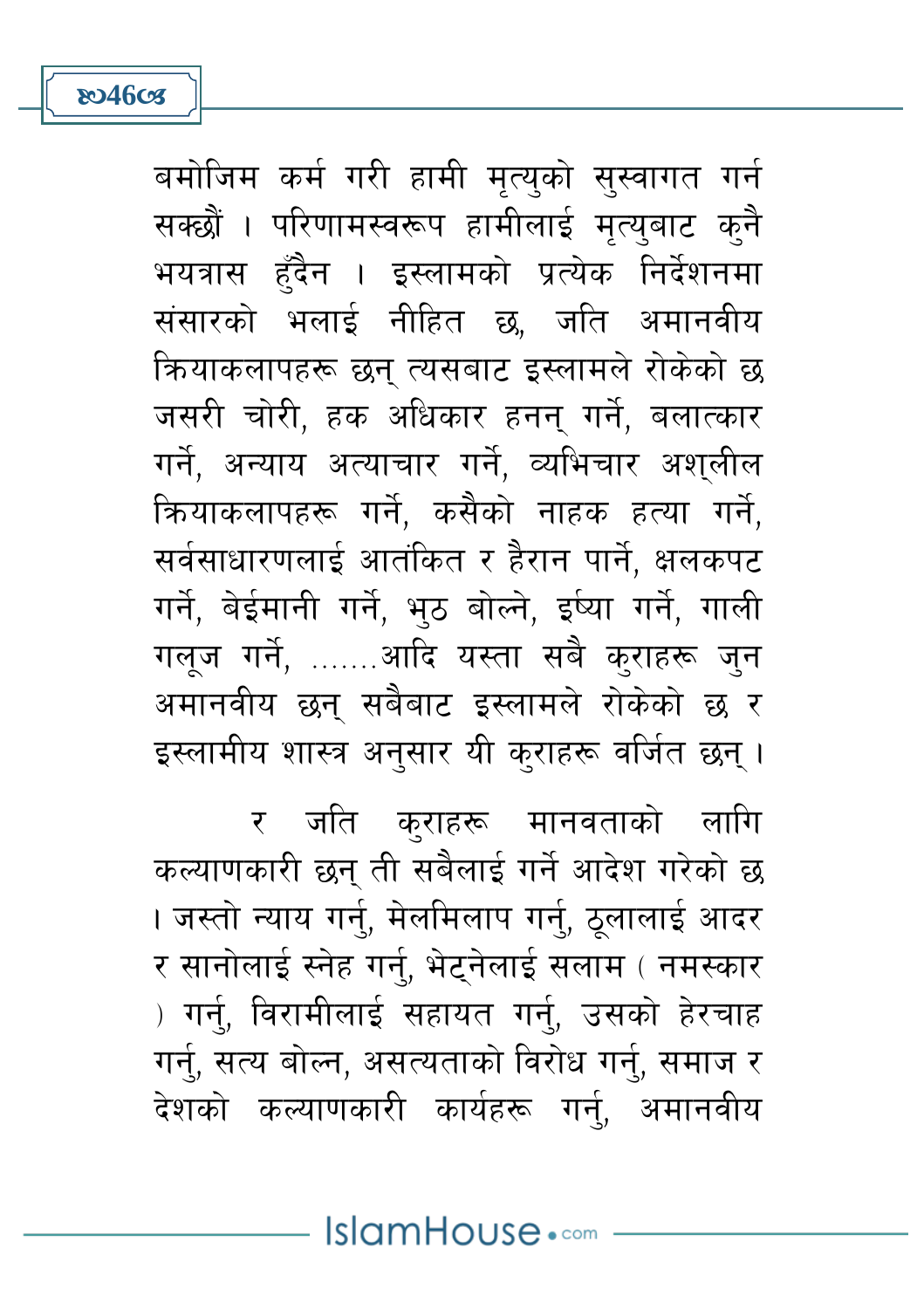**ষ্ঠে46cs** 

बमोजिम कर्म गरी हामी मृत्युको सुस्वागत गर्न सक्छौं । परिणामस्वरूप हामीलाई मृत्युबाट क्नै भयत्रास हँदैन । इस्लामको प्रत्येक निर्देशनमा संसारको भलाई नीहित छ, जति अमानवीय कियाकलापहरू छन् त्यसबाट इस्लामले रोकेको छ जसरी चोरी, हक अधिकार हनन् गर्ने, बलात्कार गर्ने. अन्याय अत्याचार गर्ने. व्यभिचार अशलील कियाकलापहरू गर्ने, कसैको नाहक हत्या गर्ने, सर्वसाधारणलाई आतंकित र हैरान पार्ने, क्षलकपट गर्ने, बेईमानी गर्ने, भुठ बोल्ने, इर्ष्या गर्ने, गाली गलृज गर्ने, …….आदि यस्ता सबै क्राहरू जुन अमानवीय छन् सबैबाट इस्लामले रोकेको छ र इस्लामीय शास्त्र अनुसार यी कुराहरू वर्जित छन् ।

र जति कुराहरू मानवताको लागि कल्याणकारी छन् ती सबैलाई गर्ने आदेश गरेको छ । जस्तो न्याय गर्न्, मेलमिलाप गर्नु, ठूलालाई आदर र सानोलाई स्नेह गर्नु, भेट्नेलाई सलाम ( नमस्कार ) गर्न्, विरामीलाई सहायत गर्न्, उसको हेरचाह गर्नु, सत्य बोल्न, असत्यताको विरोध गर्नु, समाज र देशको कल्याणकारी कार्यहरू गर्न, अमानवीय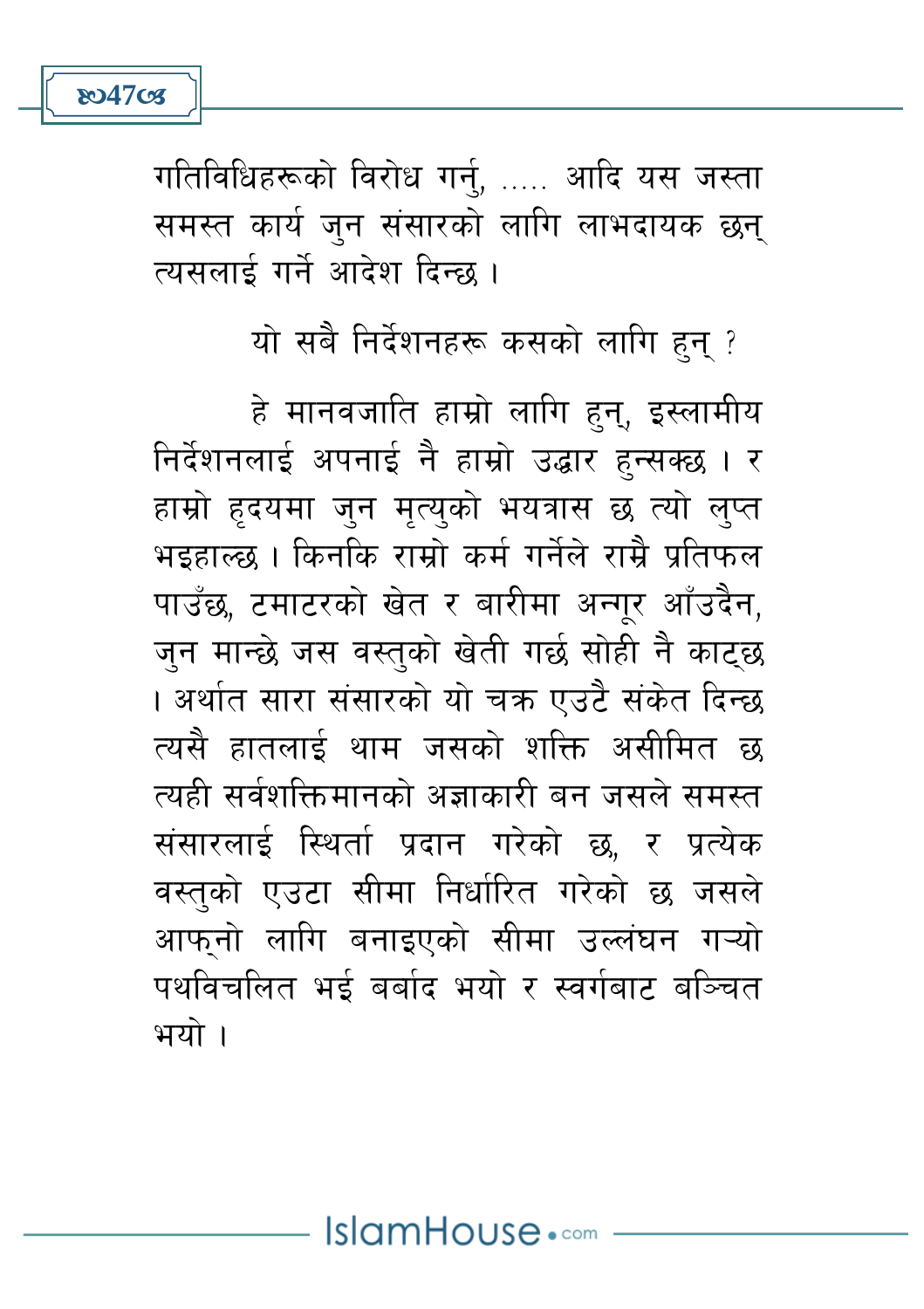

गतिविधिहरूको विरोध गर्न्, ..... आदि यस जस्ता समस्त कार्य जून संसारको लागि लाभदायक छन् त्यसलाई गर्ने आदेश दिन्छ ।

### यो सबै निर्देशनहरू कसको लागि हुन् ?

हे मानवजाति हाम्रो लागि हुन्, इस्लामीय निर्देशनलाई अपनाई नै हाम्रो उद्धार हुन्सक्छ । र हाम्रो हृदयमा जुन मृत्युको भयत्रास छ त्यो लुप्त भड़हाल्छ । किनकि राम्रो कर्म गर्नेले राम्रै प्रतिफल पाउँछ, टमाटरको खेत र बारीमा अन्गुर आँउदैन, जन मान्छे जस वस्तको खेती गर्छ सोही नै काटछ । अर्थात सारा संसारको यो चक्र एउटै संकेत दिन्छ त्यसै हातलाई थाम जसको शक्ति असीमित छ त्यही सर्वशक्तिमानको अज्ञाकारी बन जसले समस्त संसारलाई स्थिर्ता प्रदान गरेको छ, र प्रत्येक वस्तुको एउटा सीमा निर्धारित गरेको छ जसले आफनो लागि बनाइएको सीमा उल्लंघन गऱ्यो पथविचलित भई बर्बाद भयो र स्वर्गबाट बञ्चित भयो ।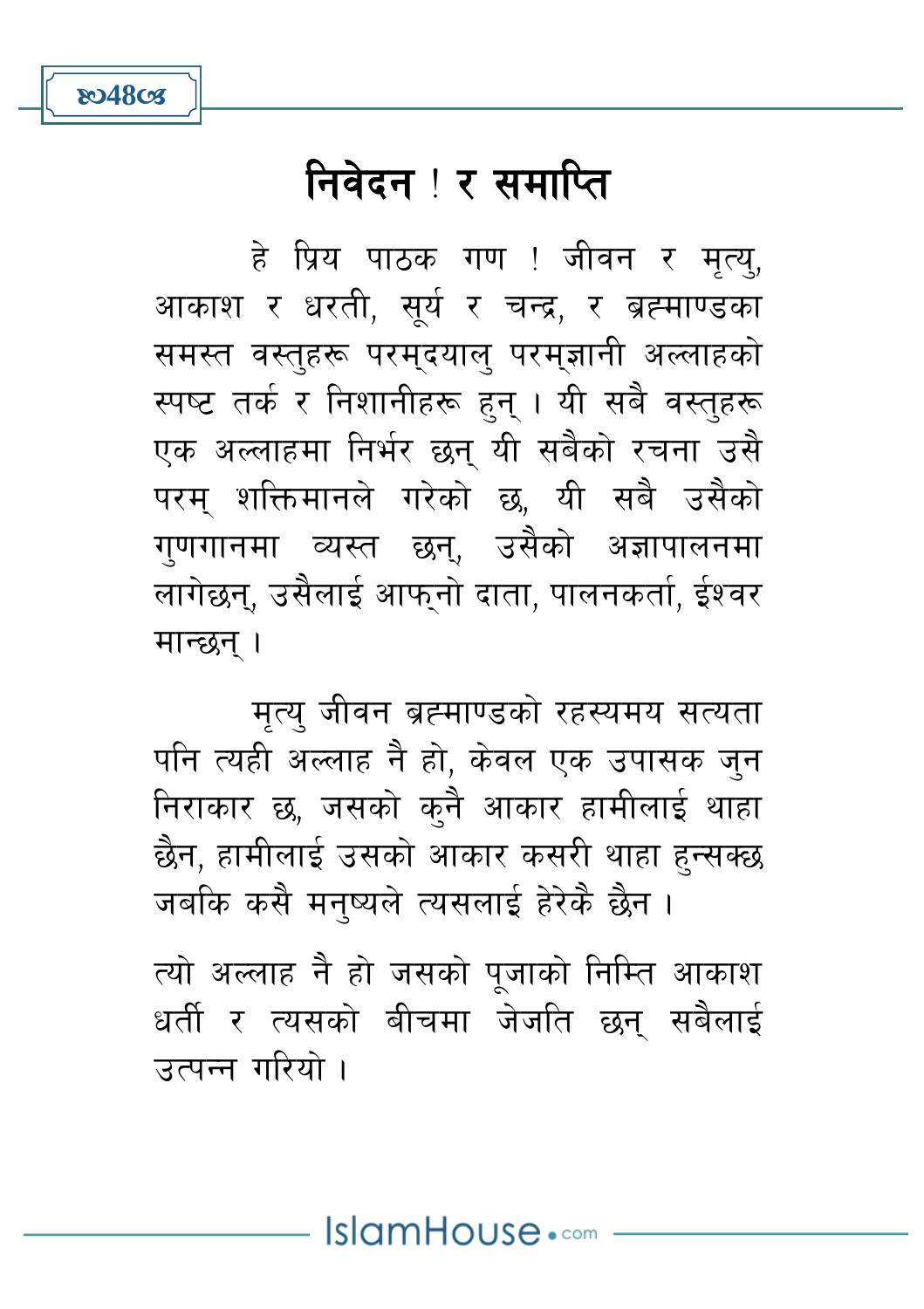# निवेदन ! र समाप्ति

हे प्रिय पाठक गण ! जीवन र मृत्यु, आकाश र धरती, सूर्य र चन्द्र, र ब्रह्माण्डका समस्त वस्तहरू परमुदयाल परमुज्ञानी अल्लाहको स्पष्ट तर्क र निशानीहरू हुन् । यी सबै वस्तुहरू एक अल्लाहमा निर्भर छन यी सबैको रचना उसै परम शक्तिमानले गरेको छ यी सबै उसैको गणगानमा व्यस्त छन. उसैको अज्ञापालनमा लागेछन, उसैलाई आफनो दाता, पालनकर्ता, ईश्वर मान्छन ।

मत्य जीवन ब्रह्माण्डको रहस्यमय सत्यता पनि त्यही अल्लाह नै हो, केवल एक उपासक जन निराकार छ, जसको कुनै आकार हामीलाई थाहा छैन, हामीलाई उसको आकार कसरी थाहा हन्सक्छ जबकि कसै मनुष्यले त्यसलाई हेरेकै छैन।

त्यो अल्लाह नै हो जसको पूजाको निम्ति आकाश धर्ती र त्यसको बीचमा जेजति छन् सबैलाई उत्पन्न गरियो ।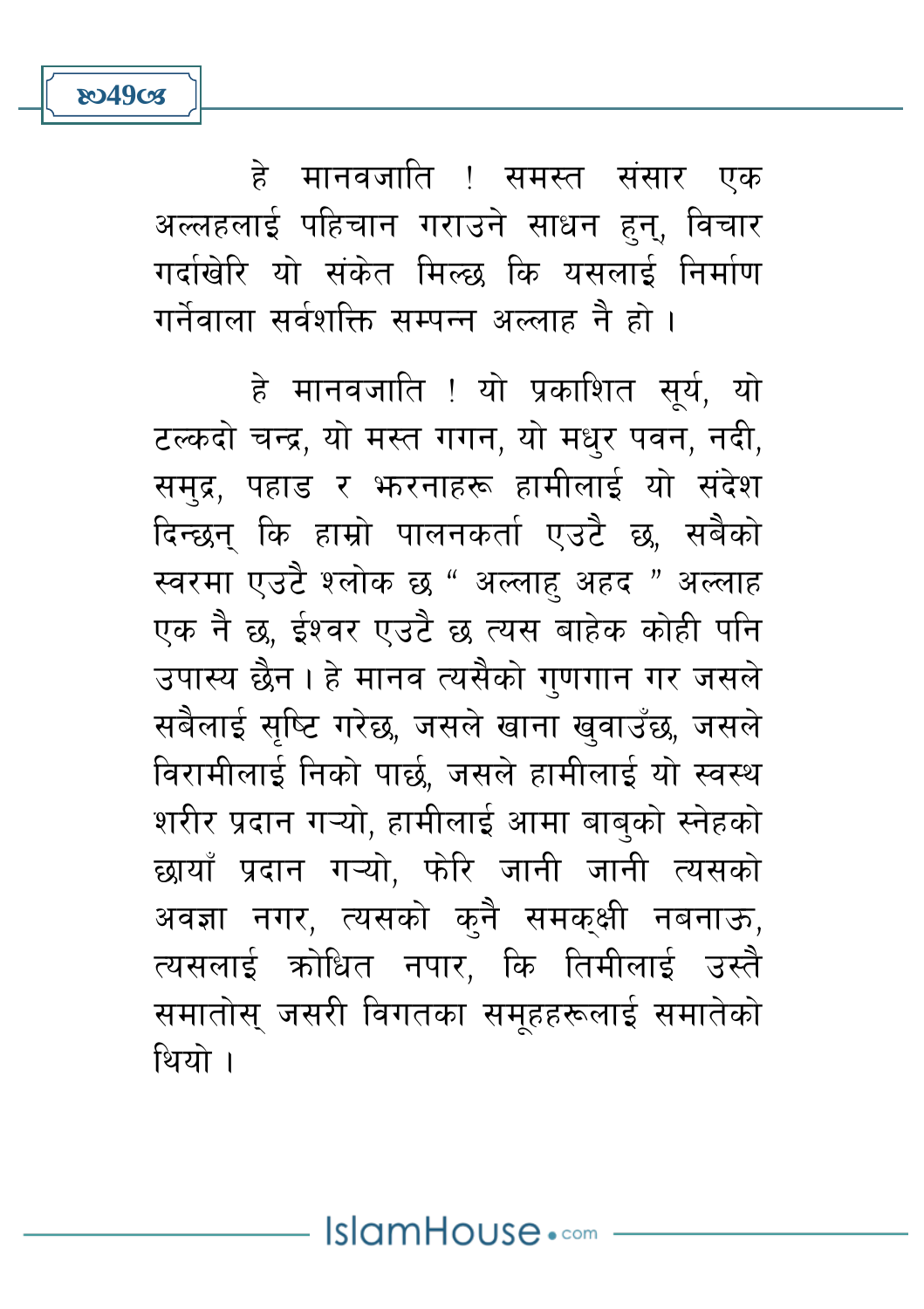हे मानवजाति ! समस्त संसार एक अल्लहलाई पहिचान गराउने साधन हुन्, विचार गर्दाखेरि यो संकेत मिल्छ कि यसलाई निर्माण गर्नेवाला सर्वशक्ति सम्पन्न अल्लाह नै हो ।

**ষ্ঠে49তে** 

हे मानवजाति ! यो प्रकाशित सुर्य, यो टल्कदो चन्द्र, यो मस्त गगन, यो मधर पवन, नदी, समद्र, पहाड़ र भनरनाहरू हामीलाई यो संदेश दिन्छन् कि हाम्रो पालनकर्ता एउटै छ, सबैको स्वरमा एउटै श्लोक छ " अल्लाह अहद " अल्लाह एक नै छ, ईश्वर एउटै छ त्यस बाहेक कोही पनि उपास्य छैन। हे मानव त्यसैको गणगान गर जसले सबैलाई सप्टि गरेछ, जसले खाना खवाउँछ, जसले विरामीलाई निको पार्छ, जसले हामीलाई यो स्वस्थ शरीर प्रदान गऱ्यो, हामीलाई आमा बाबको स्नेहको छायाँ प्रदान गऱ्यो, फोरे जानी जानी त्यसको अवज्ञा नगर, त्यसको कनै समकक्षी नबनाऊ, त्यसलाई कोधित नपार, कि तिमीलाई उस्तै समातोस् जसरी विगतका समहहरूलाई समातेको थियो ।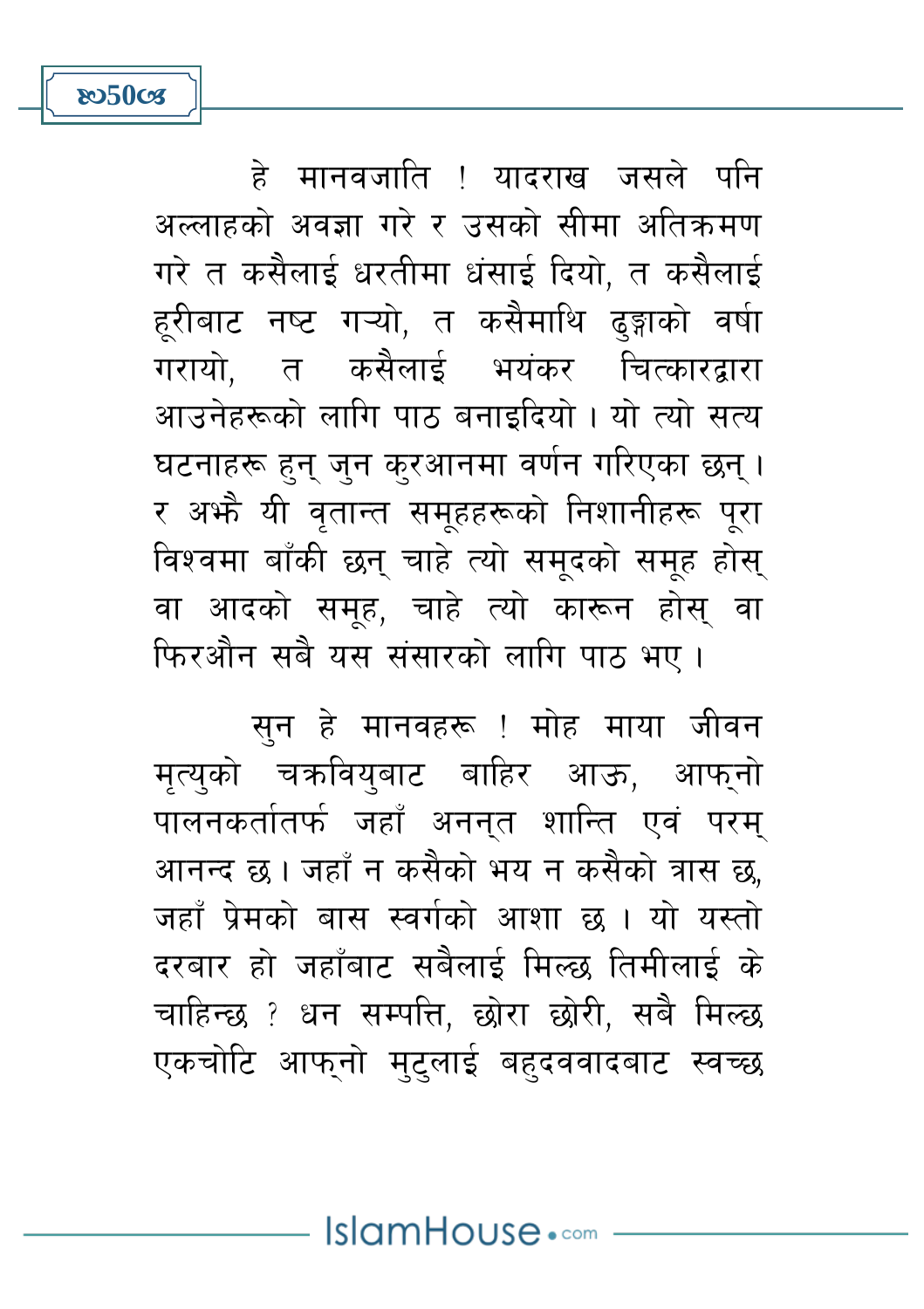हे मानवजाति ! यादराख जसले पनि अल्लाहको अवज्ञा गरे र उसको सीमा अतिक्रमण गरे त कसैलाई धरतीमा धंसाई दियो. त कसैलाई हूरीबाट नष्ट गऱ्यो, त कसैमाथि ढङ्गाको वर्षा गरायो. त कसैलाई भयंकर चित्कारद्रारा आउनेहरूको लागि पाठ बनाइदियो। यो त्यो सत्य घटनाहरू हन जन करआनमा वर्णन गरिएका छन । र अफ्रै यी वृतान्त समुहहरूको निशानीहरू पुरा विश्वमा बाँकी छन् चाहे त्यो समुदको समूह होस् वा आदको समह, चाहे त्यो कारून होस वा फिरऔन सबै यस संसारको लागि पाठ भए।

 $8050$ cz

सुन हे मानवहरू ! मोह माया जीवन मत्यको चक्रवियबाट बाहिर आऊ. आफनो पालनकर्तातर्फ जहाँ अननत शान्ति एवं परम् आनन्द छ। जहाँ न कसैको भय न कसैको त्रास छ, जहाँ पेमको बास स्वर्गको आशा छ । यो यस्तो दरबार हो जहाँबाट सबैलाई मिल्छ तिमीलाई के चाहिन्छ ? धन सम्पत्ति, छोरा छोरी, सबै मिल्छ एकचोटि आफुनो मुटुलाई बहुदववादबाट स्वच्छ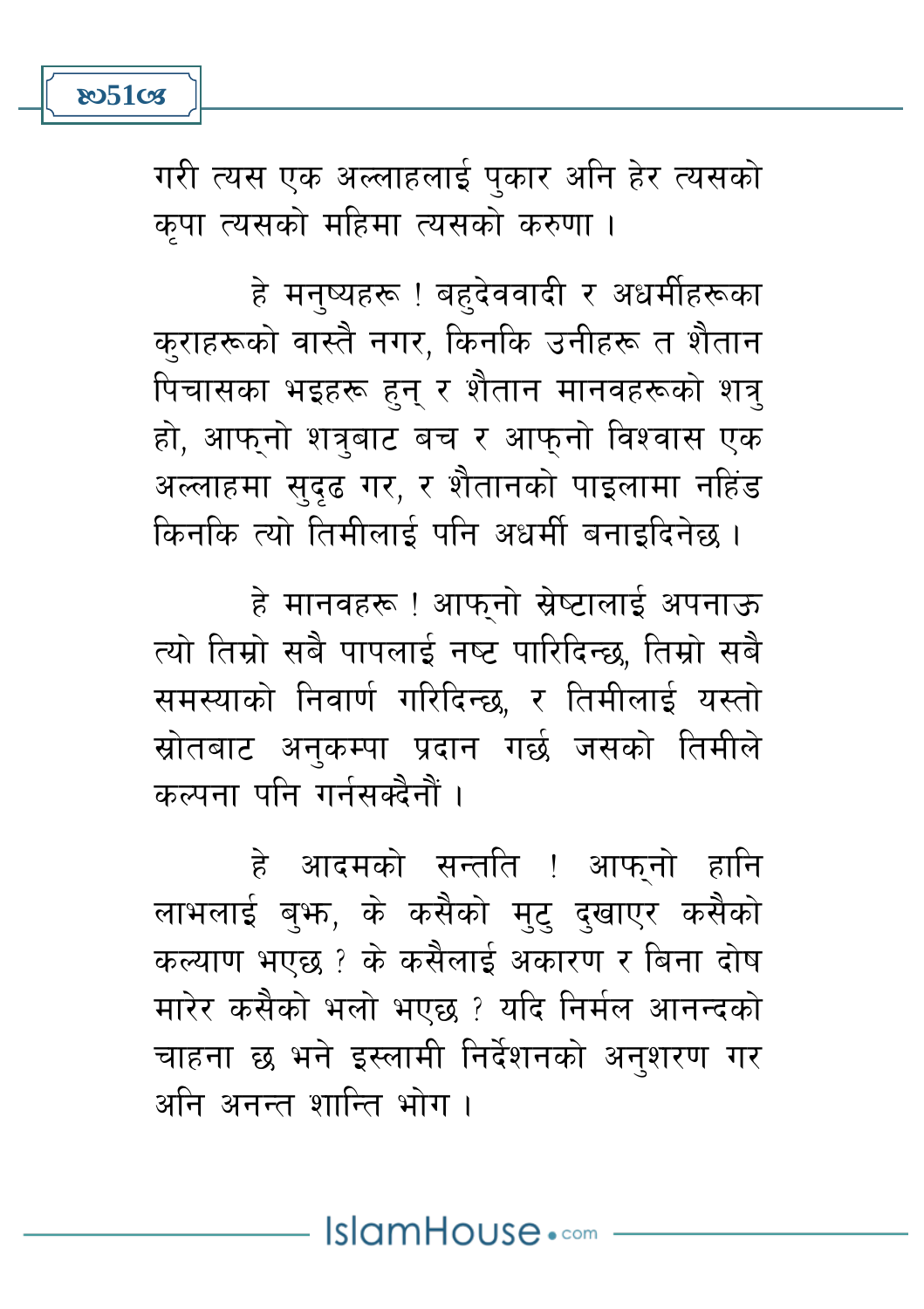

गरी त्यस एक अल्लाहलाई पुकार अनि हेर त्यसको कपा त्यसको महिमा त्यसको करुणा।

हे मनुष्यहरू ! बहुदेववादी र अधर्मीहरूका कराहरूको वास्तै नगर, किनकि उनीहरू त शैतान पिचासका भइहरू हुन् र शैतान मानवहरूको शत्र् हो, आफनो शत्रबाट बच र आफनो विश्वास एक अल्लाहमा सुदृढ गर, र शैतानको पाइलामा नहिंड किनकि त्यो तिमीलाई पनि अधर्मी बनाइदिनेछ ।

हे मानवहरू ! आफुनो स्रेष्टालाई अपनाऊ त्यो तिम्रो सबै पापलाई नष्ट पारिदिन्छ, तिम्रो सबै समस्याको निवार्ण गरिदिन्छ, र तिमीलाई यस्तो स्रोतबाट अनकम्पा प्रदान गर्छ जसको तिमीले कल्पना पनि गर्नसक्दैनौं ।

हे आदमको सन्तति ! आफनो हानि लाभलाई बुफ, के कसैको मुट् दुखाएर कसैको कल्याण भएछ ? के कसैलाई अकारण र बिना दोष मारेर कसैको भलो भएछ ? यदि निर्मल आनन्दको चाहना छ भने इस्लामी निर्देशनको अनशरण गर अनि अनन्त शान्ति भोग ।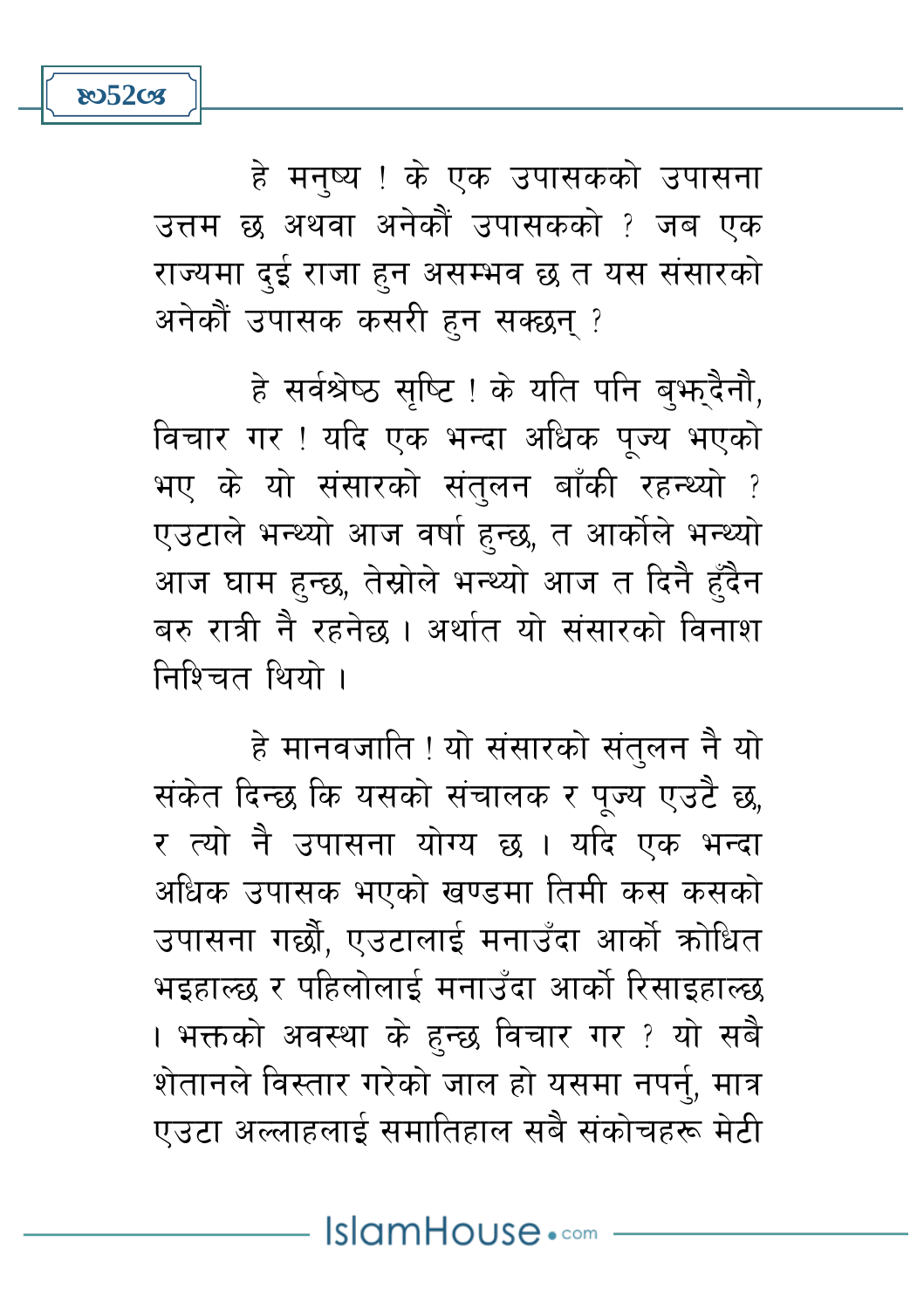

**ಜು52cg** 

हे सर्वश्रेष्ठ सृष्टि ! के यति पनि बुभूदैनौ, विचार गर! यदि एक भन्दा अधिक पज्य भएको भए के यो संसारको संतुलन बाँकी रहन्थ्यो ? एउटाले भन्थ्यो आज वर्षा हुन्छ, त आर्कोले भन्थ्यो आज घाम हुन्छ, तेस्रोले भन्थ्यो आज त दिनै हुँदैन बरु रात्री नै रहनेछ । अर्थात यो संसारको विनाश निश्चित थियो ।

हे मानवजाति ! यो संसारको संतलन नै यो संकेत दिन्छ कि यसको संचालक र पुज्य एउटै छ, र त्यो नै उपासना योग्य छ । यदि एक भन्दा अधिक उपासक भएको खण्डमा तिमी कस कसको उपासना गर्छौ. एउटालाई मनाउँदा आर्को कोधित भइहाल्छ र पहिलोलाई मनाउँदा आर्को रिसाइहाल्छ । भक्तको अवस्था के हुन्छ विचार गर ? यो सबै शेतानले विस्तार गरेको जाल हो यसमा नपर्न, मात्र एउटा अल्लाहलाई समातिहाल सबै संकोचहरू मेटी

IslamHouse.com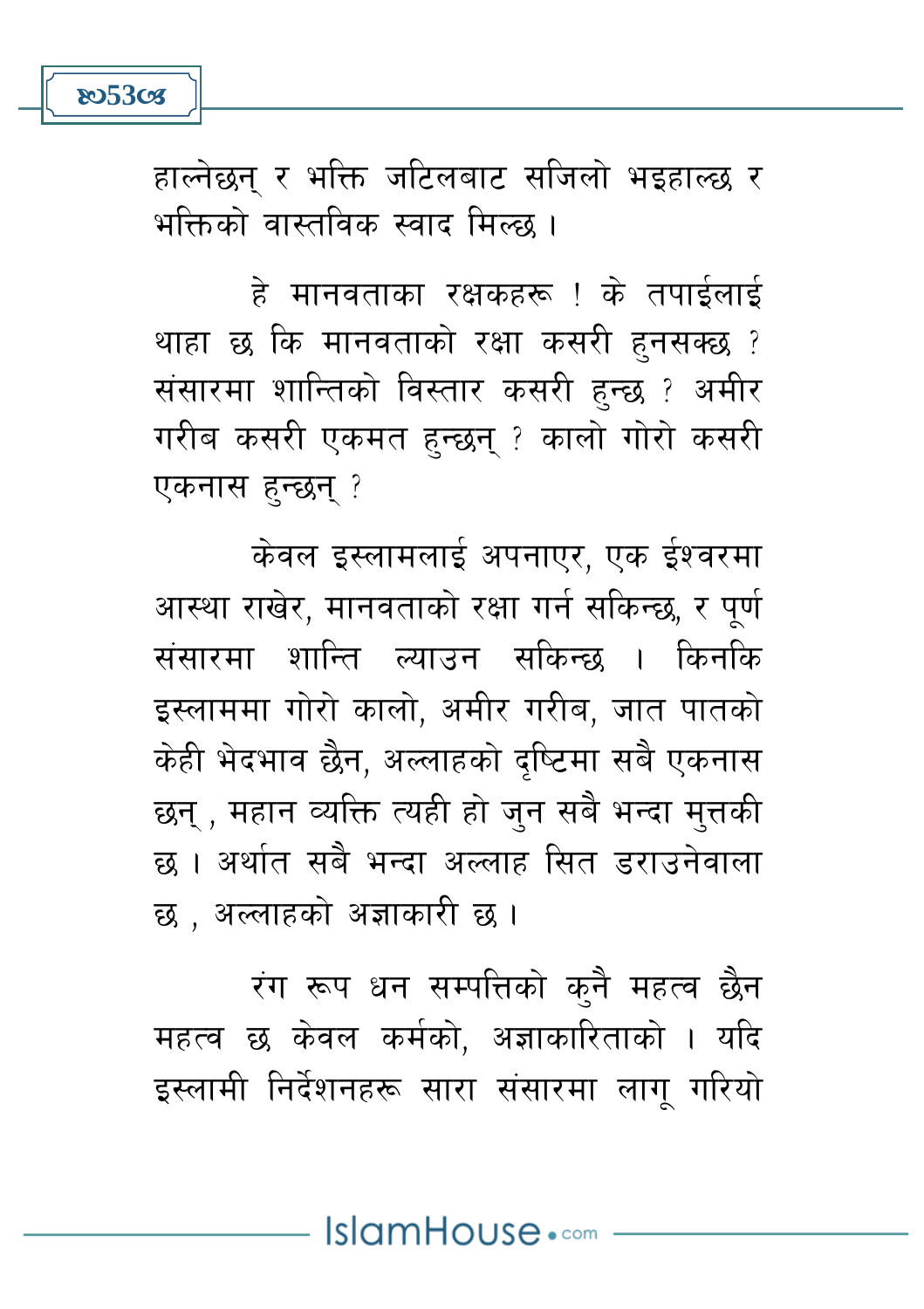

हाल्नेछन् र भक्ति जटिलबाट सजिलो भइहाल्छ र भक्तिको वास्तविक स्वाद मिल्छ ।

हे मानवताका रक्षकहरू ! के तपाईलाई थाहा छ कि मानवताको रक्षा कसरी हनसक्छ ? संसारमा शान्तिको विस्तार कसरी हुन्छ ? अमीर गरीब कसरी एकमत हन्छन ? कालो गोरो कसरी एकनास हन्छन ?

केवल इस्लामलाई अपनाएर, एक ईश्वरमा आस्था राखेर, मानवताको रक्षा गर्न सकिन्छ, र पर्ण संसारमा शान्ति ल्याउन सकिन्छ । किनकि इस्लाममा गोरो कालो, अमीर गरीब, जात पातको केही भेदभाव छैन, अल्लाहको दुष्टिमा सबै एकनास छन् , महान व्यक्ति त्यही हो जन सबै भन्दा मुत्तकी छ । अर्थात सबै भन्दा अल्लाह सित डराउनेवाला छ . अल्लाहको अज्ञाकारी छ ।

रंग रूप धन सम्पत्तिको कनै महत्व छैन महत्व छ केवल कर्मको, अज्ञाकारिताको । यदि इस्लामी निर्देशनहरू सारा संसारमा लागु गरियो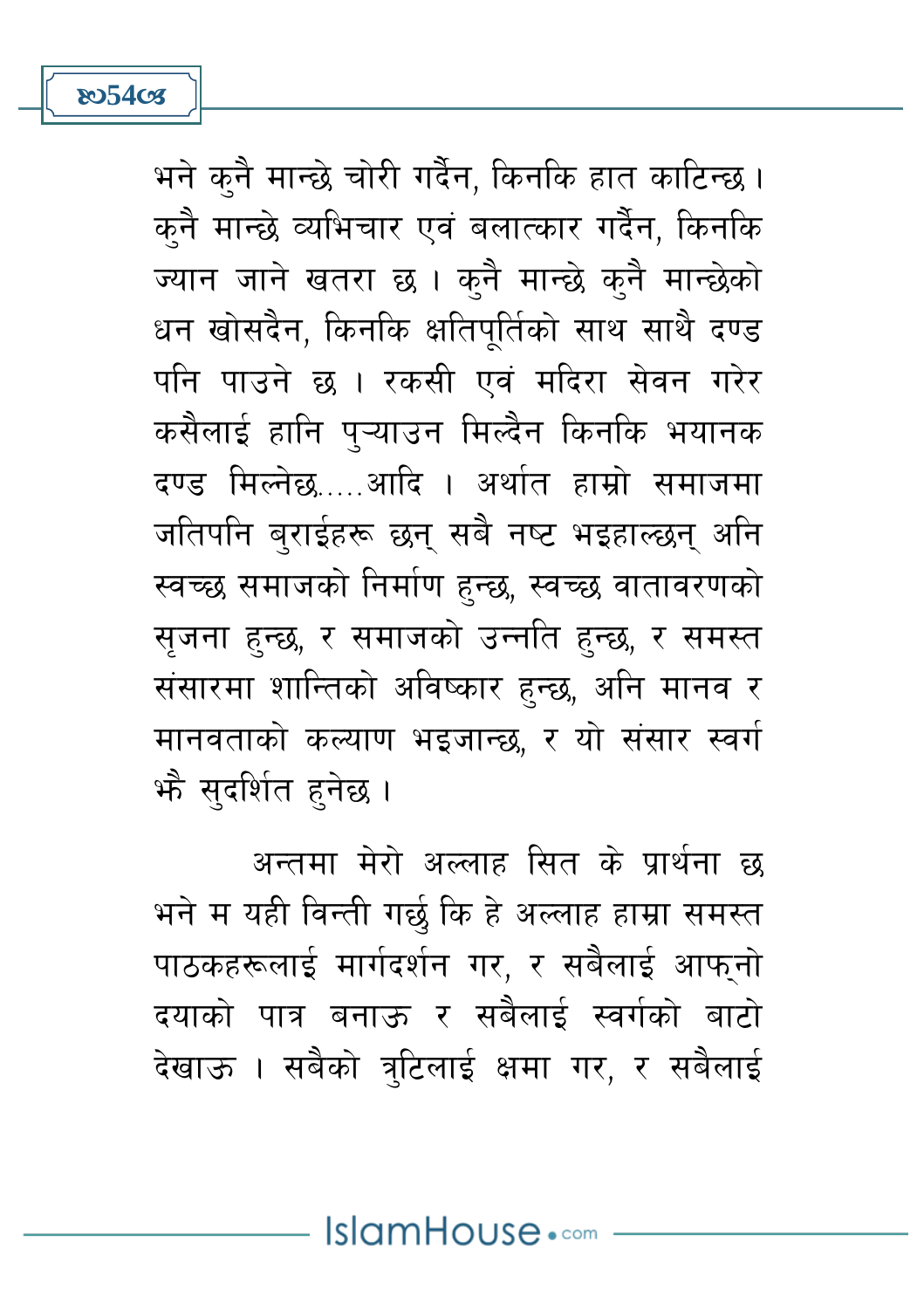

भने कनै मान्छे चोरी गर्दैन, किनकि हात काटिन्छ । कनै मान्छे व्यभिचार एवं बलात्कार गर्दैन, किनकि ज्यान जाने खतरा छ। कनै मान्छे कनै मान्छेको धन खोसदैन, किनकि क्षतिपर्तिको साथ साथै दण्ड पनि पाउने छ । रकसी एवं मदिरा सेवन गरेर कसैलाई हानि प्ऱ्याउन मिल्दैन किनकि भयानक दण्ड मिल्नेछ आदि । अर्थात हाम्रो समाजमा जतिपनि बुराईहरू छन् सबै नष्ट भइहाल्छन् अनि स्वच्छ समाजको निर्माण हुन्छ, स्वच्छ वातावरणको सुजना हुन्छ, र समाजको उन्नति हुन्छ, र समस्त संसारमा शान्तिको अविष्कार हुन्छ, अनि मानव र मानवताको कल्याण भइजान्छ, र यो संसार स्वर्ग भौ सुदर्शित हुनेछ ।

अन्तमा मेरो अल्लाह सित के पार्थना छ भने म यही विन्ती गर्छ कि हे अल्लाह हाम्रा समस्त पाठकहरूलाई मार्गदर्शन गर. र सबैलाई आफनो दयाको पात्र बनाऊ र सबैलाई स्वर्गको बाटो देखाऊ । सबैको त्रटिलाई क्षमा गर, र सबैलाई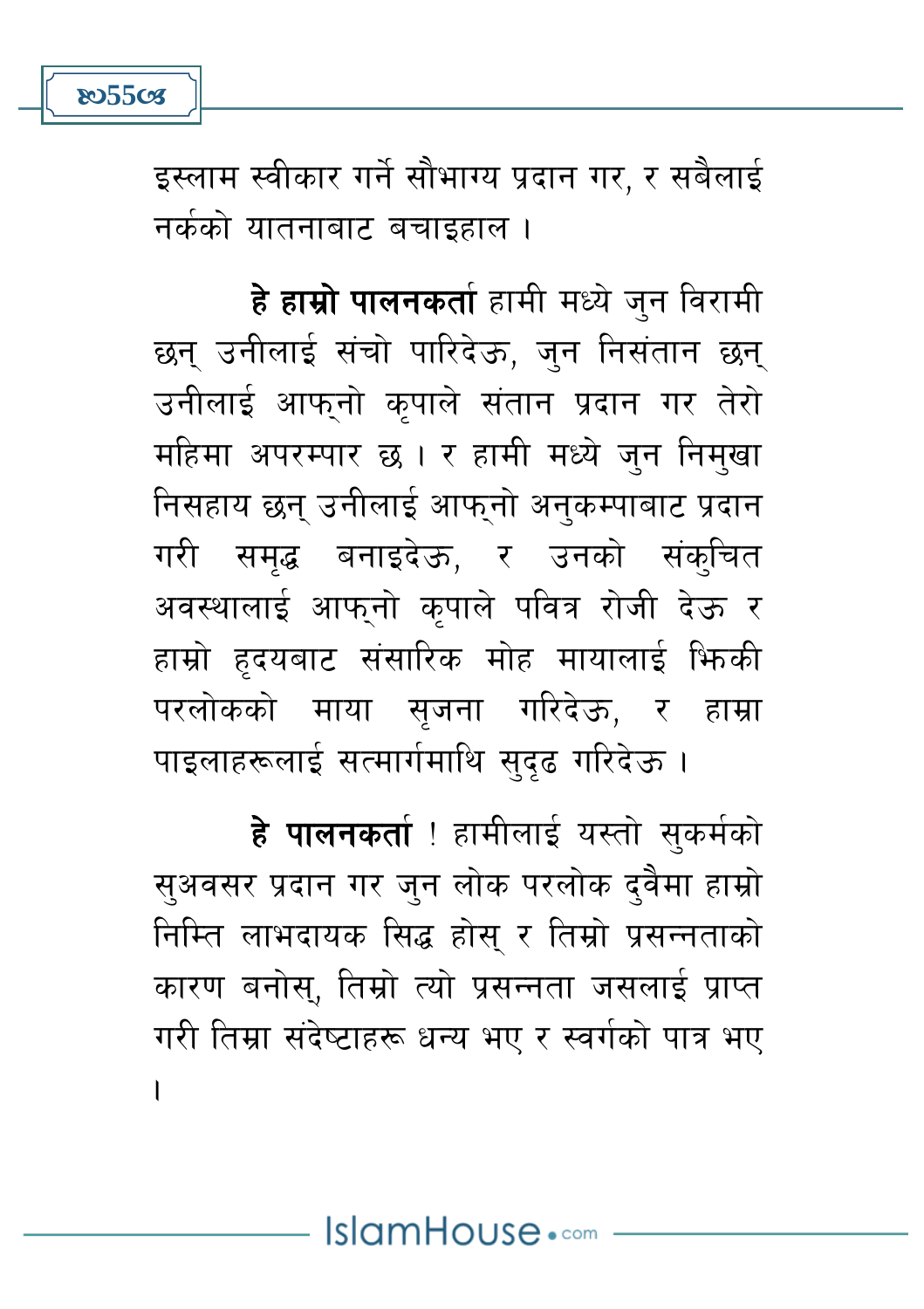

इस्लाम स्वीकार गर्ने सौभाग्य प्रदान गर, र सबैलाई नर्कको यातनाबाट बचाइहाल ।

**हे हाम्रो पालनकर्ता** हामी मध्ये जुन विरामी छन् उनीलाई संचो पारिदेऊ, जन निसंतान छन् उनीलाई आफनो कपाले संतान प्रदान गर तेरो महिमा अपरम्पार छ। र हामी मध्ये जन निमखा निसहाय छन् उनीलाई आफुनो अनुकम्पाबाट प्रदान गरी समद्ध बनाइदेऊ. र उनको संकुचित अवस्थालाई आफुनो कुपाले पवित्र रोजी देऊ र हाम्रो हृदयबाट संसारिक मोह मायालाई फिकी परलोकको माया सृजना गरिदेऊ, र हाम्रा पाइलाहरूलाई सत्मार्गमाथि सदढ गरिदेऊ।

हे पालनकर्ता ! हामीलाई यस्तो सुकर्मको सुअवसर प्रदान गर जुन लोक परलोक दुवैमा हाम्रो निम्ति लाभदायक सिद्ध होस् र तिम्रो प्रसन्नताको कारण बनोस्, तिम्रो त्यो प्रसन्नता जसलाई प्राप्त गरी तिम्रा संदेष्टाहरू धन्य भए र स्वर्गको पात्र भए  $\overline{1}$